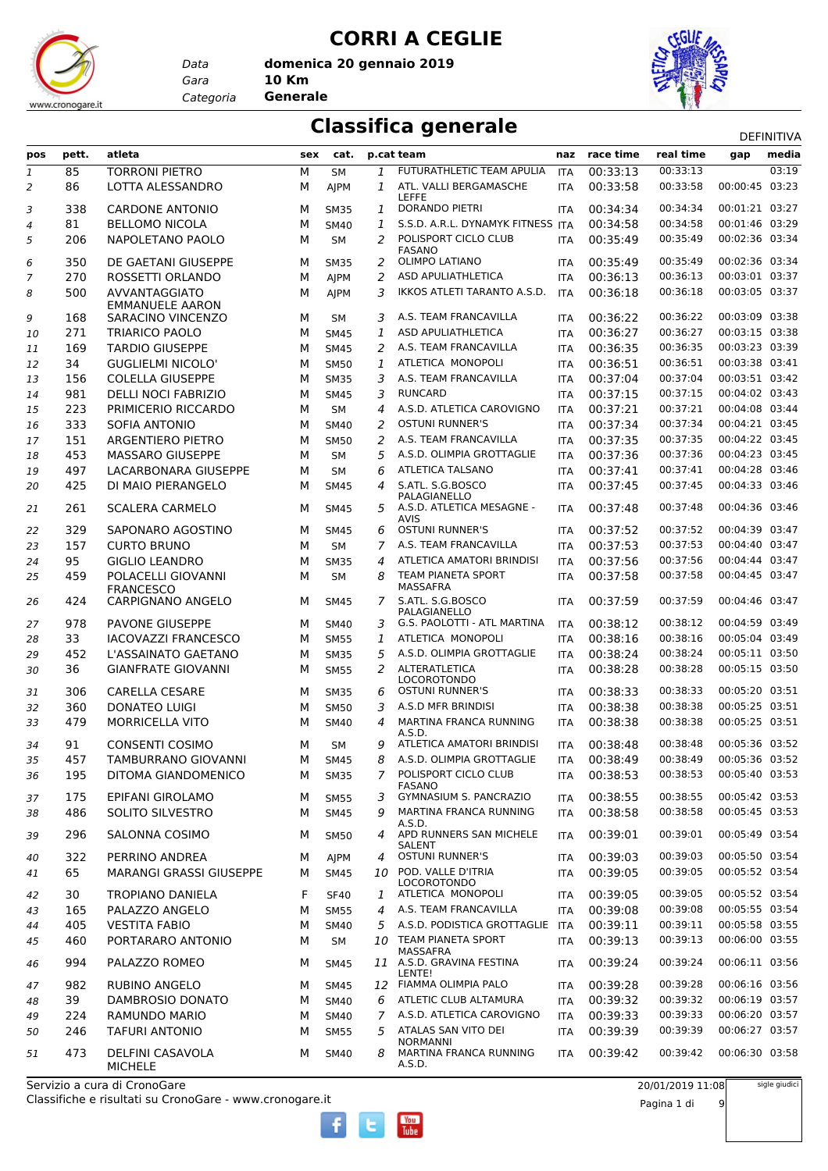

*Data*

**CORRI A CEGLIE**

*Gara* **10 Km domenica 20 gennaio 2019**

*Categoria* **Generale**



### **Classifica generale** Definitival DEFINITIVA

| 03:19<br>85<br><b>TORRONI PIETRO</b><br>FUTURATHLETIC TEAM APULIA<br>00:33:13<br>00:33:13<br>1<br>м<br><b>SM</b><br>1<br><b>ITA</b><br>ATL. VALLI BERGAMASCHE<br>00:33:58<br>00:00:45 03:23<br>86<br>LOTTA ALESSANDRO<br>00:33:58<br>$\overline{2}$<br>М<br>AJPM<br>1<br><b>ITA</b><br><b>LEFFE</b><br>338<br><b>CARDONE ANTONIO</b><br>00:34:34<br>00:34:34<br>00:01:21 03:27<br>1<br>DORANDO PIETRI<br>3<br>м<br><b>SM35</b><br><b>ITA</b><br>00:01:46 03:29<br>S.S.D. A.R.L. DYNAMYK FITNESS ITA<br>00:34:58<br>81<br><b>BELLOMO NICOLA</b><br>1<br>00:34:58<br>М<br><b>SM40</b><br>4<br>00:02:36 03:34<br>POLISPORT CICLO CLUB<br>00:35:49<br>206<br>NAPOLETANO PAOLO<br>2<br>00:35:49<br>5<br>М<br><b>SM</b><br><b>ITA</b><br><b>FASANO</b><br><b>OLIMPO LATIANO</b><br>00:35:49<br>00:02:36 03:34<br>350<br>DE GAETANI GIUSEPPE<br>00:35:49<br>2<br><b>ITA</b><br>6<br>м<br><b>SM35</b><br>00:03:01 03:37<br>270<br>ASD APULIATHLETICA<br>00:36:13<br>00:36:13<br>ROSSETTI ORLANDO<br>2<br>M<br>AJPM<br><b>ITA</b><br>7<br>00:03:05 03:37<br>500<br><b>AVVANTAGGIATO</b><br>IKKOS ATLETI TARANTO A.S.D.<br>00:36:18<br>00:36:18<br>М<br>3<br>AJPM<br><b>ITA</b><br>8<br><b>EMMANUELE AARON</b><br>A.S. TEAM FRANCAVILLA<br>00:03:09 03:38<br>168<br>SARACINO VINCENZO<br>00:36:22<br>00:36:22<br>м<br>3<br>9<br><b>SM</b><br><b>ITA</b><br>00:03:15 03:38<br><b>ASD APULIATHLETICA</b><br>00:36:27<br>271<br><b>TRIARICO PAOLO</b><br>1<br>00:36:27<br><b>SM45</b><br><b>ITA</b><br>м<br>10<br>00:03:23 03:39<br>169<br><b>TARDIO GIUSEPPE</b><br>2<br>A.S. TEAM FRANCAVILLA<br>00:36:35<br>00:36:35<br>М<br><b>SM45</b><br><b>ITA</b><br>11<br>00:03:38 03:41<br>34<br><b>GUGLIELMI NICOLO'</b><br>1<br>ATLETICA MONOPOLI<br>00:36:51<br>00:36:51<br>М<br><b>SM50</b><br><b>ITA</b><br>12<br>00:03:51 03:42<br>A.S. TEAM FRANCAVILLA<br>00:37:04<br>156<br><b>COLELLA GIUSEPPE</b><br>3<br>00:37:04<br>М<br><b>SM35</b><br><b>ITA</b><br>13<br><b>RUNCARD</b><br>00:04:02 03:43<br>981<br><b>DELLI NOCI FABRIZIO</b><br>3<br>00:37:15<br>00:37:15<br>М<br><b>SM45</b><br>14<br><b>ITA</b><br>00:04:08 03:44<br>223<br>PRIMICERIO RICCARDO<br>A.S.D. ATLETICA CAROVIGNO<br>00:37:21<br>00:37:21<br>М<br>4<br><b>SM</b><br><b>ITA</b><br>15<br>00:04:21 03:45<br><b>OSTUNI RUNNER'S</b><br>00:37:34<br>333<br>SOFIA ANTONIO<br>2<br>00:37:34<br>М<br><b>SM40</b><br>16<br><b>ITA</b><br>$\overline{2}$<br>00:04:22 03:45<br>151<br><b>ARGENTIERO PIETRO</b><br>A.S. TEAM FRANCAVILLA<br>00:37:35<br>00:37:35<br>М<br><b>SM50</b><br>17<br><b>ITA</b><br>5<br>A.S.D. OLIMPIA GROTTAGLIE<br>00:04:23 03:45<br>453<br><b>MASSARO GIUSEPPE</b><br>00:37:36<br>00:37:36<br>М<br><b>SM</b><br>18<br><b>ITA</b><br>ATLETICA TALSANO<br>00:37:41<br>00:04:28 03:46<br>497<br>LACARBONARA GIUSEPPE<br>6<br>00:37:41<br>М<br><b>SM</b><br>19<br><b>ITA</b><br>00:04:33 03:46<br>425<br>DI MAIO PIERANGELO<br>S.ATL. S.G.BOSCO<br>00:37:45<br>00:37:45<br>м<br><b>SM45</b><br>4<br><b>ITA</b><br>20<br>PALAGIANELLO<br>A.S.D. ATLETICA MESAGNE -<br>00:04:36 03:46<br>261<br><b>SCALERA CARMELO</b><br>00:37:48<br>00:37:48<br>5<br>м<br><b>SM45</b><br><b>ITA</b><br>21<br><b>AVIS</b><br>329<br>SAPONARO AGOSTINO<br><b>OSTUNI RUNNER'S</b><br>00:37:52<br>00:37:52<br>00:04:39 03:47<br>м<br>6<br><b>ITA</b><br>22<br><b>SM45</b><br>00:37:53<br>A.S. TEAM FRANCAVILLA<br>00:37:53<br>00:04:40 03:47<br>157<br><b>CURTO BRUNO</b><br>7<br>М<br><b>SM</b><br><b>ITA</b><br>23<br>95<br>00:37:56<br>00:37:56<br>00:04:44 03:47<br><b>GIGLIO LEANDRO</b><br>ATLETICA AMATORI BRINDISI<br>М<br><b>SM35</b><br><b>ITA</b><br>24<br>4<br><b>TEAM PIANETA SPORT</b><br>00:04:45 03:47<br>459<br>POLACELLI GIOVANNI<br>00:37:58<br>00:37:58<br>М<br>8<br>25<br><b>SM</b><br><b>ITA</b><br>MASSAFRA<br><b>FRANCESCO</b><br>S.ATL. S.G.BOSCO<br>00:37:59<br>00:37:59<br>00:04:46 03:47<br>424<br>CARPIGNANO ANGELO<br>м<br>7<br>26<br><b>SM45</b><br><b>ITA</b><br>PALAGIANELLO<br>978<br>PAVONE GIUSEPPE<br>G.S. PAOLOTTI - ATL MARTINA<br>00:38:12<br>00:38:12<br>00:04:59 03:49<br>м<br><b>SM40</b><br>3<br><b>ITA</b><br>27<br>00:05:04 03:49<br>ATLETICA MONOPOLI<br>00:38:16<br>33<br><b>IACOVAZZI FRANCESCO</b><br>1<br>00:38:16<br>М<br><b>SM55</b><br><b>ITA</b><br>28<br>A.S.D. OLIMPIA GROTTAGLIE<br>00:38:24<br>00:05:11 03:50<br>452<br>L'ASSAINATO GAETANO<br>5<br>00:38:24<br>М<br><b>SM35</b><br>29<br><b>ITA</b><br>00:05:15 03:50<br>36<br><b>GIANFRATE GIOVANNI</b><br>ALTERATLETICA<br>00:38:28<br>00:38:28<br><b>SM55</b><br>2<br>м<br><b>ITA</b><br>30<br><b>LOCOROTONDO</b><br><b>OSTUNI RUNNER'S</b><br>00:05:20 03:51<br><b>CARELLA CESARE</b><br>00:38:33<br>00:38:33<br>306<br><b>ITA</b><br>м<br><b>SM35</b><br>6<br>31<br>360<br><b>DONATEO LUIGI</b><br>A.S.D MFR BRINDISI<br>00:38:38<br>00:38:38<br>00:05:25<br>03:51<br><b>SM50</b><br>3<br>м<br><b>ITA</b><br>32<br>00:05:25 03:51<br>MARTINA FRANCA RUNNING<br>00:38:38<br>479<br><b>MORRICELLA VITO</b><br>00:38:38<br>М<br><b>SM40</b><br>33<br>4<br><b>ITA</b><br>A.S.D.<br><b>CONSENTI COSIMO</b><br>91<br>ATLETICA AMATORI BRINDISI<br>00:38:48<br>00:38:48<br>00:05:36 03:52<br>9<br>м<br>SM<br><b>ITA</b><br>34<br>A.S.D. OLIMPIA GROTTAGLIE<br>00:38:49<br>00:05:36 03:52<br>457<br>8<br>00:38:49<br>TAMBURRANO GIOVANNI<br>м<br><b>SM45</b><br><b>ITA</b><br>35<br>POLISPORT CICLO CLUB<br>00:38:53<br>00:05:40 03:53<br>195<br>DITOMA GIANDOMENICO<br>00:38:53<br><b>SM35</b><br>7<br>36<br>м<br>ITA<br><b>FASANO</b><br><b>GYMNASIUM S. PANCRAZIO</b><br>00:38:55<br>00:05:42 03:53<br>175<br>EPIFANI GIROLAMO<br>3<br>00:38:55<br>м<br><b>SM55</b><br><b>ITA</b><br>37<br>MARTINA FRANCA RUNNING<br>00:38:58<br>00:05:45 03:53<br>486<br>SOLITO SILVESTRO<br>00:38:58<br>М<br><b>SM45</b><br>9<br><b>ITA</b><br>38<br>A.S.D.<br>APD RUNNERS SAN MICHELE<br>00:05:49 03:54<br>00:39:01<br>296<br><b>SALONNA COSIMO</b><br>00:39:01<br>39<br>м<br><b>SM50</b><br>$\overline{4}$<br><b>ITA</b><br><b>SALENT</b><br>322<br><b>OSTUNI RUNNER'S</b><br>00:39:03<br>00:05:50 03:54<br>PERRINO ANDREA<br>00:39:03<br>AJPM<br>4<br><b>ITA</b><br>40<br>м<br>POD. VALLE D'ITRIA<br>00:39:05<br>00:05:52 03:54<br>65<br>00:39:05<br><b>MARANGI GRASSI GIUSEPPE</b><br><b>SM45</b><br>м<br>10<br><b>ITA</b><br>41<br><b>LOCOROTONDO</b><br>ATLETICA MONOPOLI<br>00:39:05<br>00:05:52 03:54<br>30<br>TROPIANO DANIELA<br>F<br>00:39:05<br><b>SF40</b><br>1<br><b>ITA</b><br>42<br>00:05:55 03:54<br>A.S. TEAM FRANCAVILLA<br>00:39:08<br>PALAZZO ANGELO<br>00:39:08<br>165<br>М<br><b>SM55</b><br>43<br>4<br><b>ITA</b><br>405<br>A.S.D. PODISTICA GROTTAGLIE<br>00:39:11<br>00:39:11<br>00:05:58 03:55<br><b>VESTITA FABIO</b><br><b>SM40</b><br>5<br><b>ITA</b><br>м<br>44<br>10 TEAM PIANETA SPORT<br>00:39:13<br>00:06:00 03:55<br>460<br>PORTARARO ANTONIO<br>00:39:13<br>м<br><b>SM</b><br><b>ITA</b><br>45<br>MASSAFRA<br>PALAZZO ROMEO<br>11 A.S.D. GRAVINA FESTINA<br>00:39:24<br>00:39:24<br>00:06:11 03:56<br>994<br><b>SM45</b><br><b>ITA</b><br>46<br>м<br>LENTE!<br>12 FIAMMA OLIMPIA PALO<br>00:06:16 03:56<br>982<br>00:39:28<br>RUBINO ANGELO<br>00:39:28<br>47<br>м<br><b>SM45</b><br><b>ITA</b><br>39<br>DAMBROSIO DONATO<br>ATLETIC CLUB ALTAMURA<br>00:39:32<br>00:39:32<br>00:06:19 03:57<br>SM40<br>6<br>м<br><b>ITA</b><br>48<br>224<br>RAMUNDO MARIO<br>A.S.D. ATLETICA CAROVIGNO<br>00:39:33<br>00:39:33<br>00:06:20 03:57<br>7<br>м<br>SM40<br>ITA<br>49<br>ATALAS SAN VITO DEI<br>00:39:39<br>00:06:27 03:57<br>00:39:39<br>246<br><b>TAFURI ANTONIO</b><br><b>SM55</b><br>5<br>м<br><b>ITA</b><br>50<br><b>NORMANNI</b><br>473<br>MARTINA FRANCA RUNNING<br>00:39:42<br>00:06:30 03:58<br>DELFINI CASAVOLA<br>00:39:42<br>8<br>м<br><b>SM40</b><br><b>ITA</b><br>51<br>A.S.D.<br><b>MICHELE</b><br>sigle giudici<br>Servizio a cura di CronoGare<br>20/01/2019 11:08 | pos | pett. | atleta | sex | cat. | p.cat team | naz | race time | real time | gap | media |
|------------------------------------------------------------------------------------------------------------------------------------------------------------------------------------------------------------------------------------------------------------------------------------------------------------------------------------------------------------------------------------------------------------------------------------------------------------------------------------------------------------------------------------------------------------------------------------------------------------------------------------------------------------------------------------------------------------------------------------------------------------------------------------------------------------------------------------------------------------------------------------------------------------------------------------------------------------------------------------------------------------------------------------------------------------------------------------------------------------------------------------------------------------------------------------------------------------------------------------------------------------------------------------------------------------------------------------------------------------------------------------------------------------------------------------------------------------------------------------------------------------------------------------------------------------------------------------------------------------------------------------------------------------------------------------------------------------------------------------------------------------------------------------------------------------------------------------------------------------------------------------------------------------------------------------------------------------------------------------------------------------------------------------------------------------------------------------------------------------------------------------------------------------------------------------------------------------------------------------------------------------------------------------------------------------------------------------------------------------------------------------------------------------------------------------------------------------------------------------------------------------------------------------------------------------------------------------------------------------------------------------------------------------------------------------------------------------------------------------------------------------------------------------------------------------------------------------------------------------------------------------------------------------------------------------------------------------------------------------------------------------------------------------------------------------------------------------------------------------------------------------------------------------------------------------------------------------------------------------------------------------------------------------------------------------------------------------------------------------------------------------------------------------------------------------------------------------------------------------------------------------------------------------------------------------------------------------------------------------------------------------------------------------------------------------------------------------------------------------------------------------------------------------------------------------------------------------------------------------------------------------------------------------------------------------------------------------------------------------------------------------------------------------------------------------------------------------------------------------------------------------------------------------------------------------------------------------------------------------------------------------------------------------------------------------------------------------------------------------------------------------------------------------------------------------------------------------------------------------------------------------------------------------------------------------------------------------------------------------------------------------------------------------------------------------------------------------------------------------------------------------------------------------------------------------------------------------------------------------------------------------------------------------------------------------------------------------------------------------------------------------------------------------------------------------------------------------------------------------------------------------------------------------------------------------------------------------------------------------------------------------------------------------------------------------------------------------------------------------------------------------------------------------------------------------------------------------------------------------------------------------------------------------------------------------------------------------------------------------------------------------------------------------------------------------------------------------------------------------------------------------------------------------------------------------------------------------------------------------------------------------------------------------------------------------------------------------------------------------------------------------------------------------------------------------------------------------------------------------------------------------------------------------------------------------------------------------------------------------------------------------------------------------------------------------------------------------------------------------------------------------------------------------------------------------------------------------------------------------------------------------------------------------------------------------------------------------------------------------------------------------------------------------------------------------------------------------------------------------------------------------------------------------------------------------------------------------------------------------------------------------------------------------------------------------------------------------------------------------------------------------------------------------------------------------------------------------------------------------------------------------------------------------------------------------------------------------------------------------------------------------------------------------------------------------------------------------------------------------------------------------------------------------------------------------------------------------------------------------------------------------------------------------------------------------------------------------------------------------------------------------------------------------------------------------------------------------------------------------------------------------------------------------------------------------------------------------------------------------------------|-----|-------|--------|-----|------|------------|-----|-----------|-----------|-----|-------|
|                                                                                                                                                                                                                                                                                                                                                                                                                                                                                                                                                                                                                                                                                                                                                                                                                                                                                                                                                                                                                                                                                                                                                                                                                                                                                                                                                                                                                                                                                                                                                                                                                                                                                                                                                                                                                                                                                                                                                                                                                                                                                                                                                                                                                                                                                                                                                                                                                                                                                                                                                                                                                                                                                                                                                                                                                                                                                                                                                                                                                                                                                                                                                                                                                                                                                                                                                                                                                                                                                                                                                                                                                                                                                                                                                                                                                                                                                                                                                                                                                                                                                                                                                                                                                                                                                                                                                                                                                                                                                                                                                                                                                                                                                                                                                                                                                                                                                                                                                                                                                                                                                                                                                                                                                                                                                                                                                                                                                                                                                                                                                                                                                                                                                                                                                                                                                                                                                                                                                                                                                                                                                                                                                                                                                                                                                                                                                                                                                                                                                                                                                                                                                                                                                                                                                                                                                                                                                                                                                                                                                                                                                                                                                                                                                                                                                                                                                                                                                                                                                                                                                                                                                                                                                                                                                                                                                                                                        |     |       |        |     |      |            |     |           |           |     |       |
|                                                                                                                                                                                                                                                                                                                                                                                                                                                                                                                                                                                                                                                                                                                                                                                                                                                                                                                                                                                                                                                                                                                                                                                                                                                                                                                                                                                                                                                                                                                                                                                                                                                                                                                                                                                                                                                                                                                                                                                                                                                                                                                                                                                                                                                                                                                                                                                                                                                                                                                                                                                                                                                                                                                                                                                                                                                                                                                                                                                                                                                                                                                                                                                                                                                                                                                                                                                                                                                                                                                                                                                                                                                                                                                                                                                                                                                                                                                                                                                                                                                                                                                                                                                                                                                                                                                                                                                                                                                                                                                                                                                                                                                                                                                                                                                                                                                                                                                                                                                                                                                                                                                                                                                                                                                                                                                                                                                                                                                                                                                                                                                                                                                                                                                                                                                                                                                                                                                                                                                                                                                                                                                                                                                                                                                                                                                                                                                                                                                                                                                                                                                                                                                                                                                                                                                                                                                                                                                                                                                                                                                                                                                                                                                                                                                                                                                                                                                                                                                                                                                                                                                                                                                                                                                                                                                                                                                                        |     |       |        |     |      |            |     |           |           |     |       |
|                                                                                                                                                                                                                                                                                                                                                                                                                                                                                                                                                                                                                                                                                                                                                                                                                                                                                                                                                                                                                                                                                                                                                                                                                                                                                                                                                                                                                                                                                                                                                                                                                                                                                                                                                                                                                                                                                                                                                                                                                                                                                                                                                                                                                                                                                                                                                                                                                                                                                                                                                                                                                                                                                                                                                                                                                                                                                                                                                                                                                                                                                                                                                                                                                                                                                                                                                                                                                                                                                                                                                                                                                                                                                                                                                                                                                                                                                                                                                                                                                                                                                                                                                                                                                                                                                                                                                                                                                                                                                                                                                                                                                                                                                                                                                                                                                                                                                                                                                                                                                                                                                                                                                                                                                                                                                                                                                                                                                                                                                                                                                                                                                                                                                                                                                                                                                                                                                                                                                                                                                                                                                                                                                                                                                                                                                                                                                                                                                                                                                                                                                                                                                                                                                                                                                                                                                                                                                                                                                                                                                                                                                                                                                                                                                                                                                                                                                                                                                                                                                                                                                                                                                                                                                                                                                                                                                                                                        |     |       |        |     |      |            |     |           |           |     |       |
|                                                                                                                                                                                                                                                                                                                                                                                                                                                                                                                                                                                                                                                                                                                                                                                                                                                                                                                                                                                                                                                                                                                                                                                                                                                                                                                                                                                                                                                                                                                                                                                                                                                                                                                                                                                                                                                                                                                                                                                                                                                                                                                                                                                                                                                                                                                                                                                                                                                                                                                                                                                                                                                                                                                                                                                                                                                                                                                                                                                                                                                                                                                                                                                                                                                                                                                                                                                                                                                                                                                                                                                                                                                                                                                                                                                                                                                                                                                                                                                                                                                                                                                                                                                                                                                                                                                                                                                                                                                                                                                                                                                                                                                                                                                                                                                                                                                                                                                                                                                                                                                                                                                                                                                                                                                                                                                                                                                                                                                                                                                                                                                                                                                                                                                                                                                                                                                                                                                                                                                                                                                                                                                                                                                                                                                                                                                                                                                                                                                                                                                                                                                                                                                                                                                                                                                                                                                                                                                                                                                                                                                                                                                                                                                                                                                                                                                                                                                                                                                                                                                                                                                                                                                                                                                                                                                                                                                                        |     |       |        |     |      |            |     |           |           |     |       |
|                                                                                                                                                                                                                                                                                                                                                                                                                                                                                                                                                                                                                                                                                                                                                                                                                                                                                                                                                                                                                                                                                                                                                                                                                                                                                                                                                                                                                                                                                                                                                                                                                                                                                                                                                                                                                                                                                                                                                                                                                                                                                                                                                                                                                                                                                                                                                                                                                                                                                                                                                                                                                                                                                                                                                                                                                                                                                                                                                                                                                                                                                                                                                                                                                                                                                                                                                                                                                                                                                                                                                                                                                                                                                                                                                                                                                                                                                                                                                                                                                                                                                                                                                                                                                                                                                                                                                                                                                                                                                                                                                                                                                                                                                                                                                                                                                                                                                                                                                                                                                                                                                                                                                                                                                                                                                                                                                                                                                                                                                                                                                                                                                                                                                                                                                                                                                                                                                                                                                                                                                                                                                                                                                                                                                                                                                                                                                                                                                                                                                                                                                                                                                                                                                                                                                                                                                                                                                                                                                                                                                                                                                                                                                                                                                                                                                                                                                                                                                                                                                                                                                                                                                                                                                                                                                                                                                                                                        |     |       |        |     |      |            |     |           |           |     |       |
|                                                                                                                                                                                                                                                                                                                                                                                                                                                                                                                                                                                                                                                                                                                                                                                                                                                                                                                                                                                                                                                                                                                                                                                                                                                                                                                                                                                                                                                                                                                                                                                                                                                                                                                                                                                                                                                                                                                                                                                                                                                                                                                                                                                                                                                                                                                                                                                                                                                                                                                                                                                                                                                                                                                                                                                                                                                                                                                                                                                                                                                                                                                                                                                                                                                                                                                                                                                                                                                                                                                                                                                                                                                                                                                                                                                                                                                                                                                                                                                                                                                                                                                                                                                                                                                                                                                                                                                                                                                                                                                                                                                                                                                                                                                                                                                                                                                                                                                                                                                                                                                                                                                                                                                                                                                                                                                                                                                                                                                                                                                                                                                                                                                                                                                                                                                                                                                                                                                                                                                                                                                                                                                                                                                                                                                                                                                                                                                                                                                                                                                                                                                                                                                                                                                                                                                                                                                                                                                                                                                                                                                                                                                                                                                                                                                                                                                                                                                                                                                                                                                                                                                                                                                                                                                                                                                                                                                                        |     |       |        |     |      |            |     |           |           |     |       |
|                                                                                                                                                                                                                                                                                                                                                                                                                                                                                                                                                                                                                                                                                                                                                                                                                                                                                                                                                                                                                                                                                                                                                                                                                                                                                                                                                                                                                                                                                                                                                                                                                                                                                                                                                                                                                                                                                                                                                                                                                                                                                                                                                                                                                                                                                                                                                                                                                                                                                                                                                                                                                                                                                                                                                                                                                                                                                                                                                                                                                                                                                                                                                                                                                                                                                                                                                                                                                                                                                                                                                                                                                                                                                                                                                                                                                                                                                                                                                                                                                                                                                                                                                                                                                                                                                                                                                                                                                                                                                                                                                                                                                                                                                                                                                                                                                                                                                                                                                                                                                                                                                                                                                                                                                                                                                                                                                                                                                                                                                                                                                                                                                                                                                                                                                                                                                                                                                                                                                                                                                                                                                                                                                                                                                                                                                                                                                                                                                                                                                                                                                                                                                                                                                                                                                                                                                                                                                                                                                                                                                                                                                                                                                                                                                                                                                                                                                                                                                                                                                                                                                                                                                                                                                                                                                                                                                                                                        |     |       |        |     |      |            |     |           |           |     |       |
|                                                                                                                                                                                                                                                                                                                                                                                                                                                                                                                                                                                                                                                                                                                                                                                                                                                                                                                                                                                                                                                                                                                                                                                                                                                                                                                                                                                                                                                                                                                                                                                                                                                                                                                                                                                                                                                                                                                                                                                                                                                                                                                                                                                                                                                                                                                                                                                                                                                                                                                                                                                                                                                                                                                                                                                                                                                                                                                                                                                                                                                                                                                                                                                                                                                                                                                                                                                                                                                                                                                                                                                                                                                                                                                                                                                                                                                                                                                                                                                                                                                                                                                                                                                                                                                                                                                                                                                                                                                                                                                                                                                                                                                                                                                                                                                                                                                                                                                                                                                                                                                                                                                                                                                                                                                                                                                                                                                                                                                                                                                                                                                                                                                                                                                                                                                                                                                                                                                                                                                                                                                                                                                                                                                                                                                                                                                                                                                                                                                                                                                                                                                                                                                                                                                                                                                                                                                                                                                                                                                                                                                                                                                                                                                                                                                                                                                                                                                                                                                                                                                                                                                                                                                                                                                                                                                                                                                                        |     |       |        |     |      |            |     |           |           |     |       |
|                                                                                                                                                                                                                                                                                                                                                                                                                                                                                                                                                                                                                                                                                                                                                                                                                                                                                                                                                                                                                                                                                                                                                                                                                                                                                                                                                                                                                                                                                                                                                                                                                                                                                                                                                                                                                                                                                                                                                                                                                                                                                                                                                                                                                                                                                                                                                                                                                                                                                                                                                                                                                                                                                                                                                                                                                                                                                                                                                                                                                                                                                                                                                                                                                                                                                                                                                                                                                                                                                                                                                                                                                                                                                                                                                                                                                                                                                                                                                                                                                                                                                                                                                                                                                                                                                                                                                                                                                                                                                                                                                                                                                                                                                                                                                                                                                                                                                                                                                                                                                                                                                                                                                                                                                                                                                                                                                                                                                                                                                                                                                                                                                                                                                                                                                                                                                                                                                                                                                                                                                                                                                                                                                                                                                                                                                                                                                                                                                                                                                                                                                                                                                                                                                                                                                                                                                                                                                                                                                                                                                                                                                                                                                                                                                                                                                                                                                                                                                                                                                                                                                                                                                                                                                                                                                                                                                                                                        |     |       |        |     |      |            |     |           |           |     |       |
|                                                                                                                                                                                                                                                                                                                                                                                                                                                                                                                                                                                                                                                                                                                                                                                                                                                                                                                                                                                                                                                                                                                                                                                                                                                                                                                                                                                                                                                                                                                                                                                                                                                                                                                                                                                                                                                                                                                                                                                                                                                                                                                                                                                                                                                                                                                                                                                                                                                                                                                                                                                                                                                                                                                                                                                                                                                                                                                                                                                                                                                                                                                                                                                                                                                                                                                                                                                                                                                                                                                                                                                                                                                                                                                                                                                                                                                                                                                                                                                                                                                                                                                                                                                                                                                                                                                                                                                                                                                                                                                                                                                                                                                                                                                                                                                                                                                                                                                                                                                                                                                                                                                                                                                                                                                                                                                                                                                                                                                                                                                                                                                                                                                                                                                                                                                                                                                                                                                                                                                                                                                                                                                                                                                                                                                                                                                                                                                                                                                                                                                                                                                                                                                                                                                                                                                                                                                                                                                                                                                                                                                                                                                                                                                                                                                                                                                                                                                                                                                                                                                                                                                                                                                                                                                                                                                                                                                                        |     |       |        |     |      |            |     |           |           |     |       |
|                                                                                                                                                                                                                                                                                                                                                                                                                                                                                                                                                                                                                                                                                                                                                                                                                                                                                                                                                                                                                                                                                                                                                                                                                                                                                                                                                                                                                                                                                                                                                                                                                                                                                                                                                                                                                                                                                                                                                                                                                                                                                                                                                                                                                                                                                                                                                                                                                                                                                                                                                                                                                                                                                                                                                                                                                                                                                                                                                                                                                                                                                                                                                                                                                                                                                                                                                                                                                                                                                                                                                                                                                                                                                                                                                                                                                                                                                                                                                                                                                                                                                                                                                                                                                                                                                                                                                                                                                                                                                                                                                                                                                                                                                                                                                                                                                                                                                                                                                                                                                                                                                                                                                                                                                                                                                                                                                                                                                                                                                                                                                                                                                                                                                                                                                                                                                                                                                                                                                                                                                                                                                                                                                                                                                                                                                                                                                                                                                                                                                                                                                                                                                                                                                                                                                                                                                                                                                                                                                                                                                                                                                                                                                                                                                                                                                                                                                                                                                                                                                                                                                                                                                                                                                                                                                                                                                                                                        |     |       |        |     |      |            |     |           |           |     |       |
|                                                                                                                                                                                                                                                                                                                                                                                                                                                                                                                                                                                                                                                                                                                                                                                                                                                                                                                                                                                                                                                                                                                                                                                                                                                                                                                                                                                                                                                                                                                                                                                                                                                                                                                                                                                                                                                                                                                                                                                                                                                                                                                                                                                                                                                                                                                                                                                                                                                                                                                                                                                                                                                                                                                                                                                                                                                                                                                                                                                                                                                                                                                                                                                                                                                                                                                                                                                                                                                                                                                                                                                                                                                                                                                                                                                                                                                                                                                                                                                                                                                                                                                                                                                                                                                                                                                                                                                                                                                                                                                                                                                                                                                                                                                                                                                                                                                                                                                                                                                                                                                                                                                                                                                                                                                                                                                                                                                                                                                                                                                                                                                                                                                                                                                                                                                                                                                                                                                                                                                                                                                                                                                                                                                                                                                                                                                                                                                                                                                                                                                                                                                                                                                                                                                                                                                                                                                                                                                                                                                                                                                                                                                                                                                                                                                                                                                                                                                                                                                                                                                                                                                                                                                                                                                                                                                                                                                                        |     |       |        |     |      |            |     |           |           |     |       |
|                                                                                                                                                                                                                                                                                                                                                                                                                                                                                                                                                                                                                                                                                                                                                                                                                                                                                                                                                                                                                                                                                                                                                                                                                                                                                                                                                                                                                                                                                                                                                                                                                                                                                                                                                                                                                                                                                                                                                                                                                                                                                                                                                                                                                                                                                                                                                                                                                                                                                                                                                                                                                                                                                                                                                                                                                                                                                                                                                                                                                                                                                                                                                                                                                                                                                                                                                                                                                                                                                                                                                                                                                                                                                                                                                                                                                                                                                                                                                                                                                                                                                                                                                                                                                                                                                                                                                                                                                                                                                                                                                                                                                                                                                                                                                                                                                                                                                                                                                                                                                                                                                                                                                                                                                                                                                                                                                                                                                                                                                                                                                                                                                                                                                                                                                                                                                                                                                                                                                                                                                                                                                                                                                                                                                                                                                                                                                                                                                                                                                                                                                                                                                                                                                                                                                                                                                                                                                                                                                                                                                                                                                                                                                                                                                                                                                                                                                                                                                                                                                                                                                                                                                                                                                                                                                                                                                                                                        |     |       |        |     |      |            |     |           |           |     |       |
|                                                                                                                                                                                                                                                                                                                                                                                                                                                                                                                                                                                                                                                                                                                                                                                                                                                                                                                                                                                                                                                                                                                                                                                                                                                                                                                                                                                                                                                                                                                                                                                                                                                                                                                                                                                                                                                                                                                                                                                                                                                                                                                                                                                                                                                                                                                                                                                                                                                                                                                                                                                                                                                                                                                                                                                                                                                                                                                                                                                                                                                                                                                                                                                                                                                                                                                                                                                                                                                                                                                                                                                                                                                                                                                                                                                                                                                                                                                                                                                                                                                                                                                                                                                                                                                                                                                                                                                                                                                                                                                                                                                                                                                                                                                                                                                                                                                                                                                                                                                                                                                                                                                                                                                                                                                                                                                                                                                                                                                                                                                                                                                                                                                                                                                                                                                                                                                                                                                                                                                                                                                                                                                                                                                                                                                                                                                                                                                                                                                                                                                                                                                                                                                                                                                                                                                                                                                                                                                                                                                                                                                                                                                                                                                                                                                                                                                                                                                                                                                                                                                                                                                                                                                                                                                                                                                                                                                                        |     |       |        |     |      |            |     |           |           |     |       |
|                                                                                                                                                                                                                                                                                                                                                                                                                                                                                                                                                                                                                                                                                                                                                                                                                                                                                                                                                                                                                                                                                                                                                                                                                                                                                                                                                                                                                                                                                                                                                                                                                                                                                                                                                                                                                                                                                                                                                                                                                                                                                                                                                                                                                                                                                                                                                                                                                                                                                                                                                                                                                                                                                                                                                                                                                                                                                                                                                                                                                                                                                                                                                                                                                                                                                                                                                                                                                                                                                                                                                                                                                                                                                                                                                                                                                                                                                                                                                                                                                                                                                                                                                                                                                                                                                                                                                                                                                                                                                                                                                                                                                                                                                                                                                                                                                                                                                                                                                                                                                                                                                                                                                                                                                                                                                                                                                                                                                                                                                                                                                                                                                                                                                                                                                                                                                                                                                                                                                                                                                                                                                                                                                                                                                                                                                                                                                                                                                                                                                                                                                                                                                                                                                                                                                                                                                                                                                                                                                                                                                                                                                                                                                                                                                                                                                                                                                                                                                                                                                                                                                                                                                                                                                                                                                                                                                                                                        |     |       |        |     |      |            |     |           |           |     |       |
|                                                                                                                                                                                                                                                                                                                                                                                                                                                                                                                                                                                                                                                                                                                                                                                                                                                                                                                                                                                                                                                                                                                                                                                                                                                                                                                                                                                                                                                                                                                                                                                                                                                                                                                                                                                                                                                                                                                                                                                                                                                                                                                                                                                                                                                                                                                                                                                                                                                                                                                                                                                                                                                                                                                                                                                                                                                                                                                                                                                                                                                                                                                                                                                                                                                                                                                                                                                                                                                                                                                                                                                                                                                                                                                                                                                                                                                                                                                                                                                                                                                                                                                                                                                                                                                                                                                                                                                                                                                                                                                                                                                                                                                                                                                                                                                                                                                                                                                                                                                                                                                                                                                                                                                                                                                                                                                                                                                                                                                                                                                                                                                                                                                                                                                                                                                                                                                                                                                                                                                                                                                                                                                                                                                                                                                                                                                                                                                                                                                                                                                                                                                                                                                                                                                                                                                                                                                                                                                                                                                                                                                                                                                                                                                                                                                                                                                                                                                                                                                                                                                                                                                                                                                                                                                                                                                                                                                                        |     |       |        |     |      |            |     |           |           |     |       |
|                                                                                                                                                                                                                                                                                                                                                                                                                                                                                                                                                                                                                                                                                                                                                                                                                                                                                                                                                                                                                                                                                                                                                                                                                                                                                                                                                                                                                                                                                                                                                                                                                                                                                                                                                                                                                                                                                                                                                                                                                                                                                                                                                                                                                                                                                                                                                                                                                                                                                                                                                                                                                                                                                                                                                                                                                                                                                                                                                                                                                                                                                                                                                                                                                                                                                                                                                                                                                                                                                                                                                                                                                                                                                                                                                                                                                                                                                                                                                                                                                                                                                                                                                                                                                                                                                                                                                                                                                                                                                                                                                                                                                                                                                                                                                                                                                                                                                                                                                                                                                                                                                                                                                                                                                                                                                                                                                                                                                                                                                                                                                                                                                                                                                                                                                                                                                                                                                                                                                                                                                                                                                                                                                                                                                                                                                                                                                                                                                                                                                                                                                                                                                                                                                                                                                                                                                                                                                                                                                                                                                                                                                                                                                                                                                                                                                                                                                                                                                                                                                                                                                                                                                                                                                                                                                                                                                                                                        |     |       |        |     |      |            |     |           |           |     |       |
|                                                                                                                                                                                                                                                                                                                                                                                                                                                                                                                                                                                                                                                                                                                                                                                                                                                                                                                                                                                                                                                                                                                                                                                                                                                                                                                                                                                                                                                                                                                                                                                                                                                                                                                                                                                                                                                                                                                                                                                                                                                                                                                                                                                                                                                                                                                                                                                                                                                                                                                                                                                                                                                                                                                                                                                                                                                                                                                                                                                                                                                                                                                                                                                                                                                                                                                                                                                                                                                                                                                                                                                                                                                                                                                                                                                                                                                                                                                                                                                                                                                                                                                                                                                                                                                                                                                                                                                                                                                                                                                                                                                                                                                                                                                                                                                                                                                                                                                                                                                                                                                                                                                                                                                                                                                                                                                                                                                                                                                                                                                                                                                                                                                                                                                                                                                                                                                                                                                                                                                                                                                                                                                                                                                                                                                                                                                                                                                                                                                                                                                                                                                                                                                                                                                                                                                                                                                                                                                                                                                                                                                                                                                                                                                                                                                                                                                                                                                                                                                                                                                                                                                                                                                                                                                                                                                                                                                                        |     |       |        |     |      |            |     |           |           |     |       |
|                                                                                                                                                                                                                                                                                                                                                                                                                                                                                                                                                                                                                                                                                                                                                                                                                                                                                                                                                                                                                                                                                                                                                                                                                                                                                                                                                                                                                                                                                                                                                                                                                                                                                                                                                                                                                                                                                                                                                                                                                                                                                                                                                                                                                                                                                                                                                                                                                                                                                                                                                                                                                                                                                                                                                                                                                                                                                                                                                                                                                                                                                                                                                                                                                                                                                                                                                                                                                                                                                                                                                                                                                                                                                                                                                                                                                                                                                                                                                                                                                                                                                                                                                                                                                                                                                                                                                                                                                                                                                                                                                                                                                                                                                                                                                                                                                                                                                                                                                                                                                                                                                                                                                                                                                                                                                                                                                                                                                                                                                                                                                                                                                                                                                                                                                                                                                                                                                                                                                                                                                                                                                                                                                                                                                                                                                                                                                                                                                                                                                                                                                                                                                                                                                                                                                                                                                                                                                                                                                                                                                                                                                                                                                                                                                                                                                                                                                                                                                                                                                                                                                                                                                                                                                                                                                                                                                                                                        |     |       |        |     |      |            |     |           |           |     |       |
|                                                                                                                                                                                                                                                                                                                                                                                                                                                                                                                                                                                                                                                                                                                                                                                                                                                                                                                                                                                                                                                                                                                                                                                                                                                                                                                                                                                                                                                                                                                                                                                                                                                                                                                                                                                                                                                                                                                                                                                                                                                                                                                                                                                                                                                                                                                                                                                                                                                                                                                                                                                                                                                                                                                                                                                                                                                                                                                                                                                                                                                                                                                                                                                                                                                                                                                                                                                                                                                                                                                                                                                                                                                                                                                                                                                                                                                                                                                                                                                                                                                                                                                                                                                                                                                                                                                                                                                                                                                                                                                                                                                                                                                                                                                                                                                                                                                                                                                                                                                                                                                                                                                                                                                                                                                                                                                                                                                                                                                                                                                                                                                                                                                                                                                                                                                                                                                                                                                                                                                                                                                                                                                                                                                                                                                                                                                                                                                                                                                                                                                                                                                                                                                                                                                                                                                                                                                                                                                                                                                                                                                                                                                                                                                                                                                                                                                                                                                                                                                                                                                                                                                                                                                                                                                                                                                                                                                                        |     |       |        |     |      |            |     |           |           |     |       |
|                                                                                                                                                                                                                                                                                                                                                                                                                                                                                                                                                                                                                                                                                                                                                                                                                                                                                                                                                                                                                                                                                                                                                                                                                                                                                                                                                                                                                                                                                                                                                                                                                                                                                                                                                                                                                                                                                                                                                                                                                                                                                                                                                                                                                                                                                                                                                                                                                                                                                                                                                                                                                                                                                                                                                                                                                                                                                                                                                                                                                                                                                                                                                                                                                                                                                                                                                                                                                                                                                                                                                                                                                                                                                                                                                                                                                                                                                                                                                                                                                                                                                                                                                                                                                                                                                                                                                                                                                                                                                                                                                                                                                                                                                                                                                                                                                                                                                                                                                                                                                                                                                                                                                                                                                                                                                                                                                                                                                                                                                                                                                                                                                                                                                                                                                                                                                                                                                                                                                                                                                                                                                                                                                                                                                                                                                                                                                                                                                                                                                                                                                                                                                                                                                                                                                                                                                                                                                                                                                                                                                                                                                                                                                                                                                                                                                                                                                                                                                                                                                                                                                                                                                                                                                                                                                                                                                                                                        |     |       |        |     |      |            |     |           |           |     |       |
|                                                                                                                                                                                                                                                                                                                                                                                                                                                                                                                                                                                                                                                                                                                                                                                                                                                                                                                                                                                                                                                                                                                                                                                                                                                                                                                                                                                                                                                                                                                                                                                                                                                                                                                                                                                                                                                                                                                                                                                                                                                                                                                                                                                                                                                                                                                                                                                                                                                                                                                                                                                                                                                                                                                                                                                                                                                                                                                                                                                                                                                                                                                                                                                                                                                                                                                                                                                                                                                                                                                                                                                                                                                                                                                                                                                                                                                                                                                                                                                                                                                                                                                                                                                                                                                                                                                                                                                                                                                                                                                                                                                                                                                                                                                                                                                                                                                                                                                                                                                                                                                                                                                                                                                                                                                                                                                                                                                                                                                                                                                                                                                                                                                                                                                                                                                                                                                                                                                                                                                                                                                                                                                                                                                                                                                                                                                                                                                                                                                                                                                                                                                                                                                                                                                                                                                                                                                                                                                                                                                                                                                                                                                                                                                                                                                                                                                                                                                                                                                                                                                                                                                                                                                                                                                                                                                                                                                                        |     |       |        |     |      |            |     |           |           |     |       |
|                                                                                                                                                                                                                                                                                                                                                                                                                                                                                                                                                                                                                                                                                                                                                                                                                                                                                                                                                                                                                                                                                                                                                                                                                                                                                                                                                                                                                                                                                                                                                                                                                                                                                                                                                                                                                                                                                                                                                                                                                                                                                                                                                                                                                                                                                                                                                                                                                                                                                                                                                                                                                                                                                                                                                                                                                                                                                                                                                                                                                                                                                                                                                                                                                                                                                                                                                                                                                                                                                                                                                                                                                                                                                                                                                                                                                                                                                                                                                                                                                                                                                                                                                                                                                                                                                                                                                                                                                                                                                                                                                                                                                                                                                                                                                                                                                                                                                                                                                                                                                                                                                                                                                                                                                                                                                                                                                                                                                                                                                                                                                                                                                                                                                                                                                                                                                                                                                                                                                                                                                                                                                                                                                                                                                                                                                                                                                                                                                                                                                                                                                                                                                                                                                                                                                                                                                                                                                                                                                                                                                                                                                                                                                                                                                                                                                                                                                                                                                                                                                                                                                                                                                                                                                                                                                                                                                                                                        |     |       |        |     |      |            |     |           |           |     |       |
|                                                                                                                                                                                                                                                                                                                                                                                                                                                                                                                                                                                                                                                                                                                                                                                                                                                                                                                                                                                                                                                                                                                                                                                                                                                                                                                                                                                                                                                                                                                                                                                                                                                                                                                                                                                                                                                                                                                                                                                                                                                                                                                                                                                                                                                                                                                                                                                                                                                                                                                                                                                                                                                                                                                                                                                                                                                                                                                                                                                                                                                                                                                                                                                                                                                                                                                                                                                                                                                                                                                                                                                                                                                                                                                                                                                                                                                                                                                                                                                                                                                                                                                                                                                                                                                                                                                                                                                                                                                                                                                                                                                                                                                                                                                                                                                                                                                                                                                                                                                                                                                                                                                                                                                                                                                                                                                                                                                                                                                                                                                                                                                                                                                                                                                                                                                                                                                                                                                                                                                                                                                                                                                                                                                                                                                                                                                                                                                                                                                                                                                                                                                                                                                                                                                                                                                                                                                                                                                                                                                                                                                                                                                                                                                                                                                                                                                                                                                                                                                                                                                                                                                                                                                                                                                                                                                                                                                                        |     |       |        |     |      |            |     |           |           |     |       |
|                                                                                                                                                                                                                                                                                                                                                                                                                                                                                                                                                                                                                                                                                                                                                                                                                                                                                                                                                                                                                                                                                                                                                                                                                                                                                                                                                                                                                                                                                                                                                                                                                                                                                                                                                                                                                                                                                                                                                                                                                                                                                                                                                                                                                                                                                                                                                                                                                                                                                                                                                                                                                                                                                                                                                                                                                                                                                                                                                                                                                                                                                                                                                                                                                                                                                                                                                                                                                                                                                                                                                                                                                                                                                                                                                                                                                                                                                                                                                                                                                                                                                                                                                                                                                                                                                                                                                                                                                                                                                                                                                                                                                                                                                                                                                                                                                                                                                                                                                                                                                                                                                                                                                                                                                                                                                                                                                                                                                                                                                                                                                                                                                                                                                                                                                                                                                                                                                                                                                                                                                                                                                                                                                                                                                                                                                                                                                                                                                                                                                                                                                                                                                                                                                                                                                                                                                                                                                                                                                                                                                                                                                                                                                                                                                                                                                                                                                                                                                                                                                                                                                                                                                                                                                                                                                                                                                                                                        |     |       |        |     |      |            |     |           |           |     |       |
|                                                                                                                                                                                                                                                                                                                                                                                                                                                                                                                                                                                                                                                                                                                                                                                                                                                                                                                                                                                                                                                                                                                                                                                                                                                                                                                                                                                                                                                                                                                                                                                                                                                                                                                                                                                                                                                                                                                                                                                                                                                                                                                                                                                                                                                                                                                                                                                                                                                                                                                                                                                                                                                                                                                                                                                                                                                                                                                                                                                                                                                                                                                                                                                                                                                                                                                                                                                                                                                                                                                                                                                                                                                                                                                                                                                                                                                                                                                                                                                                                                                                                                                                                                                                                                                                                                                                                                                                                                                                                                                                                                                                                                                                                                                                                                                                                                                                                                                                                                                                                                                                                                                                                                                                                                                                                                                                                                                                                                                                                                                                                                                                                                                                                                                                                                                                                                                                                                                                                                                                                                                                                                                                                                                                                                                                                                                                                                                                                                                                                                                                                                                                                                                                                                                                                                                                                                                                                                                                                                                                                                                                                                                                                                                                                                                                                                                                                                                                                                                                                                                                                                                                                                                                                                                                                                                                                                                                        |     |       |        |     |      |            |     |           |           |     |       |
|                                                                                                                                                                                                                                                                                                                                                                                                                                                                                                                                                                                                                                                                                                                                                                                                                                                                                                                                                                                                                                                                                                                                                                                                                                                                                                                                                                                                                                                                                                                                                                                                                                                                                                                                                                                                                                                                                                                                                                                                                                                                                                                                                                                                                                                                                                                                                                                                                                                                                                                                                                                                                                                                                                                                                                                                                                                                                                                                                                                                                                                                                                                                                                                                                                                                                                                                                                                                                                                                                                                                                                                                                                                                                                                                                                                                                                                                                                                                                                                                                                                                                                                                                                                                                                                                                                                                                                                                                                                                                                                                                                                                                                                                                                                                                                                                                                                                                                                                                                                                                                                                                                                                                                                                                                                                                                                                                                                                                                                                                                                                                                                                                                                                                                                                                                                                                                                                                                                                                                                                                                                                                                                                                                                                                                                                                                                                                                                                                                                                                                                                                                                                                                                                                                                                                                                                                                                                                                                                                                                                                                                                                                                                                                                                                                                                                                                                                                                                                                                                                                                                                                                                                                                                                                                                                                                                                                                                        |     |       |        |     |      |            |     |           |           |     |       |
|                                                                                                                                                                                                                                                                                                                                                                                                                                                                                                                                                                                                                                                                                                                                                                                                                                                                                                                                                                                                                                                                                                                                                                                                                                                                                                                                                                                                                                                                                                                                                                                                                                                                                                                                                                                                                                                                                                                                                                                                                                                                                                                                                                                                                                                                                                                                                                                                                                                                                                                                                                                                                                                                                                                                                                                                                                                                                                                                                                                                                                                                                                                                                                                                                                                                                                                                                                                                                                                                                                                                                                                                                                                                                                                                                                                                                                                                                                                                                                                                                                                                                                                                                                                                                                                                                                                                                                                                                                                                                                                                                                                                                                                                                                                                                                                                                                                                                                                                                                                                                                                                                                                                                                                                                                                                                                                                                                                                                                                                                                                                                                                                                                                                                                                                                                                                                                                                                                                                                                                                                                                                                                                                                                                                                                                                                                                                                                                                                                                                                                                                                                                                                                                                                                                                                                                                                                                                                                                                                                                                                                                                                                                                                                                                                                                                                                                                                                                                                                                                                                                                                                                                                                                                                                                                                                                                                                                                        |     |       |        |     |      |            |     |           |           |     |       |
|                                                                                                                                                                                                                                                                                                                                                                                                                                                                                                                                                                                                                                                                                                                                                                                                                                                                                                                                                                                                                                                                                                                                                                                                                                                                                                                                                                                                                                                                                                                                                                                                                                                                                                                                                                                                                                                                                                                                                                                                                                                                                                                                                                                                                                                                                                                                                                                                                                                                                                                                                                                                                                                                                                                                                                                                                                                                                                                                                                                                                                                                                                                                                                                                                                                                                                                                                                                                                                                                                                                                                                                                                                                                                                                                                                                                                                                                                                                                                                                                                                                                                                                                                                                                                                                                                                                                                                                                                                                                                                                                                                                                                                                                                                                                                                                                                                                                                                                                                                                                                                                                                                                                                                                                                                                                                                                                                                                                                                                                                                                                                                                                                                                                                                                                                                                                                                                                                                                                                                                                                                                                                                                                                                                                                                                                                                                                                                                                                                                                                                                                                                                                                                                                                                                                                                                                                                                                                                                                                                                                                                                                                                                                                                                                                                                                                                                                                                                                                                                                                                                                                                                                                                                                                                                                                                                                                                                                        |     |       |        |     |      |            |     |           |           |     |       |
|                                                                                                                                                                                                                                                                                                                                                                                                                                                                                                                                                                                                                                                                                                                                                                                                                                                                                                                                                                                                                                                                                                                                                                                                                                                                                                                                                                                                                                                                                                                                                                                                                                                                                                                                                                                                                                                                                                                                                                                                                                                                                                                                                                                                                                                                                                                                                                                                                                                                                                                                                                                                                                                                                                                                                                                                                                                                                                                                                                                                                                                                                                                                                                                                                                                                                                                                                                                                                                                                                                                                                                                                                                                                                                                                                                                                                                                                                                                                                                                                                                                                                                                                                                                                                                                                                                                                                                                                                                                                                                                                                                                                                                                                                                                                                                                                                                                                                                                                                                                                                                                                                                                                                                                                                                                                                                                                                                                                                                                                                                                                                                                                                                                                                                                                                                                                                                                                                                                                                                                                                                                                                                                                                                                                                                                                                                                                                                                                                                                                                                                                                                                                                                                                                                                                                                                                                                                                                                                                                                                                                                                                                                                                                                                                                                                                                                                                                                                                                                                                                                                                                                                                                                                                                                                                                                                                                                                                        |     |       |        |     |      |            |     |           |           |     |       |
|                                                                                                                                                                                                                                                                                                                                                                                                                                                                                                                                                                                                                                                                                                                                                                                                                                                                                                                                                                                                                                                                                                                                                                                                                                                                                                                                                                                                                                                                                                                                                                                                                                                                                                                                                                                                                                                                                                                                                                                                                                                                                                                                                                                                                                                                                                                                                                                                                                                                                                                                                                                                                                                                                                                                                                                                                                                                                                                                                                                                                                                                                                                                                                                                                                                                                                                                                                                                                                                                                                                                                                                                                                                                                                                                                                                                                                                                                                                                                                                                                                                                                                                                                                                                                                                                                                                                                                                                                                                                                                                                                                                                                                                                                                                                                                                                                                                                                                                                                                                                                                                                                                                                                                                                                                                                                                                                                                                                                                                                                                                                                                                                                                                                                                                                                                                                                                                                                                                                                                                                                                                                                                                                                                                                                                                                                                                                                                                                                                                                                                                                                                                                                                                                                                                                                                                                                                                                                                                                                                                                                                                                                                                                                                                                                                                                                                                                                                                                                                                                                                                                                                                                                                                                                                                                                                                                                                                                        |     |       |        |     |      |            |     |           |           |     |       |
|                                                                                                                                                                                                                                                                                                                                                                                                                                                                                                                                                                                                                                                                                                                                                                                                                                                                                                                                                                                                                                                                                                                                                                                                                                                                                                                                                                                                                                                                                                                                                                                                                                                                                                                                                                                                                                                                                                                                                                                                                                                                                                                                                                                                                                                                                                                                                                                                                                                                                                                                                                                                                                                                                                                                                                                                                                                                                                                                                                                                                                                                                                                                                                                                                                                                                                                                                                                                                                                                                                                                                                                                                                                                                                                                                                                                                                                                                                                                                                                                                                                                                                                                                                                                                                                                                                                                                                                                                                                                                                                                                                                                                                                                                                                                                                                                                                                                                                                                                                                                                                                                                                                                                                                                                                                                                                                                                                                                                                                                                                                                                                                                                                                                                                                                                                                                                                                                                                                                                                                                                                                                                                                                                                                                                                                                                                                                                                                                                                                                                                                                                                                                                                                                                                                                                                                                                                                                                                                                                                                                                                                                                                                                                                                                                                                                                                                                                                                                                                                                                                                                                                                                                                                                                                                                                                                                                                                                        |     |       |        |     |      |            |     |           |           |     |       |
|                                                                                                                                                                                                                                                                                                                                                                                                                                                                                                                                                                                                                                                                                                                                                                                                                                                                                                                                                                                                                                                                                                                                                                                                                                                                                                                                                                                                                                                                                                                                                                                                                                                                                                                                                                                                                                                                                                                                                                                                                                                                                                                                                                                                                                                                                                                                                                                                                                                                                                                                                                                                                                                                                                                                                                                                                                                                                                                                                                                                                                                                                                                                                                                                                                                                                                                                                                                                                                                                                                                                                                                                                                                                                                                                                                                                                                                                                                                                                                                                                                                                                                                                                                                                                                                                                                                                                                                                                                                                                                                                                                                                                                                                                                                                                                                                                                                                                                                                                                                                                                                                                                                                                                                                                                                                                                                                                                                                                                                                                                                                                                                                                                                                                                                                                                                                                                                                                                                                                                                                                                                                                                                                                                                                                                                                                                                                                                                                                                                                                                                                                                                                                                                                                                                                                                                                                                                                                                                                                                                                                                                                                                                                                                                                                                                                                                                                                                                                                                                                                                                                                                                                                                                                                                                                                                                                                                                                        |     |       |        |     |      |            |     |           |           |     |       |
|                                                                                                                                                                                                                                                                                                                                                                                                                                                                                                                                                                                                                                                                                                                                                                                                                                                                                                                                                                                                                                                                                                                                                                                                                                                                                                                                                                                                                                                                                                                                                                                                                                                                                                                                                                                                                                                                                                                                                                                                                                                                                                                                                                                                                                                                                                                                                                                                                                                                                                                                                                                                                                                                                                                                                                                                                                                                                                                                                                                                                                                                                                                                                                                                                                                                                                                                                                                                                                                                                                                                                                                                                                                                                                                                                                                                                                                                                                                                                                                                                                                                                                                                                                                                                                                                                                                                                                                                                                                                                                                                                                                                                                                                                                                                                                                                                                                                                                                                                                                                                                                                                                                                                                                                                                                                                                                                                                                                                                                                                                                                                                                                                                                                                                                                                                                                                                                                                                                                                                                                                                                                                                                                                                                                                                                                                                                                                                                                                                                                                                                                                                                                                                                                                                                                                                                                                                                                                                                                                                                                                                                                                                                                                                                                                                                                                                                                                                                                                                                                                                                                                                                                                                                                                                                                                                                                                                                                        |     |       |        |     |      |            |     |           |           |     |       |
|                                                                                                                                                                                                                                                                                                                                                                                                                                                                                                                                                                                                                                                                                                                                                                                                                                                                                                                                                                                                                                                                                                                                                                                                                                                                                                                                                                                                                                                                                                                                                                                                                                                                                                                                                                                                                                                                                                                                                                                                                                                                                                                                                                                                                                                                                                                                                                                                                                                                                                                                                                                                                                                                                                                                                                                                                                                                                                                                                                                                                                                                                                                                                                                                                                                                                                                                                                                                                                                                                                                                                                                                                                                                                                                                                                                                                                                                                                                                                                                                                                                                                                                                                                                                                                                                                                                                                                                                                                                                                                                                                                                                                                                                                                                                                                                                                                                                                                                                                                                                                                                                                                                                                                                                                                                                                                                                                                                                                                                                                                                                                                                                                                                                                                                                                                                                                                                                                                                                                                                                                                                                                                                                                                                                                                                                                                                                                                                                                                                                                                                                                                                                                                                                                                                                                                                                                                                                                                                                                                                                                                                                                                                                                                                                                                                                                                                                                                                                                                                                                                                                                                                                                                                                                                                                                                                                                                                                        |     |       |        |     |      |            |     |           |           |     |       |
|                                                                                                                                                                                                                                                                                                                                                                                                                                                                                                                                                                                                                                                                                                                                                                                                                                                                                                                                                                                                                                                                                                                                                                                                                                                                                                                                                                                                                                                                                                                                                                                                                                                                                                                                                                                                                                                                                                                                                                                                                                                                                                                                                                                                                                                                                                                                                                                                                                                                                                                                                                                                                                                                                                                                                                                                                                                                                                                                                                                                                                                                                                                                                                                                                                                                                                                                                                                                                                                                                                                                                                                                                                                                                                                                                                                                                                                                                                                                                                                                                                                                                                                                                                                                                                                                                                                                                                                                                                                                                                                                                                                                                                                                                                                                                                                                                                                                                                                                                                                                                                                                                                                                                                                                                                                                                                                                                                                                                                                                                                                                                                                                                                                                                                                                                                                                                                                                                                                                                                                                                                                                                                                                                                                                                                                                                                                                                                                                                                                                                                                                                                                                                                                                                                                                                                                                                                                                                                                                                                                                                                                                                                                                                                                                                                                                                                                                                                                                                                                                                                                                                                                                                                                                                                                                                                                                                                                                        |     |       |        |     |      |            |     |           |           |     |       |
|                                                                                                                                                                                                                                                                                                                                                                                                                                                                                                                                                                                                                                                                                                                                                                                                                                                                                                                                                                                                                                                                                                                                                                                                                                                                                                                                                                                                                                                                                                                                                                                                                                                                                                                                                                                                                                                                                                                                                                                                                                                                                                                                                                                                                                                                                                                                                                                                                                                                                                                                                                                                                                                                                                                                                                                                                                                                                                                                                                                                                                                                                                                                                                                                                                                                                                                                                                                                                                                                                                                                                                                                                                                                                                                                                                                                                                                                                                                                                                                                                                                                                                                                                                                                                                                                                                                                                                                                                                                                                                                                                                                                                                                                                                                                                                                                                                                                                                                                                                                                                                                                                                                                                                                                                                                                                                                                                                                                                                                                                                                                                                                                                                                                                                                                                                                                                                                                                                                                                                                                                                                                                                                                                                                                                                                                                                                                                                                                                                                                                                                                                                                                                                                                                                                                                                                                                                                                                                                                                                                                                                                                                                                                                                                                                                                                                                                                                                                                                                                                                                                                                                                                                                                                                                                                                                                                                                                                        |     |       |        |     |      |            |     |           |           |     |       |
|                                                                                                                                                                                                                                                                                                                                                                                                                                                                                                                                                                                                                                                                                                                                                                                                                                                                                                                                                                                                                                                                                                                                                                                                                                                                                                                                                                                                                                                                                                                                                                                                                                                                                                                                                                                                                                                                                                                                                                                                                                                                                                                                                                                                                                                                                                                                                                                                                                                                                                                                                                                                                                                                                                                                                                                                                                                                                                                                                                                                                                                                                                                                                                                                                                                                                                                                                                                                                                                                                                                                                                                                                                                                                                                                                                                                                                                                                                                                                                                                                                                                                                                                                                                                                                                                                                                                                                                                                                                                                                                                                                                                                                                                                                                                                                                                                                                                                                                                                                                                                                                                                                                                                                                                                                                                                                                                                                                                                                                                                                                                                                                                                                                                                                                                                                                                                                                                                                                                                                                                                                                                                                                                                                                                                                                                                                                                                                                                                                                                                                                                                                                                                                                                                                                                                                                                                                                                                                                                                                                                                                                                                                                                                                                                                                                                                                                                                                                                                                                                                                                                                                                                                                                                                                                                                                                                                                                                        |     |       |        |     |      |            |     |           |           |     |       |
|                                                                                                                                                                                                                                                                                                                                                                                                                                                                                                                                                                                                                                                                                                                                                                                                                                                                                                                                                                                                                                                                                                                                                                                                                                                                                                                                                                                                                                                                                                                                                                                                                                                                                                                                                                                                                                                                                                                                                                                                                                                                                                                                                                                                                                                                                                                                                                                                                                                                                                                                                                                                                                                                                                                                                                                                                                                                                                                                                                                                                                                                                                                                                                                                                                                                                                                                                                                                                                                                                                                                                                                                                                                                                                                                                                                                                                                                                                                                                                                                                                                                                                                                                                                                                                                                                                                                                                                                                                                                                                                                                                                                                                                                                                                                                                                                                                                                                                                                                                                                                                                                                                                                                                                                                                                                                                                                                                                                                                                                                                                                                                                                                                                                                                                                                                                                                                                                                                                                                                                                                                                                                                                                                                                                                                                                                                                                                                                                                                                                                                                                                                                                                                                                                                                                                                                                                                                                                                                                                                                                                                                                                                                                                                                                                                                                                                                                                                                                                                                                                                                                                                                                                                                                                                                                                                                                                                                                        |     |       |        |     |      |            |     |           |           |     |       |
|                                                                                                                                                                                                                                                                                                                                                                                                                                                                                                                                                                                                                                                                                                                                                                                                                                                                                                                                                                                                                                                                                                                                                                                                                                                                                                                                                                                                                                                                                                                                                                                                                                                                                                                                                                                                                                                                                                                                                                                                                                                                                                                                                                                                                                                                                                                                                                                                                                                                                                                                                                                                                                                                                                                                                                                                                                                                                                                                                                                                                                                                                                                                                                                                                                                                                                                                                                                                                                                                                                                                                                                                                                                                                                                                                                                                                                                                                                                                                                                                                                                                                                                                                                                                                                                                                                                                                                                                                                                                                                                                                                                                                                                                                                                                                                                                                                                                                                                                                                                                                                                                                                                                                                                                                                                                                                                                                                                                                                                                                                                                                                                                                                                                                                                                                                                                                                                                                                                                                                                                                                                                                                                                                                                                                                                                                                                                                                                                                                                                                                                                                                                                                                                                                                                                                                                                                                                                                                                                                                                                                                                                                                                                                                                                                                                                                                                                                                                                                                                                                                                                                                                                                                                                                                                                                                                                                                                                        |     |       |        |     |      |            |     |           |           |     |       |
|                                                                                                                                                                                                                                                                                                                                                                                                                                                                                                                                                                                                                                                                                                                                                                                                                                                                                                                                                                                                                                                                                                                                                                                                                                                                                                                                                                                                                                                                                                                                                                                                                                                                                                                                                                                                                                                                                                                                                                                                                                                                                                                                                                                                                                                                                                                                                                                                                                                                                                                                                                                                                                                                                                                                                                                                                                                                                                                                                                                                                                                                                                                                                                                                                                                                                                                                                                                                                                                                                                                                                                                                                                                                                                                                                                                                                                                                                                                                                                                                                                                                                                                                                                                                                                                                                                                                                                                                                                                                                                                                                                                                                                                                                                                                                                                                                                                                                                                                                                                                                                                                                                                                                                                                                                                                                                                                                                                                                                                                                                                                                                                                                                                                                                                                                                                                                                                                                                                                                                                                                                                                                                                                                                                                                                                                                                                                                                                                                                                                                                                                                                                                                                                                                                                                                                                                                                                                                                                                                                                                                                                                                                                                                                                                                                                                                                                                                                                                                                                                                                                                                                                                                                                                                                                                                                                                                                                                        |     |       |        |     |      |            |     |           |           |     |       |
|                                                                                                                                                                                                                                                                                                                                                                                                                                                                                                                                                                                                                                                                                                                                                                                                                                                                                                                                                                                                                                                                                                                                                                                                                                                                                                                                                                                                                                                                                                                                                                                                                                                                                                                                                                                                                                                                                                                                                                                                                                                                                                                                                                                                                                                                                                                                                                                                                                                                                                                                                                                                                                                                                                                                                                                                                                                                                                                                                                                                                                                                                                                                                                                                                                                                                                                                                                                                                                                                                                                                                                                                                                                                                                                                                                                                                                                                                                                                                                                                                                                                                                                                                                                                                                                                                                                                                                                                                                                                                                                                                                                                                                                                                                                                                                                                                                                                                                                                                                                                                                                                                                                                                                                                                                                                                                                                                                                                                                                                                                                                                                                                                                                                                                                                                                                                                                                                                                                                                                                                                                                                                                                                                                                                                                                                                                                                                                                                                                                                                                                                                                                                                                                                                                                                                                                                                                                                                                                                                                                                                                                                                                                                                                                                                                                                                                                                                                                                                                                                                                                                                                                                                                                                                                                                                                                                                                                                        |     |       |        |     |      |            |     |           |           |     |       |
|                                                                                                                                                                                                                                                                                                                                                                                                                                                                                                                                                                                                                                                                                                                                                                                                                                                                                                                                                                                                                                                                                                                                                                                                                                                                                                                                                                                                                                                                                                                                                                                                                                                                                                                                                                                                                                                                                                                                                                                                                                                                                                                                                                                                                                                                                                                                                                                                                                                                                                                                                                                                                                                                                                                                                                                                                                                                                                                                                                                                                                                                                                                                                                                                                                                                                                                                                                                                                                                                                                                                                                                                                                                                                                                                                                                                                                                                                                                                                                                                                                                                                                                                                                                                                                                                                                                                                                                                                                                                                                                                                                                                                                                                                                                                                                                                                                                                                                                                                                                                                                                                                                                                                                                                                                                                                                                                                                                                                                                                                                                                                                                                                                                                                                                                                                                                                                                                                                                                                                                                                                                                                                                                                                                                                                                                                                                                                                                                                                                                                                                                                                                                                                                                                                                                                                                                                                                                                                                                                                                                                                                                                                                                                                                                                                                                                                                                                                                                                                                                                                                                                                                                                                                                                                                                                                                                                                                                        |     |       |        |     |      |            |     |           |           |     |       |
|                                                                                                                                                                                                                                                                                                                                                                                                                                                                                                                                                                                                                                                                                                                                                                                                                                                                                                                                                                                                                                                                                                                                                                                                                                                                                                                                                                                                                                                                                                                                                                                                                                                                                                                                                                                                                                                                                                                                                                                                                                                                                                                                                                                                                                                                                                                                                                                                                                                                                                                                                                                                                                                                                                                                                                                                                                                                                                                                                                                                                                                                                                                                                                                                                                                                                                                                                                                                                                                                                                                                                                                                                                                                                                                                                                                                                                                                                                                                                                                                                                                                                                                                                                                                                                                                                                                                                                                                                                                                                                                                                                                                                                                                                                                                                                                                                                                                                                                                                                                                                                                                                                                                                                                                                                                                                                                                                                                                                                                                                                                                                                                                                                                                                                                                                                                                                                                                                                                                                                                                                                                                                                                                                                                                                                                                                                                                                                                                                                                                                                                                                                                                                                                                                                                                                                                                                                                                                                                                                                                                                                                                                                                                                                                                                                                                                                                                                                                                                                                                                                                                                                                                                                                                                                                                                                                                                                                                        |     |       |        |     |      |            |     |           |           |     |       |
|                                                                                                                                                                                                                                                                                                                                                                                                                                                                                                                                                                                                                                                                                                                                                                                                                                                                                                                                                                                                                                                                                                                                                                                                                                                                                                                                                                                                                                                                                                                                                                                                                                                                                                                                                                                                                                                                                                                                                                                                                                                                                                                                                                                                                                                                                                                                                                                                                                                                                                                                                                                                                                                                                                                                                                                                                                                                                                                                                                                                                                                                                                                                                                                                                                                                                                                                                                                                                                                                                                                                                                                                                                                                                                                                                                                                                                                                                                                                                                                                                                                                                                                                                                                                                                                                                                                                                                                                                                                                                                                                                                                                                                                                                                                                                                                                                                                                                                                                                                                                                                                                                                                                                                                                                                                                                                                                                                                                                                                                                                                                                                                                                                                                                                                                                                                                                                                                                                                                                                                                                                                                                                                                                                                                                                                                                                                                                                                                                                                                                                                                                                                                                                                                                                                                                                                                                                                                                                                                                                                                                                                                                                                                                                                                                                                                                                                                                                                                                                                                                                                                                                                                                                                                                                                                                                                                                                                                        |     |       |        |     |      |            |     |           |           |     |       |
|                                                                                                                                                                                                                                                                                                                                                                                                                                                                                                                                                                                                                                                                                                                                                                                                                                                                                                                                                                                                                                                                                                                                                                                                                                                                                                                                                                                                                                                                                                                                                                                                                                                                                                                                                                                                                                                                                                                                                                                                                                                                                                                                                                                                                                                                                                                                                                                                                                                                                                                                                                                                                                                                                                                                                                                                                                                                                                                                                                                                                                                                                                                                                                                                                                                                                                                                                                                                                                                                                                                                                                                                                                                                                                                                                                                                                                                                                                                                                                                                                                                                                                                                                                                                                                                                                                                                                                                                                                                                                                                                                                                                                                                                                                                                                                                                                                                                                                                                                                                                                                                                                                                                                                                                                                                                                                                                                                                                                                                                                                                                                                                                                                                                                                                                                                                                                                                                                                                                                                                                                                                                                                                                                                                                                                                                                                                                                                                                                                                                                                                                                                                                                                                                                                                                                                                                                                                                                                                                                                                                                                                                                                                                                                                                                                                                                                                                                                                                                                                                                                                                                                                                                                                                                                                                                                                                                                                                        |     |       |        |     |      |            |     |           |           |     |       |
|                                                                                                                                                                                                                                                                                                                                                                                                                                                                                                                                                                                                                                                                                                                                                                                                                                                                                                                                                                                                                                                                                                                                                                                                                                                                                                                                                                                                                                                                                                                                                                                                                                                                                                                                                                                                                                                                                                                                                                                                                                                                                                                                                                                                                                                                                                                                                                                                                                                                                                                                                                                                                                                                                                                                                                                                                                                                                                                                                                                                                                                                                                                                                                                                                                                                                                                                                                                                                                                                                                                                                                                                                                                                                                                                                                                                                                                                                                                                                                                                                                                                                                                                                                                                                                                                                                                                                                                                                                                                                                                                                                                                                                                                                                                                                                                                                                                                                                                                                                                                                                                                                                                                                                                                                                                                                                                                                                                                                                                                                                                                                                                                                                                                                                                                                                                                                                                                                                                                                                                                                                                                                                                                                                                                                                                                                                                                                                                                                                                                                                                                                                                                                                                                                                                                                                                                                                                                                                                                                                                                                                                                                                                                                                                                                                                                                                                                                                                                                                                                                                                                                                                                                                                                                                                                                                                                                                                                        |     |       |        |     |      |            |     |           |           |     |       |
|                                                                                                                                                                                                                                                                                                                                                                                                                                                                                                                                                                                                                                                                                                                                                                                                                                                                                                                                                                                                                                                                                                                                                                                                                                                                                                                                                                                                                                                                                                                                                                                                                                                                                                                                                                                                                                                                                                                                                                                                                                                                                                                                                                                                                                                                                                                                                                                                                                                                                                                                                                                                                                                                                                                                                                                                                                                                                                                                                                                                                                                                                                                                                                                                                                                                                                                                                                                                                                                                                                                                                                                                                                                                                                                                                                                                                                                                                                                                                                                                                                                                                                                                                                                                                                                                                                                                                                                                                                                                                                                                                                                                                                                                                                                                                                                                                                                                                                                                                                                                                                                                                                                                                                                                                                                                                                                                                                                                                                                                                                                                                                                                                                                                                                                                                                                                                                                                                                                                                                                                                                                                                                                                                                                                                                                                                                                                                                                                                                                                                                                                                                                                                                                                                                                                                                                                                                                                                                                                                                                                                                                                                                                                                                                                                                                                                                                                                                                                                                                                                                                                                                                                                                                                                                                                                                                                                                                                        |     |       |        |     |      |            |     |           |           |     |       |
|                                                                                                                                                                                                                                                                                                                                                                                                                                                                                                                                                                                                                                                                                                                                                                                                                                                                                                                                                                                                                                                                                                                                                                                                                                                                                                                                                                                                                                                                                                                                                                                                                                                                                                                                                                                                                                                                                                                                                                                                                                                                                                                                                                                                                                                                                                                                                                                                                                                                                                                                                                                                                                                                                                                                                                                                                                                                                                                                                                                                                                                                                                                                                                                                                                                                                                                                                                                                                                                                                                                                                                                                                                                                                                                                                                                                                                                                                                                                                                                                                                                                                                                                                                                                                                                                                                                                                                                                                                                                                                                                                                                                                                                                                                                                                                                                                                                                                                                                                                                                                                                                                                                                                                                                                                                                                                                                                                                                                                                                                                                                                                                                                                                                                                                                                                                                                                                                                                                                                                                                                                                                                                                                                                                                                                                                                                                                                                                                                                                                                                                                                                                                                                                                                                                                                                                                                                                                                                                                                                                                                                                                                                                                                                                                                                                                                                                                                                                                                                                                                                                                                                                                                                                                                                                                                                                                                                                                        |     |       |        |     |      |            |     |           |           |     |       |
|                                                                                                                                                                                                                                                                                                                                                                                                                                                                                                                                                                                                                                                                                                                                                                                                                                                                                                                                                                                                                                                                                                                                                                                                                                                                                                                                                                                                                                                                                                                                                                                                                                                                                                                                                                                                                                                                                                                                                                                                                                                                                                                                                                                                                                                                                                                                                                                                                                                                                                                                                                                                                                                                                                                                                                                                                                                                                                                                                                                                                                                                                                                                                                                                                                                                                                                                                                                                                                                                                                                                                                                                                                                                                                                                                                                                                                                                                                                                                                                                                                                                                                                                                                                                                                                                                                                                                                                                                                                                                                                                                                                                                                                                                                                                                                                                                                                                                                                                                                                                                                                                                                                                                                                                                                                                                                                                                                                                                                                                                                                                                                                                                                                                                                                                                                                                                                                                                                                                                                                                                                                                                                                                                                                                                                                                                                                                                                                                                                                                                                                                                                                                                                                                                                                                                                                                                                                                                                                                                                                                                                                                                                                                                                                                                                                                                                                                                                                                                                                                                                                                                                                                                                                                                                                                                                                                                                                                        |     |       |        |     |      |            |     |           |           |     |       |
|                                                                                                                                                                                                                                                                                                                                                                                                                                                                                                                                                                                                                                                                                                                                                                                                                                                                                                                                                                                                                                                                                                                                                                                                                                                                                                                                                                                                                                                                                                                                                                                                                                                                                                                                                                                                                                                                                                                                                                                                                                                                                                                                                                                                                                                                                                                                                                                                                                                                                                                                                                                                                                                                                                                                                                                                                                                                                                                                                                                                                                                                                                                                                                                                                                                                                                                                                                                                                                                                                                                                                                                                                                                                                                                                                                                                                                                                                                                                                                                                                                                                                                                                                                                                                                                                                                                                                                                                                                                                                                                                                                                                                                                                                                                                                                                                                                                                                                                                                                                                                                                                                                                                                                                                                                                                                                                                                                                                                                                                                                                                                                                                                                                                                                                                                                                                                                                                                                                                                                                                                                                                                                                                                                                                                                                                                                                                                                                                                                                                                                                                                                                                                                                                                                                                                                                                                                                                                                                                                                                                                                                                                                                                                                                                                                                                                                                                                                                                                                                                                                                                                                                                                                                                                                                                                                                                                                                                        |     |       |        |     |      |            |     |           |           |     |       |
|                                                                                                                                                                                                                                                                                                                                                                                                                                                                                                                                                                                                                                                                                                                                                                                                                                                                                                                                                                                                                                                                                                                                                                                                                                                                                                                                                                                                                                                                                                                                                                                                                                                                                                                                                                                                                                                                                                                                                                                                                                                                                                                                                                                                                                                                                                                                                                                                                                                                                                                                                                                                                                                                                                                                                                                                                                                                                                                                                                                                                                                                                                                                                                                                                                                                                                                                                                                                                                                                                                                                                                                                                                                                                                                                                                                                                                                                                                                                                                                                                                                                                                                                                                                                                                                                                                                                                                                                                                                                                                                                                                                                                                                                                                                                                                                                                                                                                                                                                                                                                                                                                                                                                                                                                                                                                                                                                                                                                                                                                                                                                                                                                                                                                                                                                                                                                                                                                                                                                                                                                                                                                                                                                                                                                                                                                                                                                                                                                                                                                                                                                                                                                                                                                                                                                                                                                                                                                                                                                                                                                                                                                                                                                                                                                                                                                                                                                                                                                                                                                                                                                                                                                                                                                                                                                                                                                                                                        |     |       |        |     |      |            |     |           |           |     |       |
|                                                                                                                                                                                                                                                                                                                                                                                                                                                                                                                                                                                                                                                                                                                                                                                                                                                                                                                                                                                                                                                                                                                                                                                                                                                                                                                                                                                                                                                                                                                                                                                                                                                                                                                                                                                                                                                                                                                                                                                                                                                                                                                                                                                                                                                                                                                                                                                                                                                                                                                                                                                                                                                                                                                                                                                                                                                                                                                                                                                                                                                                                                                                                                                                                                                                                                                                                                                                                                                                                                                                                                                                                                                                                                                                                                                                                                                                                                                                                                                                                                                                                                                                                                                                                                                                                                                                                                                                                                                                                                                                                                                                                                                                                                                                                                                                                                                                                                                                                                                                                                                                                                                                                                                                                                                                                                                                                                                                                                                                                                                                                                                                                                                                                                                                                                                                                                                                                                                                                                                                                                                                                                                                                                                                                                                                                                                                                                                                                                                                                                                                                                                                                                                                                                                                                                                                                                                                                                                                                                                                                                                                                                                                                                                                                                                                                                                                                                                                                                                                                                                                                                                                                                                                                                                                                                                                                                                                        |     |       |        |     |      |            |     |           |           |     |       |
|                                                                                                                                                                                                                                                                                                                                                                                                                                                                                                                                                                                                                                                                                                                                                                                                                                                                                                                                                                                                                                                                                                                                                                                                                                                                                                                                                                                                                                                                                                                                                                                                                                                                                                                                                                                                                                                                                                                                                                                                                                                                                                                                                                                                                                                                                                                                                                                                                                                                                                                                                                                                                                                                                                                                                                                                                                                                                                                                                                                                                                                                                                                                                                                                                                                                                                                                                                                                                                                                                                                                                                                                                                                                                                                                                                                                                                                                                                                                                                                                                                                                                                                                                                                                                                                                                                                                                                                                                                                                                                                                                                                                                                                                                                                                                                                                                                                                                                                                                                                                                                                                                                                                                                                                                                                                                                                                                                                                                                                                                                                                                                                                                                                                                                                                                                                                                                                                                                                                                                                                                                                                                                                                                                                                                                                                                                                                                                                                                                                                                                                                                                                                                                                                                                                                                                                                                                                                                                                                                                                                                                                                                                                                                                                                                                                                                                                                                                                                                                                                                                                                                                                                                                                                                                                                                                                                                                                                        |     |       |        |     |      |            |     |           |           |     |       |
|                                                                                                                                                                                                                                                                                                                                                                                                                                                                                                                                                                                                                                                                                                                                                                                                                                                                                                                                                                                                                                                                                                                                                                                                                                                                                                                                                                                                                                                                                                                                                                                                                                                                                                                                                                                                                                                                                                                                                                                                                                                                                                                                                                                                                                                                                                                                                                                                                                                                                                                                                                                                                                                                                                                                                                                                                                                                                                                                                                                                                                                                                                                                                                                                                                                                                                                                                                                                                                                                                                                                                                                                                                                                                                                                                                                                                                                                                                                                                                                                                                                                                                                                                                                                                                                                                                                                                                                                                                                                                                                                                                                                                                                                                                                                                                                                                                                                                                                                                                                                                                                                                                                                                                                                                                                                                                                                                                                                                                                                                                                                                                                                                                                                                                                                                                                                                                                                                                                                                                                                                                                                                                                                                                                                                                                                                                                                                                                                                                                                                                                                                                                                                                                                                                                                                                                                                                                                                                                                                                                                                                                                                                                                                                                                                                                                                                                                                                                                                                                                                                                                                                                                                                                                                                                                                                                                                                                                        |     |       |        |     |      |            |     |           |           |     |       |
|                                                                                                                                                                                                                                                                                                                                                                                                                                                                                                                                                                                                                                                                                                                                                                                                                                                                                                                                                                                                                                                                                                                                                                                                                                                                                                                                                                                                                                                                                                                                                                                                                                                                                                                                                                                                                                                                                                                                                                                                                                                                                                                                                                                                                                                                                                                                                                                                                                                                                                                                                                                                                                                                                                                                                                                                                                                                                                                                                                                                                                                                                                                                                                                                                                                                                                                                                                                                                                                                                                                                                                                                                                                                                                                                                                                                                                                                                                                                                                                                                                                                                                                                                                                                                                                                                                                                                                                                                                                                                                                                                                                                                                                                                                                                                                                                                                                                                                                                                                                                                                                                                                                                                                                                                                                                                                                                                                                                                                                                                                                                                                                                                                                                                                                                                                                                                                                                                                                                                                                                                                                                                                                                                                                                                                                                                                                                                                                                                                                                                                                                                                                                                                                                                                                                                                                                                                                                                                                                                                                                                                                                                                                                                                                                                                                                                                                                                                                                                                                                                                                                                                                                                                                                                                                                                                                                                                                                        |     |       |        |     |      |            |     |           |           |     |       |
|                                                                                                                                                                                                                                                                                                                                                                                                                                                                                                                                                                                                                                                                                                                                                                                                                                                                                                                                                                                                                                                                                                                                                                                                                                                                                                                                                                                                                                                                                                                                                                                                                                                                                                                                                                                                                                                                                                                                                                                                                                                                                                                                                                                                                                                                                                                                                                                                                                                                                                                                                                                                                                                                                                                                                                                                                                                                                                                                                                                                                                                                                                                                                                                                                                                                                                                                                                                                                                                                                                                                                                                                                                                                                                                                                                                                                                                                                                                                                                                                                                                                                                                                                                                                                                                                                                                                                                                                                                                                                                                                                                                                                                                                                                                                                                                                                                                                                                                                                                                                                                                                                                                                                                                                                                                                                                                                                                                                                                                                                                                                                                                                                                                                                                                                                                                                                                                                                                                                                                                                                                                                                                                                                                                                                                                                                                                                                                                                                                                                                                                                                                                                                                                                                                                                                                                                                                                                                                                                                                                                                                                                                                                                                                                                                                                                                                                                                                                                                                                                                                                                                                                                                                                                                                                                                                                                                                                                        |     |       |        |     |      |            |     |           |           |     |       |
|                                                                                                                                                                                                                                                                                                                                                                                                                                                                                                                                                                                                                                                                                                                                                                                                                                                                                                                                                                                                                                                                                                                                                                                                                                                                                                                                                                                                                                                                                                                                                                                                                                                                                                                                                                                                                                                                                                                                                                                                                                                                                                                                                                                                                                                                                                                                                                                                                                                                                                                                                                                                                                                                                                                                                                                                                                                                                                                                                                                                                                                                                                                                                                                                                                                                                                                                                                                                                                                                                                                                                                                                                                                                                                                                                                                                                                                                                                                                                                                                                                                                                                                                                                                                                                                                                                                                                                                                                                                                                                                                                                                                                                                                                                                                                                                                                                                                                                                                                                                                                                                                                                                                                                                                                                                                                                                                                                                                                                                                                                                                                                                                                                                                                                                                                                                                                                                                                                                                                                                                                                                                                                                                                                                                                                                                                                                                                                                                                                                                                                                                                                                                                                                                                                                                                                                                                                                                                                                                                                                                                                                                                                                                                                                                                                                                                                                                                                                                                                                                                                                                                                                                                                                                                                                                                                                                                                                                        |     |       |        |     |      |            |     |           |           |     |       |

Classifiche e risultati su CronoGare - www.cronogare.it Servizio a cura di CronoGare

20/01/2019 11:08

Pagina 1 di 9

You<br>Tube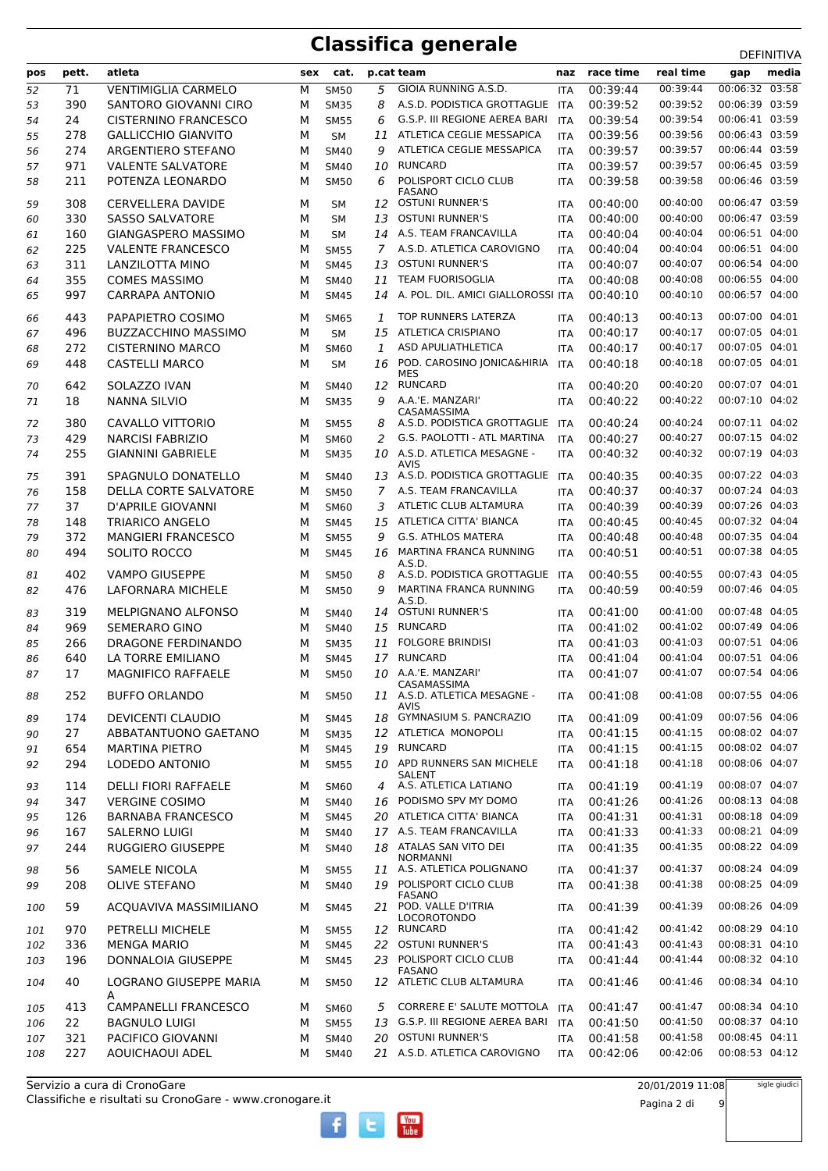| pos      | pett.      | atleta                                        | sex    | cat.                       |                | p.cat team                                            | naz               | race time            | real time            | gap                              | media |
|----------|------------|-----------------------------------------------|--------|----------------------------|----------------|-------------------------------------------------------|-------------------|----------------------|----------------------|----------------------------------|-------|
| 52       | 71         | <b>VENTIMIGLIA CARMELO</b>                    | М      | <b>SM50</b>                | 5.             | GIOIA RUNNING A.S.D.                                  | <b>ITA</b>        | 00:39:44             | 00:39:44             | 00:06:32 03:58                   |       |
| 53       | 390        | SANTORO GIOVANNI CIRO                         | м      | <b>SM35</b>                | 8              | A.S.D. PODISTICA GROTTAGLIE                           | ITA               | 00:39:52             | 00:39:52             | 00:06:39 03:59                   |       |
| 54       | 24         | <b>CISTERNINO FRANCESCO</b>                   | М      | <b>SM55</b>                | 6              | G.S.P. III REGIONE AEREA BARI                         | <b>ITA</b>        | 00:39:54             | 00:39:54             | 00:06:41 03:59                   |       |
| 55       | 278        | <b>GALLICCHIO GIANVITO</b>                    | М      | <b>SM</b>                  | 11             | ATLETICA CEGLIE MESSAPICA                             | <b>ITA</b>        | 00:39:56             | 00:39:56             | 00:06:43 03:59                   |       |
| 56       | 274        | ARGENTIERO STEFANO                            | М      | <b>SM40</b>                | 9              | ATLETICA CEGLIE MESSAPICA                             | <b>ITA</b>        | 00:39:57             | 00:39:57             | 00:06:44 03:59                   |       |
| 57       | 971        | <b>VALENTE SALVATORE</b>                      | М      | <b>SM40</b>                | 10             | <b>RUNCARD</b>                                        | <b>ITA</b>        | 00:39:57             | 00:39:57             | 00:06:45 03:59                   |       |
| 58       | 211        | POTENZA LEONARDO                              | М      | <b>SM50</b>                | 6              | POLISPORT CICLO CLUB<br><b>FASANO</b>                 | <b>ITA</b>        | 00:39:58             | 00:39:58             | 00:06:46 03:59                   |       |
| 59       | 308        | <b>CERVELLERA DAVIDE</b>                      | М      | SМ                         | 12             | <b>OSTUNI RUNNER'S</b>                                | ITA               | 00:40:00             | 00:40:00             | 00:06:47 03:59                   |       |
| 60       | 330        | <b>SASSO SALVATORE</b>                        | М      | <b>SM</b>                  | 13             | <b>OSTUNI RUNNER'S</b>                                | <b>ITA</b>        | 00:40:00             | 00:40:00             | 00:06:47 03:59                   |       |
| 61       | 160        | <b>GIANGASPERO MASSIMO</b>                    | М      | <b>SM</b>                  | 14             | A.S. TEAM FRANCAVILLA                                 | <b>ITA</b>        | 00:40:04             | 00:40:04             | 00:06:51 04:00                   |       |
| 62       | 225        | <b>VALENTE FRANCESCO</b>                      | М      | <b>SM55</b>                | $\overline{7}$ | A.S.D. ATLETICA CAROVIGNO                             | <b>ITA</b>        | 00:40:04             | 00:40:04             | 00:06:51 04:00                   |       |
| 63       | 311        | <b>LANZILOTTA MINO</b>                        | М      | <b>SM45</b>                | 13             | <b>OSTUNI RUNNER'S</b>                                | <b>ITA</b>        | 00:40:07             | 00:40:07             | 00:06:54 04:00                   |       |
| 64       | 355        | <b>COMES MASSIMO</b>                          | М      | <b>SM40</b>                | 11             | <b>TEAM FUORISOGLIA</b>                               | <b>ITA</b>        | 00:40:08             | 00:40:08             | 00:06:55 04:00                   |       |
| 65       | 997        | <b>CARRAPA ANTONIO</b>                        | М      | <b>SM45</b>                | 14             | A. POL. DIL. AMICI GIALLOROSSI ITA                    |                   | 00:40:10             | 00:40:10             | 00:06:57 04:00                   |       |
| 66       | 443        | PAPAPIETRO COSIMO                             | м      | <b>SM65</b>                | 1              | TOP RUNNERS LATERZA                                   | <b>ITA</b>        | 00:40:13             | 00:40:13             | 00:07:00 04:01                   |       |
| 67       | 496        | <b>BUZZACCHINO MASSIMO</b>                    | М      | <b>SM</b>                  | 15             | <b>ATLETICA CRISPIANO</b>                             | <b>ITA</b>        | 00:40:17             | 00:40:17             | 00:07:05 04:01                   |       |
| 68       | 272        | <b>CISTERNINO MARCO</b>                       | М      | <b>SM60</b>                | 1              | <b>ASD APULIATHLETICA</b>                             | <b>ITA</b>        | 00:40:17             | 00:40:17             | 00:07:05 04:01                   |       |
| 69       | 448        | <b>CASTELLI MARCO</b>                         | м      | <b>SM</b>                  | 16             | POD. CAROSINO JONICA&HIRIA                            | ITA               | 00:40:18             | 00:40:18             | 00:07:05 04:01                   |       |
|          |            |                                               |        |                            |                | MES                                                   |                   |                      |                      |                                  |       |
| 70       | 642        | SOLAZZO IVAN                                  | м      | <b>SM40</b>                | 12             | <b>RUNCARD</b>                                        | <b>ITA</b>        | 00:40:20             | 00:40:20             | 00:07:07 04:01                   |       |
| 71       | 18         | <b>NANNA SILVIO</b>                           | м      | <b>SM35</b>                | 9              | A.A.'E. MANZARI'<br>CASAMASSIMA                       | <b>ITA</b>        | 00:40:22             | 00:40:22             | 00:07:10 04:02                   |       |
| 72       | 380        | CAVALLO VITTORIO                              | М      | <b>SM55</b>                | 8              | A.S.D. PODISTICA GROTTAGLIE                           | ITA               | 00:40:24             | 00:40:24             | 00:07:11 04:02                   |       |
| 73       | 429        | <b>NARCISI FABRIZIO</b>                       | М      | <b>SM60</b>                | 2              | G.S. PAOLOTTI - ATL MARTINA                           | <b>ITA</b>        | 00:40:27             | 00:40:27             | 00:07:15 04:02                   |       |
| 74       | 255        | <b>GIANNINI GABRIELE</b>                      | М      | <b>SM35</b>                |                | 10 A.S.D. ATLETICA MESAGNE -                          | ITA               | 00:40:32             | 00:40:32             | 00:07:19 04:03                   |       |
| 75       | 391        | SPAGNULO DONATELLO                            | м      | <b>SM40</b>                | 13             | <b>AVIS</b><br>A.S.D. PODISTICA GROTTAGLIE            | ITA               | 00:40:35             | 00:40:35             | 00:07:22 04:03                   |       |
| 76       | 158        | DELLA CORTE SALVATORE                         | М      | <b>SM50</b>                | $\overline{7}$ | A.S. TEAM FRANCAVILLA                                 | <b>ITA</b>        | 00:40:37             | 00:40:37             | 00:07:24 04:03                   |       |
| 77       | 37         | <b>D'APRILE GIOVANNI</b>                      | М      | <b>SM60</b>                | 3              | ATLETIC CLUB ALTAMURA                                 | <b>ITA</b>        | 00:40:39             | 00:40:39             | 00:07:26 04:03                   |       |
| 78       | 148        | <b>TRIARICO ANGELO</b>                        | м      | <b>SM45</b>                | 15             | ATLETICA CITTA' BIANCA                                | <b>ITA</b>        | 00:40:45             | 00:40:45             | 00:07:32 04:04                   |       |
| 79       | 372        | <b>MANGIERI FRANCESCO</b>                     | М      | <b>SM55</b>                | 9              | <b>G.S. ATHLOS MATERA</b>                             | <b>ITA</b>        | 00:40:48             | 00:40:48             | 00:07:35 04:04                   |       |
| 80       | 494        | SOLITO ROCCO                                  | М      | <b>SM45</b>                |                | 16 MARTINA FRANCA RUNNING                             | <b>ITA</b>        | 00:40:51             | 00:40:51             | 00:07:38 04:05                   |       |
|          |            |                                               |        |                            |                | A.S.D.                                                |                   |                      | 00:40:55             | 00:07:43 04:05                   |       |
| 81       | 402<br>476 | <b>VAMPO GIUSEPPE</b>                         | м      | <b>SM50</b>                | 8<br>9         | A.S.D. PODISTICA GROTTAGLIE<br>MARTINA FRANCA RUNNING | ITA               | 00:40:55<br>00:40:59 | 00:40:59             | 00:07:46 04:05                   |       |
| 82       |            | LAFORNARA MICHELE                             | М      | <b>SM50</b>                |                | A.S.D.                                                | <b>ITA</b>        |                      |                      |                                  |       |
| 83       | 319        | MELPIGNANO ALFONSO                            | м      | <b>SM40</b>                | 14             | <b>OSTUNI RUNNER'S</b>                                | ITA               | 00:41:00             | 00:41:00             | 00:07:48 04:05                   |       |
| 84       | 969        | <b>SEMERARO GINO</b>                          | м      | SM40                       | 15             | RUNCARD                                               | <b>ITA</b>        | 00:41:02             | 00:41:02             | 00:07:49 04:06                   |       |
| 85       | 266        | <b>DRAGONE FERDINANDO</b>                     | м      | <b>SM35</b>                | 11             | <b>FOLGORE BRINDISI</b>                               | <b>ITA</b>        | 00:41:03             | 00:41:03             | 00:07:51 04:06                   |       |
| 86       | 640        | LA TORRE EMILIANO                             | М      | <b>SM45</b>                | 17             | <b>RUNCARD</b>                                        | <b>ITA</b>        | 00:41:04             | 00:41:04             | 00:07:51 04:06                   |       |
| 87       | 17         | <b>MAGNIFICO RAFFAELE</b>                     | м      | <b>SM50</b>                |                | 10 A.A.'E. MANZARI'<br>CASAMASSIMA                    | <b>ITA</b>        | 00:41:07             | 00:41:07             | 00:07:54 04:06                   |       |
| 88       | 252        | <b>BUFFO ORLANDO</b>                          | м      | <b>SM50</b>                |                | 11 A.S.D. ATLETICA MESAGNE -                          | ITA               | 00:41:08             | 00:41:08             | 00:07:55 04:06                   |       |
|          |            |                                               |        |                            |                | <b>AVIS</b>                                           |                   |                      |                      |                                  |       |
| 89       | 174        | DEVICENTI CLAUDIO                             | м      | <b>SM45</b>                |                | 18 GYMNASIUM S. PANCRAZIO<br>12 ATLETICA MONOPOLI     | <b>ITA</b>        | 00:41:09             | 00:41:09<br>00:41:15 | 00:07:56 04:06<br>00:08:02 04:07 |       |
| 90       | 27<br>654  | ABBATANTUONO GAETANO<br><b>MARTINA PIETRO</b> | М<br>м | <b>SM35</b><br><b>SM45</b> |                | 19 RUNCARD                                            | ITA               | 00:41:15<br>00:41:15 | 00:41:15             | 00:08:02 04:07                   |       |
| 91<br>92 | 294        | LODEDO ANTONIO                                | м      | <b>SM55</b>                |                | 10 APD RUNNERS SAN MICHELE                            | ITA<br><b>ITA</b> | 00:41:18             | 00:41:18             | 00:08:06 04:07                   |       |
|          |            |                                               |        |                            |                | <b>SALENT</b>                                         |                   |                      |                      |                                  |       |
| 93       | 114        | <b>DELLI FIORI RAFFAELE</b>                   | М      | <b>SM60</b>                |                | 4 A.S. ATLETICA LATIANO                               | <b>ITA</b>        | 00:41:19             | 00:41:19             | 00:08:07 04:07                   |       |
| 94       | 347        | <b>VERGINE COSIMO</b>                         | м      | SM40                       |                | 16 PODISMO SPV MY DOMO                                | ITA               | 00:41:26             | 00:41:26             | 00:08:13 04:08                   |       |
| 95       | 126        | <b>BARNABA FRANCESCO</b>                      | М      | <b>SM45</b>                |                | 20 ATLETICA CITTA' BIANCA                             | ITA               | 00:41:31             | 00:41:31             | 00:08:18 04:09                   |       |
| 96       | 167        | SALERNO LUIGI                                 | М      | <b>SM40</b>                |                | 17 A.S. TEAM FRANCAVILLA                              | ITA               | 00:41:33             | 00:41:33             | 00:08:21 04:09                   |       |
| 97       | 244        | RUGGIERO GIUSEPPE                             | м      | SM40                       |                | 18 ATALAS SAN VITO DEI<br><b>NORMANNI</b>             | ITA               | 00:41:35             | 00:41:35             | 00:08:22 04:09                   |       |
| 98       | 56         | SAMELE NICOLA                                 | М      | <b>SM55</b>                |                | 11 A.S. ATLETICA POLIGNANO                            | ITA               | 00:41:37             | 00:41:37             | 00:08:24 04:09                   |       |
| 99       | 208        | <b>OLIVE STEFANO</b>                          | м      | SM40                       | 19             | POLISPORT CICLO CLUB                                  | <b>ITA</b>        | 00:41:38             | 00:41:38             | 00:08:25 04:09                   |       |
|          | 59         | ACQUAVIVA MASSIMILIANO                        |        |                            |                | <b>FASANO</b><br>21 POD. VALLE D'ITRIA                |                   | 00:41:39             | 00:41:39             | 00:08:26 04:09                   |       |
| 100      |            |                                               | м      | <b>SM45</b>                |                | LOCOROTONDO                                           | <b>ITA</b>        |                      |                      |                                  |       |
| 101      | 970        | PETRELLI MICHELE                              | м      | <b>SM55</b>                |                | 12 RUNCARD                                            | <b>ITA</b>        | 00:41:42             | 00:41:42             | 00:08:29 04:10                   |       |
| 102      | 336        | <b>MENGA MARIO</b>                            | М      | <b>SM45</b>                |                | 22 OSTUNI RUNNER'S                                    | <b>ITA</b>        | 00:41:43             | 00:41:43             | 00:08:31 04:10                   |       |
| 103      | 196        | DONNALOIA GIUSEPPE                            | м      | <b>SM45</b>                | 23             | POLISPORT CICLO CLUB                                  | ITA               | 00:41:44             | 00:41:44             | 00:08:32 04:10                   |       |
| 104      | 40         | LOGRANO GIUSEPPE MARIA<br>A                   | м      | <b>SM50</b>                |                | <b>FASANO</b><br>12 ATLETIC CLUB ALTAMURA             | <b>ITA</b>        | 00:41:46             | 00:41:46             | 00:08:34 04:10                   |       |
| 105      | 413        | <b>CAMPANELLI FRANCESCO</b>                   | М      | SM60                       | 5              | CORRERE E' SALUTE MOTTOLA                             | <b>ITA</b>        | 00:41:47             | 00:41:47             | 00:08:34 04:10                   |       |
| 106      | 22         | <b>BAGNULO LUIGI</b>                          | М      | <b>SM55</b>                | 13             | G.S.P. III REGIONE AEREA BARI                         | <b>ITA</b>        | 00:41:50             | 00:41:50             | 00:08:37 04:10                   |       |
| 107      | 321        | PACIFICO GIOVANNI                             | М      | SM40                       | 20             | <b>OSTUNI RUNNER'S</b>                                | <b>ITA</b>        | 00:41:58             | 00:41:58             | 00:08:45 04:11                   |       |
| 108      | 227        | AOUICHAOUI ADEL                               | М      | SM40                       |                | 21 A.S.D. ATLETICA CAROVIGNO                          | <b>ITA</b>        | 00:42:06             | 00:42:06             | 00:08:53 04:12                   |       |
|          |            |                                               |        |                            |                |                                                       |                   |                      |                      |                                  |       |

Classifiche e risultati su CronoGare - www.cronogare.it Servizio a cura di CronoGare

20/01/2019 11:08

Pagina 2 di 9

sigle giudici

 $\begin{bmatrix}\n\frac{\text{Vou}}{\text{Iube}}\n\end{bmatrix}$ f É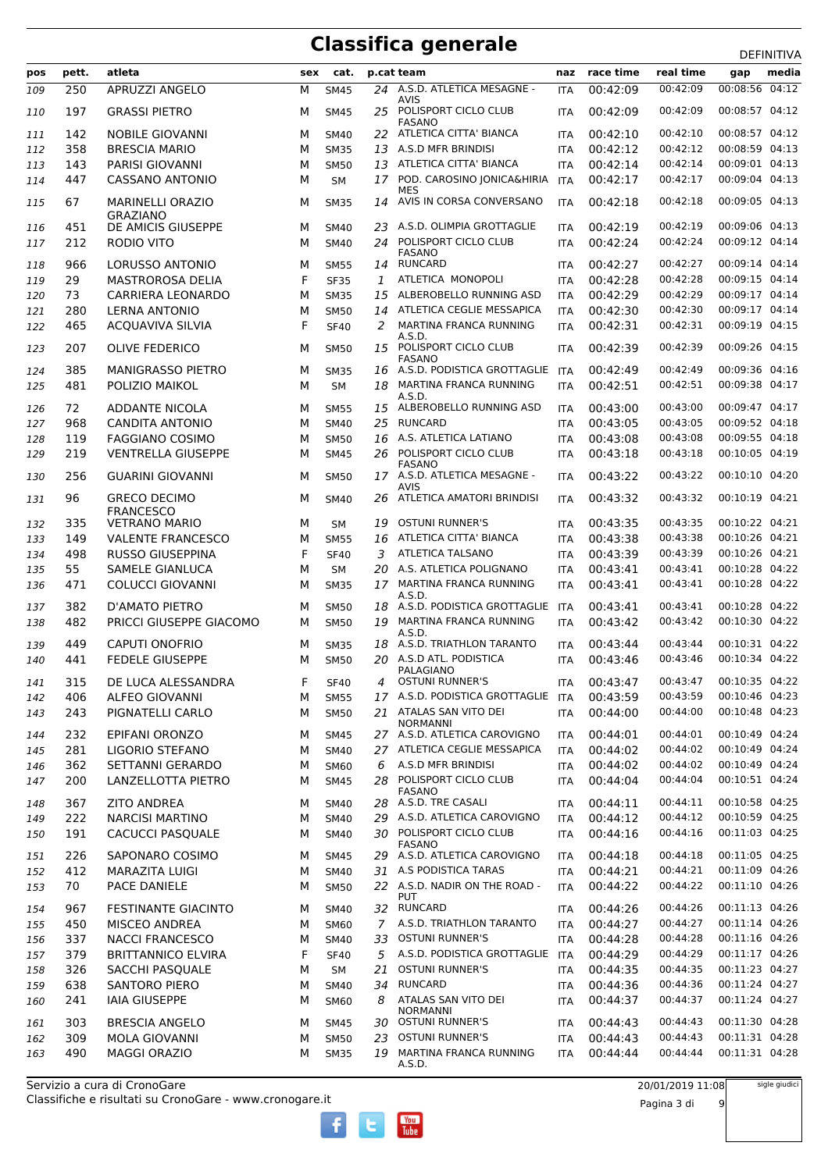|            |            |                                              |        |                            |         |                                                             |                          |                      |                      | DEFINITIVA                       |
|------------|------------|----------------------------------------------|--------|----------------------------|---------|-------------------------------------------------------------|--------------------------|----------------------|----------------------|----------------------------------|
| pos        | pett.      | atleta                                       | sex    | cat.                       |         | p.cat team                                                  | naz                      | race time            | real time            | media<br>gap                     |
| 109        | 250        | APRUZZI ANGELO                               | М      | <b>SM45</b>                |         | 24 A.S.D. ATLETICA MESAGNE -                                | <b>ITA</b>               | 00:42:09             | 00:42:09             | 00:08:56 04:12                   |
| 110        | 197        | <b>GRASSI PIETRO</b>                         | м      | <b>SM45</b>                | 25      | AVIS<br>POLISPORT CICLO CLUB<br><b>FASANO</b>               | <b>ITA</b>               | 00:42:09             | 00:42:09             | 00:08:57 04:12                   |
| 111        | 142        | <b>NOBILE GIOVANNI</b>                       | м      | <b>SM40</b>                |         | 22 ATLETICA CITTA' BIANCA                                   | <b>ITA</b>               | 00:42:10             | 00:42:10             | 00:08:57 04:12                   |
| 112        | 358        | <b>BRESCIA MARIO</b>                         | M      | <b>SM35</b>                | 13      | A.S.D MFR BRINDISI                                          | <b>ITA</b>               | 00:42:12             | 00:42:12             | 00:08:59 04:13                   |
| 113        | 143        | PARISI GIOVANNI                              | M      | <b>SM50</b>                | 13      | ATLETICA CITTA' BIANCA                                      | <b>ITA</b>               | 00:42:14             | 00:42:14             | 00:09:01 04:13                   |
| 114        | 447        | <b>CASSANO ANTONIO</b>                       | М      | <b>SM</b>                  |         | 17 POD. CAROSINO JONICA&HIRIA                               | ITA                      | 00:42:17             | 00:42:17             | 00:09:04 04:13                   |
| 115        | 67         | <b>MARINELLI ORAZIO</b>                      | м      | <b>SM35</b>                | 14      | <b>MES</b><br>AVIS IN CORSA CONVERSANO                      | <b>ITA</b>               | 00:42:18             | 00:42:18             | 00:09:05 04:13                   |
|            |            | <b>GRAZIANO</b>                              |        |                            |         |                                                             |                          |                      |                      |                                  |
| 116        | 451        | DE AMICIS GIUSEPPE                           | м      | <b>SM40</b>                | 23      | A.S.D. OLIMPIA GROTTAGLIE                                   | <b>ITA</b>               | 00:42:19             | 00:42:19             | 00:09:06 04:13                   |
| 117        | 212        | <b>RODIO VITO</b>                            | M      | <b>SM40</b>                | 24      | POLISPORT CICLO CLUB<br>FASANO                              | <b>ITA</b>               | 00:42:24             | 00:42:24             | 00:09:12 04:14                   |
| 118        | 966        | LORUSSO ANTONIO                              | M      | <b>SM55</b>                |         | 14 RUNCARD                                                  | <b>ITA</b>               | 00:42:27             | 00:42:27             | 00:09:14 04:14                   |
| 119        | 29         | <b>MASTROROSA DELIA</b>                      | F      | <b>SF35</b>                | 1       | ATLETICA MONOPOLI                                           | <b>ITA</b>               | 00:42:28             | 00:42:28             | 00:09:15 04:14                   |
| 120        | 73         | CARRIERA LEONARDO                            | М      | <b>SM35</b>                | 15      | ALBEROBELLO RUNNING ASD                                     | <b>ITA</b>               | 00:42:29             | 00:42:29             | 00:09:17 04:14                   |
| 121        | 280        | <b>LERNA ANTONIO</b>                         | M      | <b>SM50</b>                | 14      | ATLETICA CEGLIE MESSAPICA                                   | <b>ITA</b>               | 00:42:30             | 00:42:30             | 00:09:17 04:14                   |
| 122        | 465        | <b>ACQUAVIVA SILVIA</b>                      | F      | <b>SF40</b>                | 2       | MARTINA FRANCA RUNNING                                      | ITA                      | 00:42:31             | 00:42:31             | 00:09:19 04:15                   |
| 123        | 207        | <b>OLIVE FEDERICO</b>                        | м      | <b>SM50</b>                |         | A.S.D.<br>15 POLISPORT CICLO CLUB                           | <b>ITA</b>               | 00:42:39             | 00:42:39             | 00:09:26 04:15                   |
| 124        | 385        | <b>MANIGRASSO PIETRO</b>                     | М      | <b>SM35</b>                | 16      | <b>FASANO</b><br>A.S.D. PODISTICA GROTTAGLIE                | ITA                      | 00:42:49             | 00:42:49             | 00:09:36 04:16                   |
| 125        | 481        | POLIZIO MAIKOL                               | м      | <b>SM</b>                  | 18      | MARTINA FRANCA RUNNING                                      | <b>ITA</b>               | 00:42:51             | 00:42:51             | 00:09:38 04:17                   |
|            |            |                                              |        |                            |         | A.S.D.                                                      |                          |                      |                      |                                  |
| 126        | 72         | <b>ADDANTE NICOLA</b>                        | M      | <b>SM55</b>                |         | 15 ALBEROBELLO RUNNING ASD                                  | <b>ITA</b>               | 00:43:00             | 00:43:00             | 00:09:47 04:17                   |
| 127        | 968        | CANDITA ANTONIO                              | M      | <b>SM40</b>                | 25      | RUNCARD                                                     | <b>ITA</b>               | 00:43:05             | 00:43:05             | 00:09:52 04:18                   |
| 128        | 119        | <b>FAGGIANO COSIMO</b>                       | М      | <b>SM50</b>                | 16      | A.S. ATLETICA LATIANO                                       | <b>ITA</b>               | 00:43:08             | 00:43:08             | 00:09:55 04:18                   |
| 129        | 219        | <b>VENTRELLA GIUSEPPE</b>                    | M      | <b>SM45</b>                | 26      | POLISPORT CICLO CLUB                                        | <b>ITA</b>               | 00:43:18             | 00:43:18             | 00:10:05 04:19                   |
|            |            |                                              |        |                            |         | <b>FASANO</b>                                               |                          |                      |                      |                                  |
| 130        | 256        | <b>GUARINI GIOVANNI</b>                      | M      | <b>SM50</b>                |         | 17 A.S.D. ATLETICA MESAGNE -<br>AVIS                        | <b>ITA</b>               | 00:43:22             | 00:43:22             | 00:10:10 04:20                   |
| 131        | 96         | <b>GRECO DECIMO</b><br><b>FRANCESCO</b>      | м      | <b>SM40</b>                |         | 26 ATLETICA AMATORI BRINDISI                                | <b>ITA</b>               | 00:43:32             | 00:43:32             | 00:10:19 04:21                   |
| 132        | 335        | <b>VETRANO MARIO</b>                         | м      | <b>SM</b>                  | 19      | <b>OSTUNI RUNNER'S</b>                                      | <b>ITA</b>               | 00:43:35             | 00:43:35             | 00:10:22 04:21                   |
| 133        | 149        | <b>VALENTE FRANCESCO</b>                     | М      | <b>SM55</b>                | 16      | ATLETICA CITTA' BIANCA                                      | <b>ITA</b>               | 00:43:38             | 00:43:38             | 00:10:26 04:21                   |
| 134        | 498        | <b>RUSSO GIUSEPPINA</b>                      | F      | <b>SF40</b>                | 3       | <b>ATLETICA TALSANO</b>                                     | <b>ITA</b>               | 00:43:39             | 00:43:39             | 00:10:26 04:21                   |
| 135        | 55         | <b>SAMELE GIANLUCA</b>                       | М      | <b>SM</b>                  | 20      | A.S. ATLETICA POLIGNANO                                     | <b>ITA</b>               | 00:43:41             | 00:43:41             | 00:10:28 04:22                   |
| 136        | 471        | <b>COLUCCI GIOVANNI</b>                      | M      | <b>SM35</b>                | 17      | MARTINA FRANCA RUNNING<br>A.S.D.                            | <b>ITA</b>               | 00:43:41             | 00:43:41             | 00:10:28 04:22                   |
| 137        | 382        | D'AMATO PIETRO                               | M      | <b>SM50</b>                | 18      | A.S.D. PODISTICA GROTTAGLIE                                 | ITA                      | 00:43:41             | 00:43:41             | 00:10:28 04:22                   |
| 138        | 482        | PRICCI GIUSEPPE GIACOMO                      | М      | <b>SM50</b>                | 19      | MARTINA FRANCA RUNNING<br>A.S.D.                            | <b>ITA</b>               | 00:43:42             | 00:43:42             | 00:10:30 04:22<br>00:10:31 04:22 |
| 139        | 449        | <b>CAPUTI ONOFRIO</b>                        | M      | <b>SM35</b>                | 18      | A.S.D. TRIATHLON TARANTO                                    | <b>ITA</b>               | 00:43:44             | 00:43:44             |                                  |
| 140<br>141 | 441<br>315 | <b>FEDELE GIUSEPPE</b><br>DE LUCA ALESSANDRA | м<br>F | <b>SM50</b><br><b>SF40</b> | 20<br>4 | A.S.D ATL. PODISTICA<br>PALAGIANO<br><b>OSTUNI RUNNER'S</b> | <b>ITA</b><br><b>ITA</b> | 00:43:46<br>00:43:47 | 00:43:46<br>00:43:47 | 00:10:34 04:22<br>00:10:35 04:22 |
| 142        | 406        | <b>ALFEO GIOVANNI</b>                        | М      | <b>SM55</b>                |         | 17 A.S.D. PODISTICA GROTTAGLIE                              | ITA                      | 00:43:59             | 00:43:59             | 00:10:46 04:23                   |
| 143        | 243        | PIGNATELLI CARLO                             | М      | <b>SM50</b>                |         | 21 ATALAS SAN VITO DEI<br><b>NORMANNI</b>                   | <b>ITA</b>               | 00:44:00             | 00:44:00             | 00:10:48 04:23                   |
| 144        | 232        | EPIFANI ORONZO                               | М      | <b>SM45</b>                |         | 27 A.S.D. ATLETICA CAROVIGNO                                | <b>ITA</b>               | 00:44:01             | 00:44:01             | 00:10:49 04:24                   |
| 145        | 281        | LIGORIO STEFANO                              | М      | SM40                       |         | 27 ATLETICA CEGLIE MESSAPICA                                | <b>ITA</b>               | 00:44:02             | 00:44:02             | 00:10:49 04:24                   |
| 146        | 362        | SETTANNI GERARDO                             | М      | SM60                       | 6       | A.S.D MFR BRINDISI                                          | <b>ITA</b>               | 00:44:02             | 00:44:02             | 00:10:49 04:24                   |
| 147        | 200        | LANZELLOTTA PIETRO                           | М      | <b>SM45</b>                |         | 28 POLISPORT CICLO CLUB<br><b>FASANO</b>                    | ITA                      | 00:44:04             | 00:44:04             | 00:10:51 04:24                   |
| 148        | 367        | <b>ZITO ANDREA</b>                           | М      | <b>SM40</b>                |         | 28 A.S.D. TRE CASALI                                        | <b>ITA</b>               | 00:44:11             | 00:44:11             | 00:10:58 04:25                   |
| 149        | 222        | <b>NARCISI MARTINO</b>                       | М      | <b>SM40</b>                | 29      | A.S.D. ATLETICA CAROVIGNO                                   | <b>ITA</b>               | 00:44:12             | 00:44:12             | 00:10:59 04:25                   |
| 150        | 191        | <b>CACUCCI PASQUALE</b>                      | М      | <b>SM40</b>                |         | 30 POLISPORT CICLO CLUB<br><b>FASANO</b>                    | ITA                      | 00:44:16             | 00:44:16             | 00:11:03 04:25                   |
| 151        | 226        | SAPONARO COSIMO                              | М      | <b>SM45</b>                |         | 29 A.S.D. ATLETICA CAROVIGNO                                | ITA                      | 00:44:18             | 00:44:18             | 00:11:05 04:25                   |
| 152        | 412        | MARAZITA LUIGI                               | М      | SM40                       |         | 31 A.S PODISTICA TARAS                                      | <b>ITA</b>               | 00:44:21             | 00:44:21             | 00:11:09 04:26                   |
| 153        | 70         | PACE DANIELE                                 | м      | <b>SM50</b>                |         | 22 A.S.D. NADIR ON THE ROAD -<br><b>PUT</b>                 | <b>ITA</b>               | 00:44:22             | 00:44:22             | 00:11:10 04:26                   |
| 154        | 967        | <b>FESTINANTE GIACINTO</b>                   | М      | <b>SM40</b>                |         | 32 RUNCARD                                                  | <b>ITA</b>               | 00:44:26             | 00:44:26             | 00:11:13 04:26                   |
| 155        | 450        | <b>MISCEO ANDREA</b>                         | М      | SM60                       |         | 7 A.S.D. TRIATHLON TARANTO                                  | <b>ITA</b>               | 00:44:27             | 00:44:27             | 00:11:14 04:26                   |
| 156        | 337        | <b>NACCI FRANCESCO</b>                       | М      | <b>SM40</b>                |         | 33 OSTUNI RUNNER'S                                          | <b>ITA</b>               | 00:44:28             | 00:44:28             | 00:11:16 04:26                   |
| 157        | 379        | BRITTANNICO ELVIRA                           | F      | <b>SF40</b>                |         | 5 A.S.D. PODISTICA GROTTAGLIE ITA                           |                          | 00:44:29             | 00:44:29             | 00:11:17 04:26                   |
| 158        | 326        | SACCHI PASQUALE                              | М      | SM                         | 21      | <b>OSTUNI RUNNER'S</b>                                      | <b>ITA</b>               | 00:44:35             | 00:44:35             | 00:11:23 04:27                   |
| 159        | 638        | SANTORO PIERO                                | М      | <b>SM40</b>                | 34      | <b>RUNCARD</b>                                              | <b>ITA</b>               | 00:44:36             | 00:44:36             | 00:11:24 04:27                   |
| 160        | 241        | <b>IAIA GIUSEPPE</b>                         | М      | <b>SM60</b>                | 8       | ATALAS SAN VITO DEI<br><b>NORMANNI</b>                      | <b>ITA</b>               | 00:44:37             | 00:44:37             | 00:11:24 04:27                   |
| 161        | 303        | <b>BRESCIA ANGELO</b>                        | М      | <b>SM45</b>                | 30      | <b>OSTUNI RUNNER'S</b>                                      | ITA                      | 00:44:43             | 00:44:43             | 00:11:30 04:28                   |
| 162        | 309        | <b>MOLA GIOVANNI</b>                         | М      | <b>SM50</b>                |         | 23 OSTUNI RUNNER'S                                          | <b>ITA</b>               | 00:44:43             | 00:44:43             | 00:11:31 04:28                   |
| 163        | 490        | <b>MAGGI ORAZIO</b>                          | м      | <b>SM35</b>                |         | 19 MARTINA FRANCA RUNNING<br>A.S.D.                         | <b>ITA</b>               | 00:44:44             | 00:44:44             | 00:11:31 04:28                   |

 $\begin{bmatrix}\n\frac{\text{Vou}}{\text{Iube}}\n\end{bmatrix}$ 

f

ŧ

Classifiche e risultati su CronoGare - www.cronogare.it Servizio a cura di CronoGare

20/01/2019 11:08

Pagina 3 di 9

sigle giudici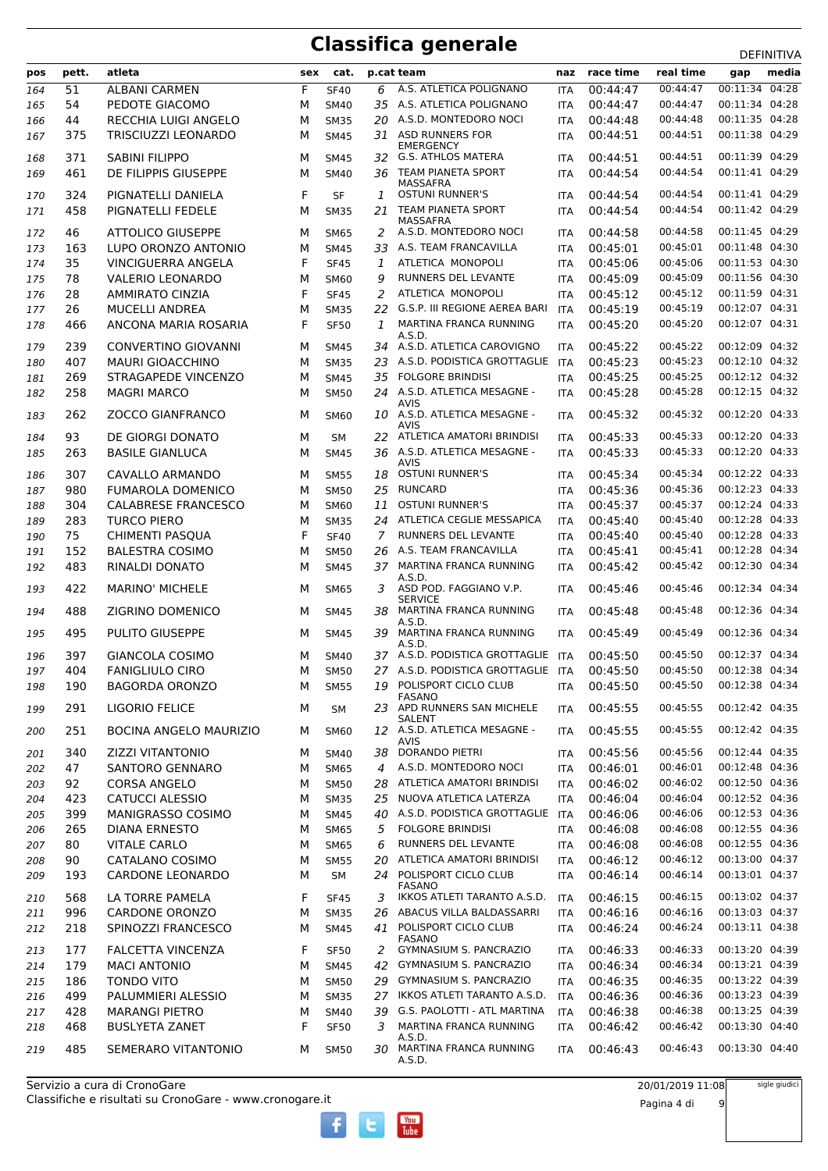|     | pett. | atleta                        | sex | cat.        |                |                                               | naz        | race time | real time | -----------<br>media |
|-----|-------|-------------------------------|-----|-------------|----------------|-----------------------------------------------|------------|-----------|-----------|----------------------|
| pos |       |                               |     |             |                | p.cat team                                    |            |           |           | gap                  |
| 164 | 51    | <b>ALBANI CARMEN</b>          | F   | <b>SF40</b> | 6              | A.S. ATLETICA POLIGNANO                       | <b>ITA</b> | 00:44:47  | 00:44:47  | 00:11:34 04:28       |
| 165 | 54    | PEDOTE GIACOMO                | M   | <b>SM40</b> |                | 35 A.S. ATLETICA POLIGNANO                    | <b>ITA</b> | 00:44:47  | 00:44:47  | 00:11:34 04:28       |
| 166 | 44    | RECCHIA LUIGI ANGELO          | M   | <b>SM35</b> | 20             | A.S.D. MONTEDORO NOCI                         | <b>ITA</b> | 00:44:48  | 00:44:48  | 00:11:35 04:28       |
| 167 | 375   | <b>TRISCIUZZI LEONARDO</b>    | м   | <b>SM45</b> |                | 31 ASD RUNNERS FOR<br><b>EMERGENCY</b>        | <b>ITA</b> | 00:44:51  | 00:44:51  | 00:11:38 04:29       |
| 168 | 371   | <b>SABINI FILIPPO</b>         | M   | SM45        | 32             | <b>G.S. ATHLOS MATERA</b>                     | <b>ITA</b> | 00:44:51  | 00:44:51  | 00:11:39 04:29       |
| 169 | 461   | DE FILIPPIS GIUSEPPE          | M   | <b>SM40</b> | 36             | TEAM PIANETA SPORT<br>MASSAFRA                | <b>ITA</b> | 00:44:54  | 00:44:54  | 00:11:41 04:29       |
| 170 | 324   | PIGNATELLI DANIELA            | F   | SF          | 1              | <b>OSTUNI RUNNER'S</b>                        | <b>ITA</b> | 00:44:54  | 00:44:54  | 00:11:41 04:29       |
| 171 | 458   | PIGNATELLI FEDELE             | М   | <b>SM35</b> |                | 21 TEAM PIANETA SPORT<br>MASSAFRA             | <b>ITA</b> | 00:44:54  | 00:44:54  | 00:11:42 04:29       |
| 172 | 46    | <b>ATTOLICO GIUSEPPE</b>      | M   | <b>SM65</b> | 2              | A.S.D. MONTEDORO NOCI                         | <b>ITA</b> | 00:44:58  | 00:44:58  | 00:11:45 04:29       |
| 173 | 163   | LUPO ORONZO ANTONIO           | М   | <b>SM45</b> | 33.            | A.S. TEAM FRANCAVILLA                         | <b>ITA</b> | 00:45:01  | 00:45:01  | 00:11:48 04:30       |
| 174 | 35    | <b>VINCIGUERRA ANGELA</b>     | F   | <b>SF45</b> | 1              | ATLETICA MONOPOLI                             | <b>ITA</b> | 00:45:06  | 00:45:06  | 00:11:53 04:30       |
| 175 | 78    | <b>VALERIO LEONARDO</b>       | М   | <b>SM60</b> | 9              | RUNNERS DEL LEVANTE                           | <b>ITA</b> | 00:45:09  | 00:45:09  | 00:11:56 04:30       |
| 176 | 28    | <b>AMMIRATO CINZIA</b>        | F   | <b>SF45</b> | 2              | ATLETICA MONOPOLI                             | <b>ITA</b> | 00:45:12  | 00:45:12  | 00:11:59 04:31       |
| 177 | 26    | <b>MUCELLI ANDREA</b>         | M   | <b>SM35</b> | 22             | G.S.P. III REGIONE AEREA BARI                 | <b>ITA</b> | 00:45:19  | 00:45:19  | 00:12:07 04:31       |
| 178 | 466   | ANCONA MARIA ROSARIA          | F   | <b>SF50</b> | 1              | MARTINA FRANCA RUNNING                        | <b>ITA</b> | 00:45:20  | 00:45:20  | 00:12:07 04:31       |
| 179 | 239   | CONVERTINO GIOVANNI           | M   | <b>SM45</b> |                | A.S.D.<br>34 A.S.D. ATLETICA CAROVIGNO        | <b>ITA</b> | 00:45:22  | 00:45:22  | 00:12:09 04:32       |
| 180 | 407   | <b>MAURI GIOACCHINO</b>       | M   | <b>SM35</b> | 23             | A.S.D. PODISTICA GROTTAGLIE                   | ITA        | 00:45:23  | 00:45:23  | 00:12:10 04:32       |
| 181 | 269   | <b>STRAGAPEDE VINCENZO</b>    | М   | <b>SM45</b> | 35             | <b>FOLGORE BRINDISI</b>                       | <b>ITA</b> | 00:45:25  | 00:45:25  | 00:12:12 04:32       |
| 182 | 258   | <b>MAGRI MARCO</b>            | M   | <b>SM50</b> |                | 24 A.S.D. ATLETICA MESAGNE -                  | <b>ITA</b> | 00:45:28  | 00:45:28  | 00:12:15 04:32       |
| 183 | 262   | <b>ZOCCO GIANFRANCO</b>       | M   | <b>SM60</b> |                | <b>AVIS</b><br>10 A.S.D. ATLETICA MESAGNE -   | <b>ITA</b> | 00:45:32  | 00:45:32  | 00:12:20 04:33       |
|     |       |                               |     |             |                | AVIS                                          |            |           |           |                      |
| 184 | 93    | DE GIORGI DONATO              | M   | <b>SM</b>   |                | 22 ATLETICA AMATORI BRINDISI                  | <b>ITA</b> | 00:45:33  | 00:45:33  | 00:12:20 04:33       |
| 185 | 263   | <b>BASILE GIANLUCA</b>        | M   | <b>SM45</b> |                | 36 A.S.D. ATLETICA MESAGNE -<br><b>AVIS</b>   | <b>ITA</b> | 00:45:33  | 00:45:33  | 00:12:20 04:33       |
| 186 | 307   | CAVALLO ARMANDO               | M   | <b>SM55</b> | 18             | <b>OSTUNI RUNNER'S</b>                        | <b>ITA</b> | 00:45:34  | 00:45:34  | 00:12:22 04:33       |
| 187 | 980   | <b>FUMAROLA DOMENICO</b>      | M   | <b>SM50</b> | 25             | <b>RUNCARD</b>                                | <b>ITA</b> | 00:45:36  | 00:45:36  | 00:12:23 04:33       |
| 188 | 304   | <b>CALABRESE FRANCESCO</b>    | M   | SM60        | 11             | <b>OSTUNI RUNNER'S</b>                        | <b>ITA</b> | 00:45:37  | 00:45:37  | 00:12:24 04:33       |
| 189 | 283   | <b>TURCO PIERO</b>            | M   | <b>SM35</b> | 24             | ATLETICA CEGLIE MESSAPICA                     | <b>ITA</b> | 00:45:40  | 00:45:40  | 00:12:28 04:33       |
| 190 | 75    | <b>CHIMENTI PASQUA</b>        | F   | <b>SF40</b> | 7              | RUNNERS DEL LEVANTE                           | <b>ITA</b> | 00:45:40  | 00:45:40  | 00:12:28 04:33       |
| 191 | 152   | <b>BALESTRA COSIMO</b>        | M   | <b>SM50</b> | 26             | A.S. TEAM FRANCAVILLA                         | <b>ITA</b> | 00:45:41  | 00:45:41  | 00:12:28 04:34       |
| 192 | 483   | RINALDI DONATO                | М   | <b>SM45</b> |                | 37 MARTINA FRANCA RUNNING<br>A.S.D.           | <b>ITA</b> | 00:45:42  | 00:45:42  | 00:12:30 04:34       |
| 193 | 422   | <b>MARINO' MICHELE</b>        | M   | <b>SM65</b> | 3              | ASD POD. FAGGIANO V.P.<br><b>SERVICE</b>      | <b>ITA</b> | 00:45:46  | 00:45:46  | 00:12:34 04:34       |
| 194 | 488   | ZIGRINO DOMENICO              | M   | <b>SM45</b> | 38             | MARTINA FRANCA RUNNING                        | <b>ITA</b> | 00:45:48  | 00:45:48  | 00:12:36 04:34       |
| 195 | 495   | PULITO GIUSEPPE               | м   | SM45        |                | A.S.D.<br>39 MARTINA FRANCA RUNNING<br>A.S.D. | <b>ITA</b> | 00:45:49  | 00:45:49  | 00:12:36 04:34       |
| 196 | 397   | <b>GIANCOLA COSIMO</b>        | M   | <b>SM40</b> | 37             | A.S.D. PODISTICA GROTTAGLIE                   | ITA        | 00:45:50  | 00:45:50  | 00:12:37 04:34       |
| 197 | 404   | <b>FANIGLIULO CIRO</b>        | м   | <b>SM50</b> |                | 27 A.S.D. PODISTICA GROTTAGLIE ITA            |            | 00:45:50  | 00:45:50  | 00:12:38 04:34       |
| 198 | 190   | <b>BAGORDA ORONZO</b>         | м   | <b>SM55</b> | 19             | POLISPORT CICLO CLUB                          | <b>ITA</b> | 00:45:50  | 00:45:50  | 00:12:38 04:34       |
| 199 | 291   | LIGORIO FELICE                | м   | SM          |                | FASANO<br>23 APD RUNNERS SAN MICHELE          | <b>ITA</b> | 00:45:55  | 00:45:55  | 00:12:42 04:35       |
| 200 | 251   | <b>BOCINA ANGELO MAURIZIO</b> | м   | <b>SM60</b> |                | <b>SALENT</b><br>12 A.S.D. ATLETICA MESAGNE - | <b>ITA</b> | 00:45:55  | 00:45:55  | 00:12:42 04:35       |
|     |       |                               |     |             |                | <b>AVIS</b>                                   |            |           |           |                      |
| 201 | 340   | ZIZZI VITANTONIO              | м   | <b>SM40</b> |                | 38 DORANDO PIETRI                             | ITA        | 00:45:56  | 00:45:56  | 00:12:44 04:35       |
| 202 | 47    | SANTORO GENNARO               | М   | <b>SM65</b> | $\overline{a}$ | A.S.D. MONTEDORO NOCI                         | <b>ITA</b> | 00:46:01  | 00:46:01  | 00:12:48 04:36       |
| 203 | 92    | <b>CORSA ANGELO</b>           | М   | <b>SM50</b> | 28             | ATLETICA AMATORI BRINDISI                     | ITA        | 00:46:02  | 00:46:02  | 00:12:50 04:36       |
| 204 | 423   | CATUCCI ALESSIO               | М   | <b>SM35</b> |                | 25 NUOVA ATLETICA LATERZA                     | <b>ITA</b> | 00:46:04  | 00:46:04  | 00:12:52 04:36       |
| 205 | 399   | <b>MANIGRASSO COSIMO</b>      | М   | <b>SM45</b> |                | 40 A.S.D. PODISTICA GROTTAGLIE                | ITA        | 00:46:06  | 00:46:06  | 00:12:53 04:36       |
| 206 | 265   | <b>DIANA ERNESTO</b>          | М   | <b>SM65</b> | 5              | <b>FOLGORE BRINDISI</b>                       | ITA        | 00:46:08  | 00:46:08  | 00:12:55 04:36       |
| 207 | 80    | <b>VITALE CARLO</b>           | M   | <b>SM65</b> | 6              | RUNNERS DEL LEVANTE                           | <b>ITA</b> | 00:46:08  | 00:46:08  | 00:12:55 04:36       |
| 208 | 90    | CATALANO COSIMO               | M   | <b>SM55</b> | 20             | ATLETICA AMATORI BRINDISI                     | <b>ITA</b> | 00:46:12  | 00:46:12  | 00:13:00 04:37       |
| 209 | 193   | CARDONE LEONARDO              | м   | SM          |                | 24 POLISPORT CICLO CLUB<br><b>FASANO</b>      | ITA        | 00:46:14  | 00:46:14  | 00:13:01 04:37       |
| 210 | 568   | LA TORRE PAMELA               | F   | <b>SF45</b> | 3              | IKKOS ATLETI TARANTO A.S.D.                   | <b>ITA</b> | 00:46:15  | 00:46:15  | 00:13:02 04:37       |
| 211 | 996   | <b>CARDONE ORONZO</b>         | М   | <b>SM35</b> | 26             | ABACUS VILLA BALDASSARRI                      | ITA        | 00:46:16  | 00:46:16  | 00:13:03 04:37       |
| 212 | 218   | SPINOZZI FRANCESCO            | М   | <b>SM45</b> | 41             | POLISPORT CICLO CLUB<br><b>FASANO</b>         | <b>ITA</b> | 00:46:24  | 00:46:24  | 00:13:11 04:38       |
| 213 | 177   | FALCETTA VINCENZA             | F   | <b>SF50</b> | 2              | <b>GYMNASIUM S. PANCRAZIO</b>                 | ITA        | 00:46:33  | 00:46:33  | 00:13:20 04:39       |
| 214 | 179   | <b>MACI ANTONIO</b>           | М   | <b>SM45</b> | 42             | GYMNASIUM S. PANCRAZIO                        | <b>ITA</b> | 00:46:34  | 00:46:34  | 00:13:21 04:39       |
| 215 | 186   | <b>TONDO VITO</b>             | М   | <b>SM50</b> | 29             | <b>GYMNASIUM S. PANCRAZIO</b>                 | <b>ITA</b> | 00:46:35  | 00:46:35  | 00:13:22 04:39       |
| 216 | 499   | PALUMMIERI ALESSIO            | М   | <b>SM35</b> | 27             | IKKOS ATLETI TARANTO A.S.D.                   | ITA        | 00:46:36  | 00:46:36  | 00:13:23 04:39       |
| 217 | 428   | <b>MARANGI PIETRO</b>         | М   | <b>SM40</b> | 39             | G.S. PAOLOTTI - ATL MARTINA                   | <b>ITA</b> | 00:46:38  | 00:46:38  | 00:13:25 04:39       |
| 218 | 468   | <b>BUSLYETA ZANET</b>         | F   | <b>SF50</b> | 3              | MARTINA FRANCA RUNNING<br>A.S.D.              | ITA        | 00:46:42  | 00:46:42  | 00:13:30 04:40       |
| 219 | 485   | SEMERARO VITANTONIO           | м   | <b>SM50</b> | 30             | MARTINA FRANCA RUNNING<br>A.S.D.              | <b>ITA</b> | 00:46:43  | 00:46:43  | 00:13:30 04:40       |

 $\begin{bmatrix}\n\frac{\text{Vou}}{\text{Iube}}\n\end{bmatrix}$ 

f

É

Classifiche e risultati su CronoGare - www.cronogare.it Servizio a cura di CronoGare

20/01/2019 11:08

Pagina 4 di 9

sigle giudici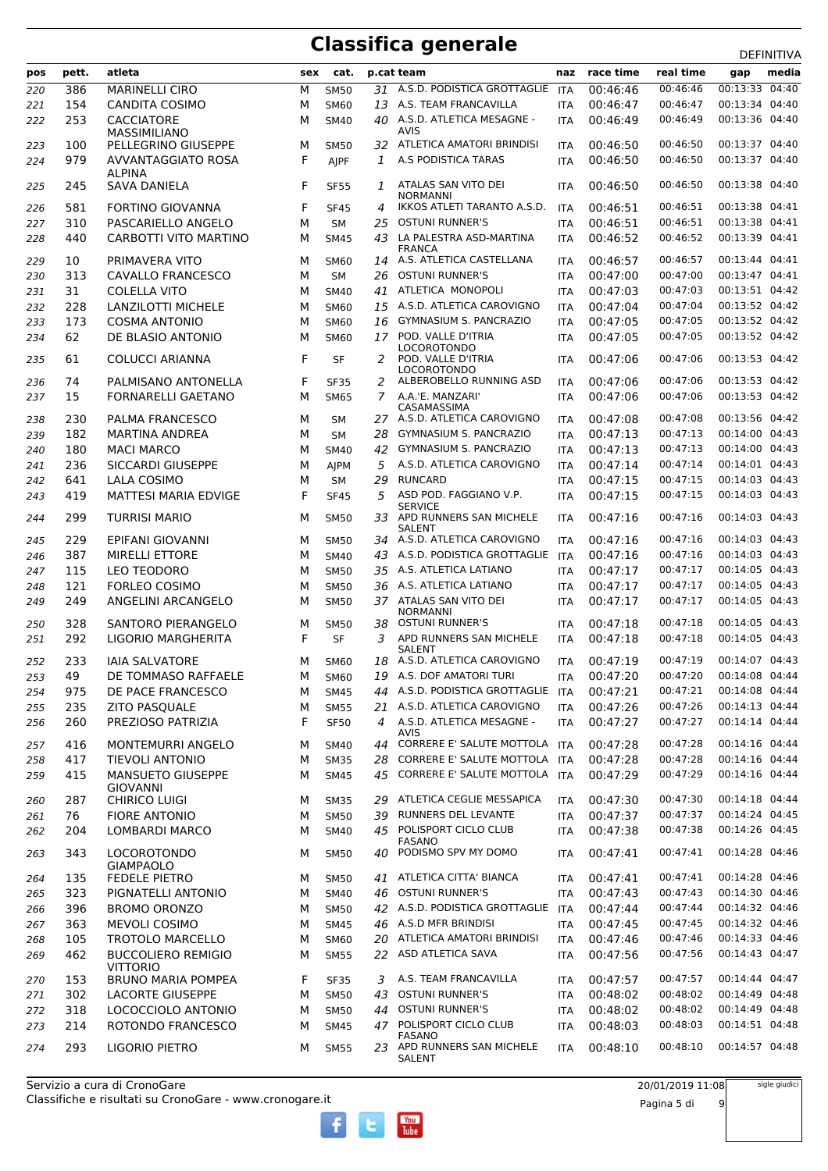|            |            |                                               |        |                            |     |                                                         |                          |                      |                      | DEFINITIVA                       |
|------------|------------|-----------------------------------------------|--------|----------------------------|-----|---------------------------------------------------------|--------------------------|----------------------|----------------------|----------------------------------|
| pos        | pett.      | atleta                                        | sex    | cat.                       |     | p.cat team                                              | naz                      | race time            | real time            | media<br>gap                     |
| 220        | 386        | <b>MARINELLI CIRO</b>                         | М      | <b>SM50</b>                |     | 31 A.S.D. PODISTICA GROTTAGLIE                          | ITA                      | 00:46:46             | 00:46:46             | 00:13:33 04:40                   |
| 221        | 154        | <b>CANDITA COSIMO</b>                         | M      | <b>SM60</b>                |     | 13 A.S. TEAM FRANCAVILLA                                | <b>ITA</b>               | 00:46:47             | 00:46:47             | 00:13:34 04:40                   |
| 222        | 253        | <b>CACCIATORE</b>                             | м      | <b>SM40</b>                |     | 40 A.S.D. ATLETICA MESAGNE -                            | <b>ITA</b>               | 00:46:49             | 00:46:49             | 00:13:36 04:40                   |
|            |            | <b>MASSIMILIANO</b>                           |        |                            |     | AVIS<br>32 ATLETICA AMATORI BRINDISI                    |                          |                      | 00:46:50             | 00:13:37 04:40                   |
| 223        | 100<br>979 | PELLEGRINO GIUSEPPE                           | м<br>F | <b>SM50</b>                | 1   | A.S PODISTICA TARAS                                     | ITA                      | 00:46:50             | 00:46:50             | 00:13:37 04:40                   |
| 224        |            | AVVANTAGGIATO ROSA<br><b>ALPINA</b>           |        | AJPF                       |     |                                                         | ITA                      | 00:46:50             |                      |                                  |
| 225        | 245        | SAVA DANIELA                                  | F      | <b>SF55</b>                | 1   | ATALAS SAN VITO DEI                                     | <b>ITA</b>               | 00:46:50             | 00:46:50             | 00:13:38 04:40                   |
|            |            |                                               |        |                            |     | <b>NORMANNI</b><br>IKKOS ATLETI TARANTO A.S.D.          |                          | 00:46:51             | 00:46:51             | 00:13:38 04:41                   |
| 226        | 581<br>310 | <b>FORTINO GIOVANNA</b><br>PASCARIELLO ANGELO | F      | <b>SF45</b>                | 4   | <b>OSTUNI RUNNER'S</b>                                  | <b>ITA</b>               | 00:46:51             | 00:46:51             | 00:13:38 04:41                   |
| 227<br>228 | 440        | CARBOTTI VITO MARTINO                         | M<br>M | SM<br><b>SM45</b>          | 25  | 43 LA PALESTRA ASD-MARTINA                              | <b>ITA</b><br><b>ITA</b> | 00:46:52             | 00:46:52             | 00:13:39 04:41                   |
|            |            |                                               |        |                            |     | <b>FRANCA</b>                                           |                          |                      |                      |                                  |
| 229        | 10         | PRIMAVERA VITO                                | м      | <b>SM60</b>                | 14  | A.S. ATLETICA CASTELLANA                                | ITA                      | 00:46:57             | 00:46:57             | 00:13:44 04:41                   |
| 230        | 313        | <b>CAVALLO FRANCESCO</b>                      | M      | <b>SM</b>                  | 26  | <b>OSTUNI RUNNER'S</b>                                  | <b>ITA</b>               | 00:47:00             | 00:47:00             | 00:13:47 04:41                   |
| 231        | 31         | <b>COLELLA VITO</b>                           | м      | <b>SM40</b>                |     | 41 ATLETICA MONOPOLI                                    | <b>ITA</b>               | 00:47:03             | 00:47:03             | 00:13:51 04:42                   |
| 232        | 228        | LANZILOTTI MICHELE                            | M      | <b>SM60</b>                | 15  | A.S.D. ATLETICA CAROVIGNO                               | <b>ITA</b>               | 00:47:04             | 00:47:04             | 00:13:52 04:42                   |
| 233        | 173        | <b>COSMA ANTONIO</b>                          | M      | <b>SM60</b>                | 16  | <b>GYMNASIUM S. PANCRAZIO</b>                           | <b>ITA</b>               | 00:47:05             | 00:47:05             | 00:13:52 04:42                   |
| 234        | 62         | DE BLASIO ANTONIO                             | м      | <b>SM60</b>                |     | 17 POD. VALLE D'ITRIA                                   | <b>ITA</b>               | 00:47:05             | 00:47:05             | 00:13:52 04:42                   |
| 235        | 61         | <b>COLUCCI ARIANNA</b>                        | F      | <b>SF</b>                  | 2   | LOCOROTONDO<br>POD. VALLE D'ITRIA                       | <b>ITA</b>               | 00:47:06             | 00:47:06             | 00:13:53 04:42                   |
|            |            |                                               |        |                            |     | <b>LOCOROTONDO</b>                                      |                          |                      |                      |                                  |
| 236        | 74         | PALMISANO ANTONELLA                           | F      | <b>SF35</b>                | 2   | ALBEROBELLO RUNNING ASD                                 | ITA                      | 00:47:06             | 00:47:06             | 00:13:53 04:42                   |
| 237        | 15         | <b>FORNARELLI GAETANO</b>                     | M      | <b>SM65</b>                | 7   | A.A.'E. MANZARI'<br>CASAMASSIMA                         | ITA                      | 00:47:06             | 00:47:06             | 00:13:53 04:42                   |
| 238        | 230        | PALMA FRANCESCO                               | М      | SM                         |     | 27 A.S.D. ATLETICA CAROVIGNO                            | ITA                      | 00:47:08             | 00:47:08             | 00:13:56 04:42                   |
| 239        | 182        | MARTINA ANDREA                                | M      | <b>SM</b>                  | 28  | <b>GYMNASIUM S. PANCRAZIO</b>                           | <b>ITA</b>               | 00:47:13             | 00:47:13             | 00:14:00 04:43                   |
| 240        | 180        | <b>MACI MARCO</b>                             | M      | <b>SM40</b>                |     | 42 GYMNASIUM S. PANCRAZIO                               | <b>ITA</b>               | 00:47:13             | 00:47:13             | 00:14:00 04:43                   |
| 241        | 236        | <b>SICCARDI GIUSEPPE</b>                      | M      | AJPM                       | 5   | A.S.D. ATLETICA CAROVIGNO                               | <b>ITA</b>               | 00:47:14             | 00:47:14             | 00:14:01 04:43                   |
| 242        | 641        | <b>LALA COSIMO</b>                            | м      | <b>SM</b>                  | 29  | <b>RUNCARD</b>                                          | ITA                      | 00:47:15             | 00:47:15             | 00:14:03 04:43                   |
| 243        | 419        | <b>MATTESI MARIA EDVIGE</b>                   | F      | <b>SF45</b>                | 5   | ASD POD. FAGGIANO V.P.                                  | ITA                      | 00:47:15             | 00:47:15             | 00:14:03 04:43                   |
|            | 299        | <b>TURRISI MARIO</b>                          | м      |                            |     | <b>SERVICE</b><br>33 APD RUNNERS SAN MICHELE            |                          | 00:47:16             | 00:47:16             | 00:14:03 04:43                   |
| 244        |            |                                               |        | <b>SM50</b>                |     | <b>SALENT</b>                                           | <b>ITA</b>               |                      |                      |                                  |
| 245        | 229        | EPIFANI GIOVANNI                              | м      | <b>SM50</b>                |     | 34 A.S.D. ATLETICA CAROVIGNO                            | ITA                      | 00:47:16             | 00:47:16             | 00:14:03 04:43                   |
| 246        | 387        | <b>MIRELLI ETTORE</b>                         | М      | SM40                       |     | 43 A.S.D. PODISTICA GROTTAGLIE                          | <b>ITA</b>               | 00:47:16             | 00:47:16             | 00:14:03 04:43                   |
| 247        | 115        | LEO TEODORO                                   | м      | <b>SM50</b>                |     | 35 A.S. ATLETICA LATIANO                                | <b>ITA</b>               | 00:47:17             | 00:47:17             | 00:14:05 04:43                   |
| 248        | 121        | <b>FORLEO COSIMO</b>                          | M      | <b>SM50</b>                | 36  | A.S. ATLETICA LATIANO                                   | <b>ITA</b>               | 00:47:17             | 00:47:17             | 00:14:05 04:43                   |
| 249        | 249        | ANGELINI ARCANGELO                            | M      | <b>SM50</b>                |     | 37 ATALAS SAN VITO DEI                                  | <b>ITA</b>               | 00:47:17             | 00:47:17             | 00:14:05 04:43                   |
| 250        | 328        | <b>SANTORO PIERANGELO</b>                     | м      | <b>SM50</b>                | 38  | <b>NORMANNI</b><br><b>OSTUNI RUNNER'S</b>               | ITA                      | 00:47:18             | 00:47:18             | 00:14:05 04:43                   |
| 251        | 292        | <b>LIGORIO MARGHERITA</b>                     | F      | <b>SF</b>                  | 3   | APD RUNNERS SAN MICHELE                                 | <b>ITA</b>               | 00:47:18             | 00:47:18             | 00:14:05 04:43                   |
|            |            |                                               |        |                            |     | SALENT                                                  |                          |                      |                      |                                  |
| 252        | 233        | <b>IAIA SALVATORE</b>                         | м      | <b>SM60</b>                |     | 18 A.S.D. ATLETICA CAROVIGNO                            | <b>ITA</b>               | 00:47:19             | 00:47:19             | 00:14:07 04:43                   |
| 253        | 49         | DE TOMMASO RAFFAELE                           | М      | SM60                       |     | 19 A.S. DOF AMATORI TURI                                | <b>ITA</b>               | 00:47:20             | 00:47:20             | 00:14:08 04:44                   |
| 254        | 975        | DE PACE FRANCESCO                             | м      | <b>SM45</b>                |     | 44 A.S.D. PODISTICA GROTTAGLIE ITA                      |                          | 00:47:21             | 00:47:21             | 00:14:08 04:44                   |
| 255        | 235        | <b>ZITO PASQUALE</b>                          | М      | <b>SM55</b>                |     | 21 A.S.D. ATLETICA CAROVIGNO                            | <b>ITA</b>               | 00:47:26             | 00:47:26             | 00:14:13 04:44                   |
| 256        | 260        | PREZIOSO PATRIZIA                             | F      | <b>SF50</b>                | 4   | A.S.D. ATLETICA MESAGNE -<br>AVIS                       | <b>ITA</b>               | 00:47:27             | 00:47:27             | 00:14:14 04:44                   |
| 257        | 416        | <b>MONTEMURRI ANGELO</b>                      | м      | <b>SM40</b>                | 44  | CORRERE E' SALUTE MOTTOLA ITA                           |                          | 00:47:28             | 00:47:28             | 00:14:16 04:44                   |
| 258        | 417        | <b>TIEVOLI ANTONIO</b>                        | м      | <b>SM35</b>                | 28  | CORRERE E' SALUTE MOTTOLA                               | <b>ITA</b>               | 00:47:28             | 00:47:28             | 00:14:16 04:44                   |
| 259        | 415        | <b>MANSUETO GIUSEPPE</b>                      | м      | <b>SM45</b>                |     | 45 CORRERE E' SALUTE MOTTOLA ITA                        |                          | 00:47:29             | 00:47:29             | 00:14:16 04:44                   |
|            |            | <b>GIOVANNI</b>                               |        |                            |     |                                                         |                          |                      | 00:47:30             | 00:14:18 04:44                   |
| 260        | 287        | <b>CHIRICO LUIGI</b>                          | м      | <b>SM35</b>                | 29. | ATLETICA CEGLIE MESSAPICA<br><b>RUNNERS DEL LEVANTE</b> | <b>ITA</b>               | 00:47:30<br>00:47:37 | 00:47:37             | 00:14:24 04:45                   |
| 261        | 76         | <b>FIORE ANTONIO</b>                          | М      | SM50                       | 39  | 45 POLISPORT CICLO CLUB                                 | <b>ITA</b>               | 00:47:38             | 00:47:38             | 00:14:26 04:45                   |
| 262        | 204        | <b>LOMBARDI MARCO</b>                         | м      | <b>SM40</b>                |     | <b>FASANO</b>                                           | <b>ITA</b>               |                      |                      |                                  |
| 263        | 343        | <b>LOCOROTONDO</b>                            | м      | <b>SM50</b>                | 40  | PODISMO SPV MY DOMO                                     | ITA                      | 00:47:41             | 00:47:41             | 00:14:28 04:46                   |
|            |            | <b>GIAMPAOLO</b>                              |        |                            |     |                                                         |                          |                      |                      |                                  |
| 264        | 135        | FEDELE PIETRO                                 | м      | <b>SM50</b>                |     | 41 ATLETICA CITTA' BIANCA<br>46 OSTUNI RUNNER'S         | ITA                      | 00:47:41             | 00:47:41<br>00:47:43 | 00:14:28 04:46<br>00:14:30 04:46 |
| 265        | 323        | PIGNATELLI ANTONIO                            | м      | SM40                       |     | 42 A.S.D. PODISTICA GROTTAGLIE                          | ITA                      | 00:47:43<br>00:47:44 | 00:47:44             | 00:14:32 04:46                   |
| 266        | 396<br>363 | <b>BROMO ORONZO</b><br>MEVOLI COSIMO          | м<br>М | <b>SM50</b>                |     | 46 A.S.D MFR BRINDISI                                   | ITA                      | 00:47:45             | 00:47:45             | 00:14:32 04:46                   |
| 267        | 105        | <b>TROTOLO MARCELLO</b>                       | М      | <b>SM45</b><br><b>SM60</b> |     | 20 ATLETICA AMATORI BRINDISI                            | <b>ITA</b><br><b>ITA</b> | 00:47:46             | 00:47:46             | 00:14:33 04:46                   |
| 268<br>269 | 462        | <b>BUCCOLIERO REMIGIO</b>                     | м      | <b>SM55</b>                |     | 22 ASD ATLETICA SAVA                                    |                          | 00:47:56             | 00:47:56             | 00:14:43 04:47                   |
|            |            | <b>VITTORIO</b>                               |        |                            |     |                                                         | ITA                      |                      |                      |                                  |
| 270        | 153        | <b>BRUNO MARIA POMPEA</b>                     | F.     | <b>SF35</b>                | 3   | A.S. TEAM FRANCAVILLA                                   | ITA                      | 00:47:57             | 00:47:57             | 00:14:44 04:47                   |
| 271        | 302        | <b>LACORTE GIUSEPPE</b>                       | м      | <b>SM50</b>                | 43  | <b>OSTUNI RUNNER'S</b>                                  | <b>ITA</b>               | 00:48:02             | 00:48:02             | 00:14:49 04:48                   |
| 272        | 318        | LOCOCCIOLO ANTONIO                            | м      | SM50                       | 44  | <b>OSTUNI RUNNER'S</b>                                  | ITA                      | 00:48:02             | 00:48:02             | 00:14:49 04:48                   |
| 273        | 214        | ROTONDO FRANCESCO                             | м      | <b>SM45</b>                |     | 47 POLISPORT CICLO CLUB                                 | ITA                      | 00:48:03             | 00:48:03             | 00:14:51 04:48                   |
| 274        | 293        | LIGORIO PIETRO                                | м      | <b>SM55</b>                | 23  | <b>FASANO</b><br>APD RUNNERS SAN MICHELE                | <b>ITA</b>               | 00:48:10             | 00:48:10             | 00:14:57 04:48                   |
|            |            |                                               |        |                            |     | <b>SALENT</b>                                           |                          |                      |                      |                                  |
|            |            |                                               |        |                            |     |                                                         |                          |                      |                      |                                  |

Classifiche e risultati su CronoGare - www.cronogare.it Servizio a cura di CronoGare

20/01/2019 11:08

Pagina 5 di 9

sigle giudici

 $\begin{bmatrix}\n\frac{\text{Vou}}{\text{Iube}}\n\end{bmatrix}$ Ŧ ŧ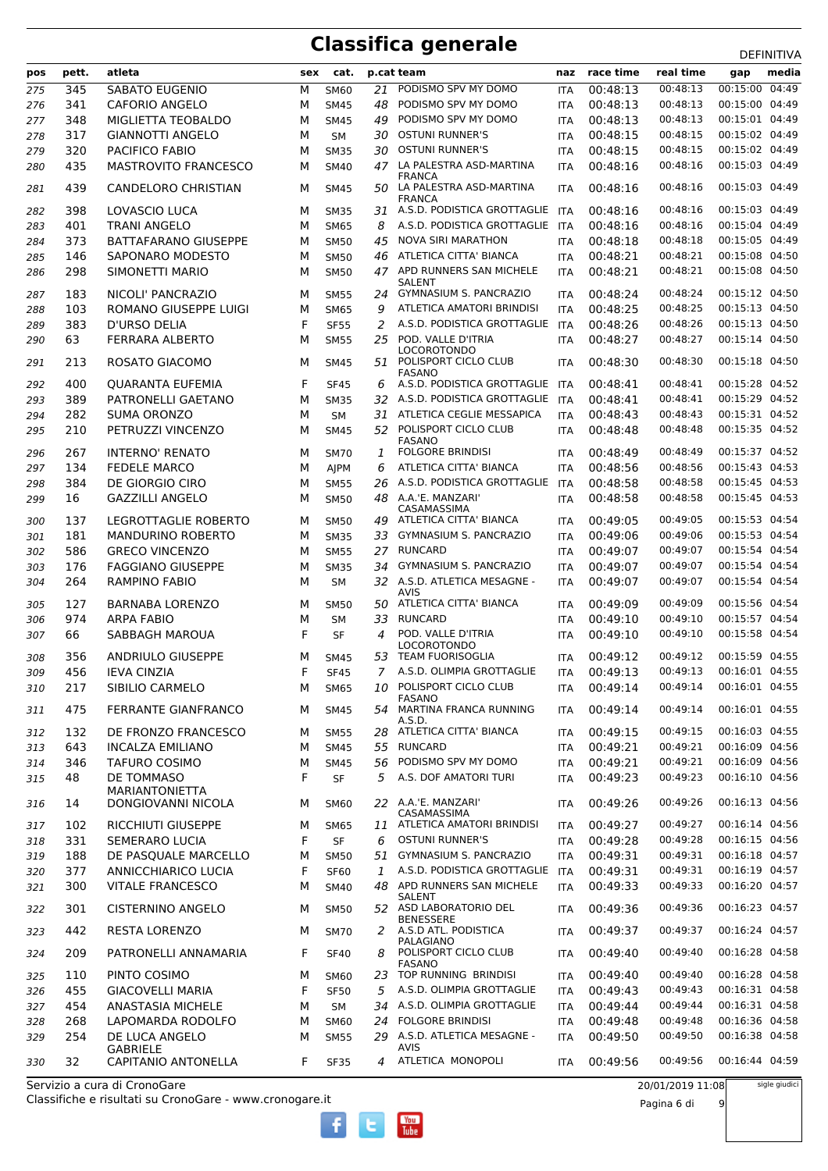|            |            |                                             |        |                            |               |                                             |                          |                      |                  | -----------       |
|------------|------------|---------------------------------------------|--------|----------------------------|---------------|---------------------------------------------|--------------------------|----------------------|------------------|-------------------|
| pos        | pett.      | atleta                                      | sex    | cat.                       |               | p.cat team                                  | naz                      | race time            | real time        | media<br>gap      |
| 275        | 345        | SABATO EUGENIO                              | М      | SM60                       | 21            | PODISMO SPV MY DOMO                         | <b>ITA</b>               | 00:48:13             | 00:48:13         | 00:15:00<br>04:49 |
| 276        | 341        | <b>CAFORIO ANGELO</b>                       | м      | <b>SM45</b>                | 48            | PODISMO SPV MY DOMO                         | <b>ITA</b>               | 00:48:13             | 00:48:13         | 00:15:00 04:49    |
| 277        | 348        | MIGLIETTA TEOBALDO                          | M      | <b>SM45</b>                | 49            | PODISMO SPV MY DOMO                         | <b>ITA</b>               | 00:48:13             | 00:48:13         | 00:15:01 04:49    |
| 278        | 317        | <b>GIANNOTTI ANGELO</b>                     | M      | <b>SM</b>                  | 30            | <b>OSTUNI RUNNER'S</b>                      | <b>ITA</b>               | 00:48:15             | 00:48:15         | 00:15:02 04:49    |
| 279        | 320        | PACIFICO FABIO                              | м      | <b>SM35</b>                | 30            | <b>OSTUNI RUNNER'S</b>                      | <b>ITA</b>               | 00:48:15             | 00:48:15         | 00:15:02 04:49    |
| 280        | 435        | <b>MASTROVITO FRANCESCO</b>                 | M      | <b>SM40</b>                |               | 47 LA PALESTRA ASD-MARTINA<br><b>FRANCA</b> | ITA                      | 00:48:16             | 00:48:16         | 00:15:03 04:49    |
| 281        | 439        | <b>CANDELORO CHRISTIAN</b>                  | м      | <b>SM45</b>                | 50            | LA PALESTRA ASD-MARTINA<br><b>FRANCA</b>    | <b>ITA</b>               | 00:48:16             | 00:48:16         | 00:15:03 04:49    |
| 282        | 398        | LOVASCIO LUCA                               | M      | <b>SM35</b>                |               | 31 A.S.D. PODISTICA GROTTAGLIE              | ITA                      | 00:48:16             | 00:48:16         | 00:15:03 04:49    |
| 283        | 401        | <b>TRANI ANGELO</b>                         | M      | <b>SM65</b>                | 8             | A.S.D. PODISTICA GROTTAGLIE                 | ITA                      | 00:48:16             | 00:48:16         | 00:15:04 04:49    |
| 284        | 373        | BATTAFARANO GIUSEPPE                        | M      | <b>SM50</b>                | 45            | <b>NOVA SIRI MARATHON</b>                   | <b>ITA</b>               | 00:48:18             | 00:48:18         | 00:15:05 04:49    |
| 285        | 146        | SAPONARO MODESTO                            | М      | <b>SM50</b>                | 46            | ATLETICA CITTA' BIANCA                      | <b>ITA</b>               | 00:48:21             | 00:48:21         | 00:15:08 04:50    |
| 286        | 298        | SIMONETTI MARIO                             | M      | <b>SM50</b>                |               | 47 APD RUNNERS SAN MICHELE                  | <b>ITA</b>               | 00:48:21             | 00:48:21         | 00:15:08 04:50    |
|            |            |                                             |        |                            |               | <b>SALENT</b><br>24 GYMNASIUM S. PANCRAZIO  |                          | 00:48:24             | 00:48:24         | 00:15:12 04:50    |
| 287        | 183        | NICOLI' PANCRAZIO                           | M      | <b>SM55</b>                |               |                                             | <b>ITA</b>               |                      |                  |                   |
| 288        | 103        | ROMANO GIUSEPPE LUIGI                       | M      | <b>SM65</b>                | 9             | ATLETICA AMATORI BRINDISI                   | <b>ITA</b>               | 00:48:25             | 00:48:25         | 00:15:13 04:50    |
| 289        | 383        | D'URSO DELIA                                | F      | <b>SF55</b>                | 2             | A.S.D. PODISTICA GROTTAGLIE                 | <b>ITA</b>               | 00:48:26             | 00:48:26         | 00:15:13 04:50    |
| 290        | 63         | <b>FERRARA ALBERTO</b>                      | M      | <b>SM55</b>                | 25            | POD. VALLE D'ITRIA<br><b>LOCOROTONDO</b>    | <b>ITA</b>               | 00:48:27             | 00:48:27         | 00:15:14 04:50    |
| 291        | 213        | ROSATO GIACOMO                              | M      | SM45                       | 51            | POLISPORT CICLO CLUB<br><b>FASANO</b>       | ITA                      | 00:48:30             | 00:48:30         | 00:15:18 04:50    |
| 292        | 400        | QUARANTA EUFEMIA                            | F      | <b>SF45</b>                | 6             | A.S.D. PODISTICA GROTTAGLIE                 | <b>ITA</b>               | 00:48:41             | 00:48:41         | 00:15:28 04:52    |
| 293        | 389        | PATRONELLI GAETANO                          | M      | <b>SM35</b>                | 32            | A.S.D. PODISTICA GROTTAGLIE                 | <b>ITA</b>               | 00:48:41             | 00:48:41         | 00:15:29 04:52    |
| 294        | 282        | <b>SUMA ORONZO</b>                          | M      | <b>SM</b>                  | 31            | ATLETICA CEGLIE MESSAPICA                   | <b>ITA</b>               | 00:48:43             | 00:48:43         | 00:15:31 04:52    |
| 295        | 210        | PETRUZZI VINCENZO                           | M      | <b>SM45</b>                | 52            | POLISPORT CICLO CLUB                        | <b>ITA</b>               | 00:48:48             | 00:48:48         | 00:15:35 04:52    |
|            |            |                                             |        |                            |               | <b>FASANO</b>                               |                          |                      |                  |                   |
| 296        | 267        | <b>INTERNO' RENATO</b>                      | M      | <b>SM70</b>                | 1             | <b>FOLGORE BRINDISI</b>                     | <b>ITA</b>               | 00:48:49             | 00:48:49         | 00:15:37 04:52    |
| 297        | 134        | <b>FEDELE MARCO</b>                         | M      | AJPM                       | 6             | ATLETICA CITTA' BIANCA                      | <b>ITA</b>               | 00:48:56             | 00:48:56         | 00:15:43 04:53    |
| 298        | 384        | DE GIORGIO CIRO                             | M      | <b>SM55</b>                | 26            | A.S.D. PODISTICA GROTTAGLIE                 | ITA                      | 00:48:58             | 00:48:58         | 00:15:45 04:53    |
| 299        | 16         | <b>GAZZILLI ANGELO</b>                      | M      | <b>SM50</b>                |               | 48 A.A.'E. MANZARI'<br>CASAMASSIMA          | <b>ITA</b>               | 00:48:58             | 00:48:58         | 00:15:45 04:53    |
| 300        | 137        | LEGROTTAGLIE ROBERTO                        | M      | <b>SM50</b>                | 49            | ATLETICA CITTA' BIANCA                      | <b>ITA</b>               | 00:49:05             | 00:49:05         | 00:15:53 04:54    |
| 301        | 181        | <b>MANDURINO ROBERTO</b>                    | M      | <b>SM35</b>                | 33            | GYMNASIUM S. PANCRAZIO                      | <b>ITA</b>               | 00:49:06             | 00:49:06         | 00:15:53 04:54    |
| 302        | 586        | <b>GRECO VINCENZO</b>                       | M      | <b>SM55</b>                | 27            | RUNCARD                                     | <b>ITA</b>               | 00:49:07             | 00:49:07         | 00:15:54 04:54    |
| 303        | 176        | <b>FAGGIANO GIUSEPPE</b>                    | M      | <b>SM35</b>                | 34            | <b>GYMNASIUM S. PANCRAZIO</b>               | <b>ITA</b>               | 00:49:07             | 00:49:07         | 00:15:54 04:54    |
| 304        | 264        | <b>RAMPINO FABIO</b>                        | M      | <b>SM</b>                  |               | 32 A.S.D. ATLETICA MESAGNE -<br>AVIS        | <b>ITA</b>               | 00:49:07             | 00:49:07         | 00:15:54 04:54    |
| 305        | 127        | <b>BARNABA LORENZO</b>                      | м      | <b>SM50</b>                | 50            | ATLETICA CITTA' BIANCA                      | <b>ITA</b>               | 00:49:09             | 00:49:09         | 00:15:56 04:54    |
| 306        | 974        | <b>ARPA FABIO</b>                           | M      | <b>SM</b>                  | 33            | <b>RUNCARD</b>                              | <b>ITA</b>               | 00:49:10             | 00:49:10         | 00:15:57 04:54    |
| 307        | 66         | SABBAGH MAROUA                              | F      | <b>SF</b>                  | 4             | POD. VALLE D'ITRIA                          | <b>ITA</b>               | 00:49:10             | 00:49:10         | 00:15:58 04:54    |
|            | 356        | <b>ANDRIULO GIUSEPPE</b>                    |        |                            |               | <b>LOCOROTONDO</b><br>TEAM FUORISOGLIA      | <b>ITA</b>               | 00:49:12             | 00:49:12         | 00:15:59 04:55    |
| 308        |            |                                             | M<br>F | <b>SM45</b>                | 53.           | 7 A.S.D. OLIMPIA GROTTAGLIE                 |                          |                      | 00:49:13         | 00:16:01 04:55    |
| 309        | 456        | <b>IEVA CINZIA</b>                          |        | <b>SF45</b>                |               |                                             | <b>ITA</b>               | 00:49:13             |                  |                   |
| 310        | 217        | SIBILIO CARMELO                             | М      | <b>SM65</b>                | 10            | POLISPORT CICLO CLUB<br><b>FASANO</b>       | ITA                      | 00:49:14             | 00:49:14         | 00:16:01 04:55    |
| 311        | 475        | <b>FERRANTE GIANFRANCO</b>                  | м      | <b>SM45</b>                |               | 54 MARTINA FRANCA RUNNING<br>A.S.D.         | <b>ITA</b>               | 00:49:14             | 00:49:14         | 00:16:01 04:55    |
| 312        | 132        | DE FRONZO FRANCESCO                         | м      | <b>SM55</b>                |               | 28 ATLETICA CITTA' BIANCA                   | <b>ITA</b>               | 00:49:15             | 00:49:15         | 00:16:03 04:55    |
| 313        | 643        | <b>INCALZA EMILIANO</b>                     | м      | <b>SM45</b>                | 55            | RUNCARD                                     | <b>ITA</b>               | 00:49:21             | 00:49:21         | 00:16:09 04:56    |
| 314        | 346        | <b>TAFURO COSIMO</b>                        | М      | <b>SM45</b>                | 56            | PODISMO SPV MY DOMO                         | <b>ITA</b>               | 00:49:21             | 00:49:21         | 00:16:09 04:56    |
| 315        | 48         | DE TOMMASO                                  | F      | SF                         |               | 5 A.S. DOF AMATORI TURI                     | <b>ITA</b>               | 00:49:23             | 00:49:23         | 00:16:10 04:56    |
| 316        | 14         | <b>MARIANTONIETTA</b><br>DONGIOVANNI NICOLA | м      | <b>SM60</b>                |               | 22 A.A.'E. MANZARI'                         | <b>ITA</b>               | 00:49:26             | 00:49:26         | 00:16:13 04:56    |
| 317        | 102        | <b>RICCHIUTI GIUSEPPE</b>                   | М      | <b>SM65</b>                | 11            | CASAMASSIMA<br>ATLETICA AMATORI BRINDISI    | ITA                      | 00:49:27             | 00:49:27         | 00:16:14 04:56    |
| 318        | 331        | SEMERARO LUCIA                              | F      | SF                         | 6             | <b>OSTUNI RUNNER'S</b>                      | <b>ITA</b>               | 00:49:28             | 00:49:28         | 00:16:15 04:56    |
|            | 188        |                                             |        |                            | 51            | <b>GYMNASIUM S. PANCRAZIO</b>               | <b>ITA</b>               | 00:49:31             | 00:49:31         | 00:16:18 04:57    |
| 319        |            | DE PASQUALE MARCELLO<br>ANNICCHIARICO LUCIA | М      | <b>SM50</b>                |               | A.S.D. PODISTICA GROTTAGLIE                 |                          |                      | 00:49:31         | 00:16:19 04:57    |
| 320        | 377<br>300 | <b>VITALE FRANCESCO</b>                     | F<br>M | <b>SF60</b>                | 1             | 48 APD RUNNERS SAN MICHELE                  | ITA                      | 00:49:31<br>00:49:33 | 00:49:33         | 00:16:20 04:57    |
| 321<br>322 | 301        | CISTERNINO ANGELO                           | М      | <b>SM40</b><br><b>SM50</b> |               | <b>SALENT</b><br>52 ASD LABORATORIO DEL     | <b>ITA</b><br><b>ITA</b> | 00:49:36             | 00:49:36         | 00:16:23 04:57    |
|            |            |                                             |        |                            |               | <b>BENESSERE</b>                            |                          |                      |                  |                   |
| 323        | 442        | <b>RESTA LORENZO</b>                        | м      | <b>SM70</b>                | $\mathcal{P}$ | A.S.D ATL. PODISTICA<br>PALAGIANO           | <b>ITA</b>               | 00:49:37             | 00:49:37         | 00:16:24 04:57    |
| 324        | 209        | PATRONELLI ANNAMARIA                        | F      | <b>SF40</b>                | 8             | POLISPORT CICLO CLUB<br><b>FASANO</b>       | <b>ITA</b>               | 00:49:40             | 00:49:40         | 00:16:28 04:58    |
| 325        | 110        | PINTO COSIMO                                | М      | SM60                       |               | 23 TOP RUNNING BRINDISI                     | ITA                      | 00:49:40             | 00:49:40         | 00:16:28 04:58    |
| 326        | 455        | <b>GIACOVELLI MARIA</b>                     | F      | <b>SF50</b>                | 5             | A.S.D. OLIMPIA GROTTAGLIE                   | <b>ITA</b>               | 00:49:43             | 00:49:43         | 00:16:31 04:58    |
| 327        | 454        | <b>ANASTASIA MICHELE</b>                    | М      | <b>SM</b>                  |               | 34 A.S.D. OLIMPIA GROTTAGLIE                | <b>ITA</b>               | 00:49:44             | 00:49:44         | 00:16:31 04:58    |
| 328        | 268        | LAPOMARDA RODOLFO                           | М      | SM60                       |               | 24 FOLGORE BRINDISI                         | ITA                      | 00:49:48             | 00:49:48         | 00:16:36 04:58    |
| 329        | 254        | DE LUCA ANGELO                              | M      | <b>SM55</b>                |               | 29 A.S.D. ATLETICA MESAGNE -                | <b>ITA</b>               | 00:49:50             | 00:49:50         | 00:16:38 04:58    |
| 330        | 32         | <b>GABRIELE</b><br>CAPITANIO ANTONELLA      | F      | <b>SF35</b>                |               | AVIS<br>4 ATLETICA MONOPOLI                 | <b>ITA</b>               | 00:49:56             | 00:49:56         | 00:16:44 04:59    |
|            |            | Servizio a cura di CronoGare                |        |                            |               |                                             |                          |                      | 20/01/2019 11:08 | sigle giudici     |

 $\begin{bmatrix}\n\frac{\text{Vow}}{\text{Iube}}\n\end{bmatrix}$ 

Ŧ

Classifiche e risultati su CronoGare - www.cronogare.it Servizio a cura di CronoGare

20/01/2019 11:08

Pagina 6 di 9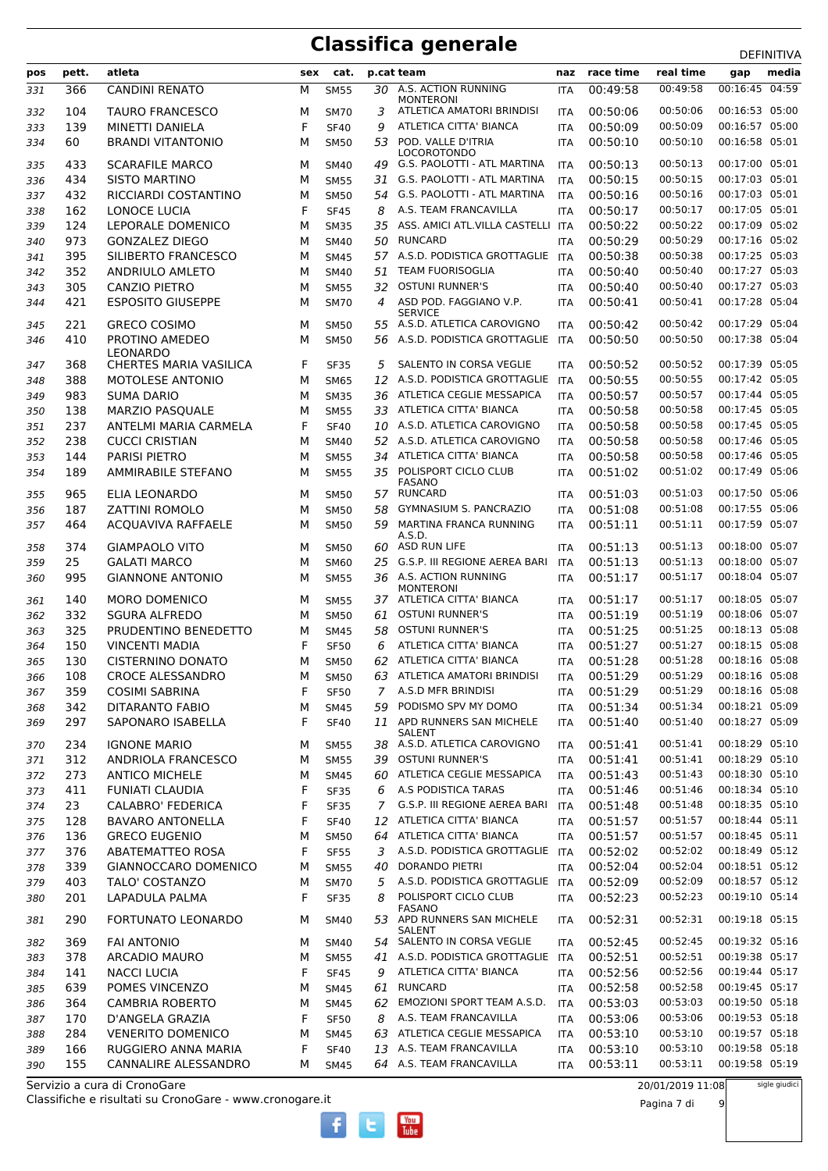|     |       |                               |     |             |    |                                                              |            |           |                  | DEFINITIVA     |
|-----|-------|-------------------------------|-----|-------------|----|--------------------------------------------------------------|------------|-----------|------------------|----------------|
| pos | pett. | atleta                        | sex | cat.        |    | p.cat team                                                   | naz        | race time | real time        | media<br>gap   |
| 331 | 366   | <b>CANDINI RENATO</b>         | M   | <b>SM55</b> |    | 30 A.S. ACTION RUNNING<br><b>MONTERONI</b>                   | <b>ITA</b> | 00:49:58  | 00:49:58         | 00:16:45 04:59 |
| 332 | 104   | <b>TAURO FRANCESCO</b>        | м   | <b>SM70</b> | 3  | ATLETICA AMATORI BRINDISI                                    | <b>ITA</b> | 00:50:06  | 00:50:06         | 00:16:53 05:00 |
| 333 | 139   | <b>MINETTI DANIELA</b>        | F   | <b>SF40</b> | 9  | ATLETICA CITTA' BIANCA                                       | ITA        | 00:50:09  | 00:50:09         | 00:16:57 05:00 |
| 334 | 60    | <b>BRANDI VITANTONIO</b>      | М   | <b>SM50</b> | 53 | POD. VALLE D'ITRIA<br><b>LOCOROTONDO</b>                     | ITA        | 00:50:10  | 00:50:10         | 00:16:58 05:01 |
| 335 | 433   | <b>SCARAFILE MARCO</b>        | м   | <b>SM40</b> | 49 | G.S. PAOLOTTI - ATL MARTINA                                  | <b>ITA</b> | 00:50:13  | 00:50:13         | 00:17:00 05:01 |
| 336 | 434   | <b>SISTO MARTINO</b>          | м   | <b>SM55</b> | 31 | G.S. PAOLOTTI - ATL MARTINA                                  | <b>ITA</b> | 00:50:15  | 00:50:15         | 00:17:03 05:01 |
| 337 | 432   | RICCIARDI COSTANTINO          | м   | <b>SM50</b> | 54 | G.S. PAOLOTTI - ATL MARTINA                                  | <b>ITA</b> | 00:50:16  | 00:50:16         | 00:17:03 05:01 |
| 338 | 162   | <b>LONOCE LUCIA</b>           | F   | <b>SF45</b> | 8  | A.S. TEAM FRANCAVILLA                                        | <b>ITA</b> | 00:50:17  | 00:50:17         | 00:17:05 05:01 |
| 339 | 124   | LEPORALE DOMENICO             | М   | <b>SM35</b> | 35 | ASS. AMICI ATL. VILLA CASTELLI ITA                           |            | 00:50:22  | 00:50:22         | 00:17:09 05:02 |
| 340 | 973   | <b>GONZALEZ DIEGO</b>         | м   | <b>SM40</b> | 50 | <b>RUNCARD</b>                                               | <b>ITA</b> | 00:50:29  | 00:50:29         | 00:17:16 05:02 |
| 341 | 395   | SILIBERTO FRANCESCO           | М   | <b>SM45</b> |    | 57 A.S.D. PODISTICA GROTTAGLIE                               | <b>ITA</b> | 00:50:38  | 00:50:38         | 00:17:25 05:03 |
| 342 | 352   | ANDRIULO AMLETO               | м   | <b>SM40</b> | 51 | <b>TEAM FUORISOGLIA</b>                                      | ITA        | 00:50:40  | 00:50:40         | 00:17:27 05:03 |
| 343 | 305   | <b>CANZIO PIETRO</b>          | м   | <b>SM55</b> | 32 | <b>OSTUNI RUNNER'S</b>                                       | <b>ITA</b> | 00:50:40  | 00:50:40         | 00:17:27 05:03 |
| 344 | 421   | <b>ESPOSITO GIUSEPPE</b>      | М   | <b>SM70</b> | 4  | ASD POD. FAGGIANO V.P.                                       | <b>ITA</b> | 00:50:41  | 00:50:41         | 00:17:28 05:04 |
|     |       |                               |     |             |    | <b>SERVICE</b><br>55 A.S.D. ATLETICA CAROVIGNO               |            | 00:50:42  | 00:50:42         | 00:17:29 05:04 |
| 345 | 221   | <b>GRECO COSIMO</b>           | M   | <b>SM50</b> |    | 56 A.S.D. PODISTICA GROTTAGLIE                               | <b>ITA</b> |           | 00:50:50         | 00:17:38 05:04 |
| 346 | 410   | PROTINO AMEDEO<br>LEONARDO    | м   | <b>SM50</b> |    |                                                              | ITA        | 00:50:50  |                  |                |
| 347 | 368   | <b>CHERTES MARIA VASILICA</b> | F   | <b>SF35</b> | 5  | SALENTO IN CORSA VEGLIE                                      | <b>ITA</b> | 00:50:52  | 00:50:52         | 00:17:39 05:05 |
| 348 | 388   | MOTOLESE ANTONIO              | м   | <b>SM65</b> | 12 | A.S.D. PODISTICA GROTTAGLIE                                  | ITA        | 00:50:55  | 00:50:55         | 00:17:42 05:05 |
| 349 | 983   | <b>SUMA DARIO</b>             | м   | <b>SM35</b> | 36 | ATLETICA CEGLIE MESSAPICA                                    | <b>ITA</b> | 00:50:57  | 00:50:57         | 00:17:44 05:05 |
| 350 | 138   | <b>MARZIO PASQUALE</b>        | М   | <b>SM55</b> |    | 33 ATLETICA CITTA' BIANCA                                    | <b>ITA</b> | 00:50:58  | 00:50:58         | 00:17:45 05:05 |
| 351 | 237   | ANTELMI MARIA CARMELA         | F   | <b>SF40</b> | 10 | A.S.D. ATLETICA CAROVIGNO                                    | ITA        | 00:50:58  | 00:50:58         | 00:17:45 05:05 |
| 352 | 238   | <b>CUCCI CRISTIAN</b>         | М   | <b>SM40</b> | 52 | A.S.D. ATLETICA CAROVIGNO                                    | <b>ITA</b> | 00:50:58  | 00:50:58         | 00:17:46 05:05 |
| 353 | 144   | <b>PARISI PIETRO</b>          | м   | <b>SM55</b> |    | 34 ATLETICA CITTA' BIANCA                                    | <b>ITA</b> | 00:50:58  | 00:50:58         | 00:17:46 05:05 |
| 354 | 189   | AMMIRABILE STEFANO            | м   | <b>SM55</b> |    | 35 POLISPORT CICLO CLUB                                      | <b>ITA</b> | 00:51:02  | 00:51:02         | 00:17:49 05:06 |
| 355 | 965   | ELIA LEONARDO                 | м   | <b>SM50</b> | 57 | <b>FASANO</b><br><b>RUNCARD</b>                              | ITA        | 00:51:03  | 00:51:03         | 00:17:50 05:06 |
| 356 | 187   | <b>ZATTINI ROMOLO</b>         | М   | <b>SM50</b> | 58 | <b>GYMNASIUM S. PANCRAZIO</b>                                | ITA        | 00:51:08  | 00:51:08         | 00:17:55 05:06 |
| 357 | 464   | ACQUAVIVA RAFFAELE            | м   | <b>SM50</b> | 59 | MARTINA FRANCA RUNNING                                       | <b>ITA</b> | 00:51:11  | 00:51:11         | 00:17:59 05:07 |
|     |       |                               |     |             |    | A.S.D.                                                       |            |           |                  |                |
| 358 | 374   | <b>GIAMPAOLO VITO</b>         | м   | <b>SM50</b> | 60 | ASD RUN LIFE                                                 | <b>ITA</b> | 00:51:13  | 00:51:13         | 00:18:00 05:07 |
| 359 | 25    | <b>GALATI MARCO</b>           | м   | SM60        |    | 25 G.S.P. III REGIONE AEREA BARI                             | <b>ITA</b> | 00:51:13  | 00:51:13         | 00:18:00 05:07 |
| 360 | 995   | <b>GIANNONE ANTONIO</b>       | М   | <b>SM55</b> |    | 36 A.S. ACTION RUNNING<br><b>MONTERONI</b>                   | <b>ITA</b> | 00:51:17  | 00:51:17         | 00:18:04 05:07 |
| 361 | 140   | <b>MORO DOMENICO</b>          | м   | <b>SM55</b> |    | 37 ATLETICA CITTA' BIANCA                                    | <b>ITA</b> | 00:51:17  | 00:51:17         | 00:18:05 05:07 |
| 362 | 332   | <b>SGURA ALFREDO</b>          | м   | <b>SM50</b> | 61 | <b>OSTUNI RUNNER'S</b>                                       | <b>ITA</b> | 00:51:19  | 00:51:19         | 00:18:06 05:07 |
| 363 | 325   | PRUDENTINO BENEDETTO          | М   | <b>SM45</b> | 58 | <b>OSTUNI RUNNER'S</b>                                       | ITA        | 00:51:25  | 00:51:25         | 00:18:13 05:08 |
| 364 | 150   | <b>VINCENTI MADIA</b>         | F   | <b>SF50</b> | 6  | ATLETICA CITTA' BIANCA                                       | <b>ITA</b> | 00:51:27  | 00:51:27         | 00:18:15 05:08 |
| 365 | 130   | <b>CISTERNINO DONATO</b>      | м   | <b>SM50</b> |    | 62 ATLETICA CITTA' BIANCA                                    | ITA        | 00:51:28  | 00:51:28         | 00:18:16 05:08 |
| 366 | 108   | <b>CROCE ALESSANDRO</b>       | М   | <b>SM50</b> |    | 63 ATLETICA AMATORI BRINDISI                                 | <b>ITA</b> | 00:51:29  | 00:51:29         | 00:18:16 05:08 |
| 367 | 359   | <b>COSIMI SABRINA</b>         | F   | <b>SF50</b> |    | 7 A.S.D MFR BRINDISI                                         | ITA        | 00:51:29  | 00:51:29         | 00:18:16 05:08 |
| 368 | 342   | DITARANTO FABIO               | м   | <b>SM45</b> | 59 | PODISMO SPV MY DOMO                                          | ITA        | 00:51:34  | 00:51:34         | 00:18:21 05:09 |
| 369 | 297   | SAPONARO ISABELLA             | F   | <b>SF40</b> |    | 11 APD RUNNERS SAN MICHELE<br><b>SALENT</b>                  | ITA        | 00:51:40  | 00:51:40         | 00:18:27 05:09 |
| 370 | 234   | <b>IGNONE MARIO</b>           | м   | <b>SM55</b> |    | 38 A.S.D. ATLETICA CAROVIGNO                                 | ITA        | 00:51:41  | 00:51:41         | 00:18:29 05:10 |
| 371 | 312   | <b>ANDRIOLA FRANCESCO</b>     | М   | <b>SM55</b> |    | 39 OSTUNI RUNNER'S                                           | ITA        | 00:51:41  | 00:51:41         | 00:18:29 05:10 |
| 372 | 273   | <b>ANTICO MICHELE</b>         | М   | <b>SM45</b> |    | 60 ATLETICA CEGLIE MESSAPICA                                 | ITA        | 00:51:43  | 00:51:43         | 00:18:30 05:10 |
| 373 | 411   | <b>FUNIATI CLAUDIA</b>        | F   | <b>SF35</b> |    | 6 A.S PODISTICA TARAS                                        | ITA        | 00:51:46  | 00:51:46         | 00:18:34 05:10 |
| 374 | 23    | <b>CALABRO' FEDERICA</b>      | F   | <b>SF35</b> | 7  | G.S.P. III REGIONE AEREA BARI                                | ITA        | 00:51:48  | 00:51:48         | 00:18:35 05:10 |
| 375 | 128   | <b>BAVARO ANTONELLA</b>       | F   | <b>SF40</b> |    | 12 ATLETICA CITTA' BIANCA                                    | ITA        | 00:51:57  | 00:51:57         | 00:18:44 05:11 |
| 376 | 136   | <b>GRECO EUGENIO</b>          | М   | <b>SM50</b> |    | 64 ATLETICA CITTA' BIANCA                                    | ITA        | 00:51:57  | 00:51:57         | 00:18:45 05:11 |
| 377 | 376   | <b>ABATEMATTEO ROSA</b>       | F   | <b>SF55</b> | 3  | A.S.D. PODISTICA GROTTAGLIE                                  | ITA        | 00:52:02  | 00:52:02         | 00:18:49 05:12 |
| 378 | 339   | GIANNOCCARO DOMENICO          | М   | <b>SM55</b> | 40 | <b>DORANDO PIETRI</b>                                        | ITA        | 00:52:04  | 00:52:04         | 00:18:51 05:12 |
| 379 | 403   | TALO' COSTANZO                | м   | <b>SM70</b> | 5  | A.S.D. PODISTICA GROTTAGLIE ITA                              |            | 00:52:09  | 00:52:09         | 00:18:57 05:12 |
| 380 | 201   | LAPADULA PALMA                | F   | <b>SF35</b> | 8  | POLISPORT CICLO CLUB                                         | ITA        | 00:52:23  | 00:52:23         | 00:19:10 05:14 |
| 381 | 290   | FORTUNATO LEONARDO            | м   | <b>SM40</b> |    | <b>FASANO</b><br>53 APD RUNNERS SAN MICHELE<br><b>SALENT</b> | ITA        | 00:52:31  | 00:52:31         | 00:19:18 05:15 |
| 382 | 369   | FAI ANTONIO                   | м   | <b>SM40</b> |    | 54 SALENTO IN CORSA VEGLIE                                   | ITA        | 00:52:45  | 00:52:45         | 00:19:32 05:16 |
| 383 | 378   | ARCADIO MAURO                 | М   | <b>SM55</b> |    | 41 A.S.D. PODISTICA GROTTAGLIE                               | ITA        | 00:52:51  | 00:52:51         | 00:19:38 05:17 |
| 384 | 141   | <b>NACCI LUCIA</b>            | F   | <b>SF45</b> | 9  | ATLETICA CITTA' BIANCA                                       | ITA        | 00:52:56  | 00:52:56         | 00:19:44 05:17 |
| 385 | 639   | POMES VINCENZO                | М   | <b>SM45</b> |    | 61 RUNCARD                                                   | ITA        | 00:52:58  | 00:52:58         | 00:19:45 05:17 |
| 386 | 364   | <b>CAMBRIA ROBERTO</b>        | М   | <b>SM45</b> | 62 | EMOZIONI SPORT TEAM A.S.D.                                   | ITA        | 00:53:03  | 00:53:03         | 00:19:50 05:18 |
| 387 | 170   | D'ANGELA GRAZIA               | F   | <b>SF50</b> | 8  | A.S. TEAM FRANCAVILLA                                        | ITA        | 00:53:06  | 00:53:06         | 00:19:53 05:18 |
| 388 | 284   | <b>VENERITO DOMENICO</b>      | М   | <b>SM45</b> | 63 | ATLETICA CEGLIE MESSAPICA                                    | ITA        | 00:53:10  | 00:53:10         | 00:19:57 05:18 |
| 389 | 166   | RUGGIERO ANNA MARIA           | F   | <b>SF40</b> |    | 13 A.S. TEAM FRANCAVILLA                                     | ITA        | 00:53:10  | 00:53:10         | 00:19:58 05:18 |
| 390 | 155   | CANNALIRE ALESSANDRO          | М   | <b>SM45</b> |    | 64 A.S. TEAM FRANCAVILLA                                     | ITA        | 00:53:11  | 00:53:11         | 00:19:58 05:19 |
|     |       |                               |     |             |    |                                                              |            |           |                  |                |
|     |       | Servizio a cura di CronoGare  |     |             |    |                                                              |            |           | 20/01/2019 11:08 | sigle giudici  |

Classifiche e risultati su CronoGare - www.cronogare.it Servizio a cura di CronoGare

20/01/2019 11:08

Pagina 7 di 9

 $\begin{bmatrix}\n\frac{\text{Vow}}{\text{Iube}}\n\end{bmatrix}$ f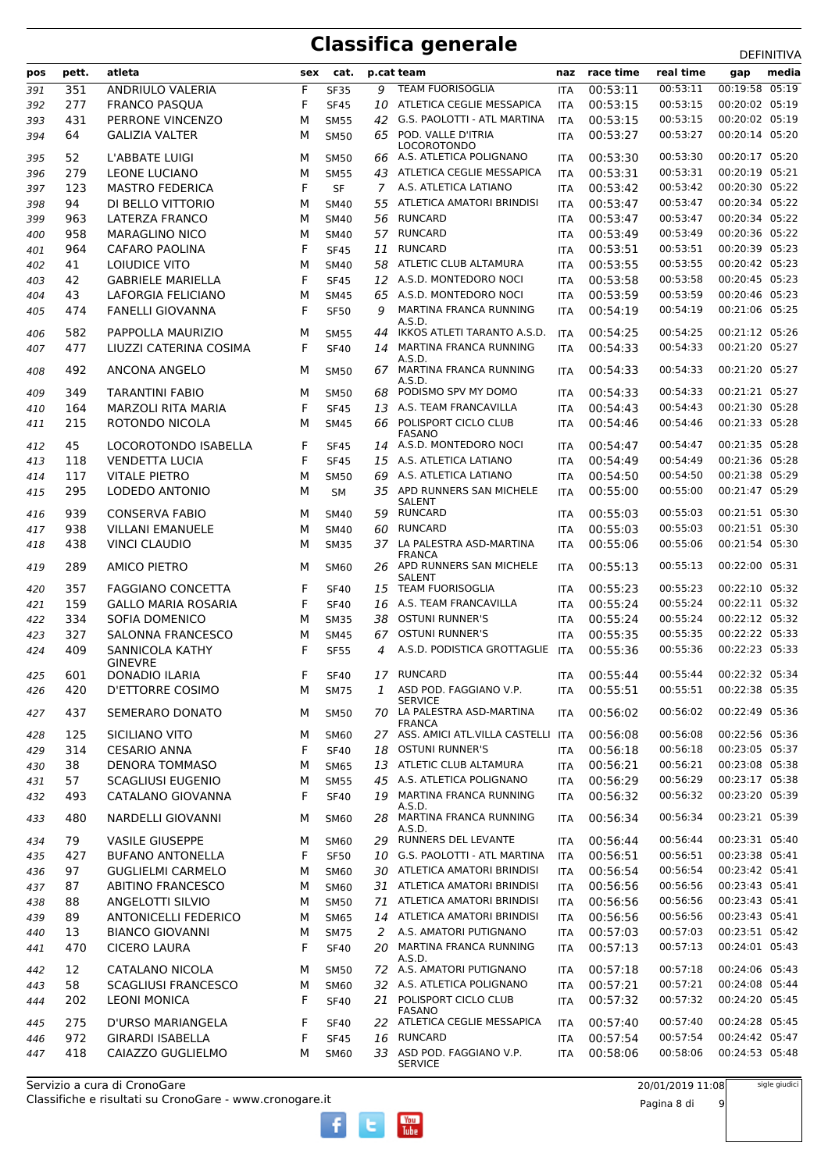|     | pett. | atleta                                   |     | cat.        |    | p.cat team                                                   | naz        | race time | real time            |                | media |
|-----|-------|------------------------------------------|-----|-------------|----|--------------------------------------------------------------|------------|-----------|----------------------|----------------|-------|
| pos |       |                                          | sex |             |    |                                                              |            |           |                      | gap            |       |
| 391 | 351   | ANDRIULO VALERIA                         | F   | <b>SF35</b> | 9  | <b>TEAM FUORISOGLIA</b>                                      | <b>ITA</b> | 00:53:11  | 00:53:11             | 00:19:58       | 05:19 |
| 392 | 277   | FRANCO PASQUA                            | F   | <b>SF45</b> | 10 | ATLETICA CEGLIE MESSAPICA                                    | <b>ITA</b> | 00:53:15  | 00:53:15             | 00:20:02 05:19 |       |
| 393 | 431   | PERRONE VINCENZO                         | М   | <b>SM55</b> | 42 | G.S. PAOLOTTI - ATL MARTINA                                  | <b>ITA</b> | 00:53:15  | 00:53:15             | 00:20:02 05:19 |       |
| 394 | 64    | <b>GALIZIA VALTER</b>                    | М   | <b>SM50</b> | 65 | POD. VALLE D'ITRIA<br><b>LOCOROTONDO</b>                     | <b>ITA</b> | 00:53:27  | 00:53:27             | 00:20:14 05:20 |       |
| 395 | 52    | L'ABBATE LUIGI                           | M   | <b>SM50</b> | 66 | A.S. ATLETICA POLIGNANO                                      | <b>ITA</b> | 00:53:30  | 00:53:30             | 00:20:17 05:20 |       |
| 396 | 279   | <b>LEONE LUCIANO</b>                     | М   | <b>SM55</b> | 43 | ATLETICA CEGLIE MESSAPICA                                    | <b>ITA</b> | 00:53:31  | 00:53:31             | 00:20:19 05:21 |       |
| 397 | 123   | <b>MASTRO FEDERICA</b>                   | F   | <b>SF</b>   | 7  | A.S. ATLETICA LATIANO                                        | <b>ITA</b> | 00:53:42  | 00:53:42             | 00:20:30 05:22 |       |
| 398 | 94    | DI BELLO VITTORIO                        | М   | <b>SM40</b> | 55 | ATLETICA AMATORI BRINDISI                                    | <b>ITA</b> | 00:53:47  | 00:53:47             | 00:20:34 05:22 |       |
| 399 | 963   | <b>LATERZA FRANCO</b>                    | М   | <b>SM40</b> | 56 | RUNCARD                                                      | <b>ITA</b> | 00:53:47  | 00:53:47             | 00:20:34 05:22 |       |
| 400 | 958   | <b>MARAGLINO NICO</b>                    | М   | <b>SM40</b> |    | 57 RUNCARD                                                   | <b>ITA</b> | 00:53:49  | 00:53:49             | 00:20:36 05:22 |       |
| 401 | 964   | <b>CAFARO PAOLINA</b>                    | F   | <b>SF45</b> | 11 | <b>RUNCARD</b>                                               | <b>ITA</b> | 00:53:51  | 00:53:51             | 00:20:39 05:23 |       |
| 402 | 41    | LOIUDICE VITO                            | М   | <b>SM40</b> | 58 | ATLETIC CLUB ALTAMURA                                        | <b>ITA</b> | 00:53:55  | 00:53:55             | 00:20:42 05:23 |       |
| 403 | 42    | <b>GABRIELE MARIELLA</b>                 | F   | <b>SF45</b> | 12 | A.S.D. MONTEDORO NOCI                                        | <b>ITA</b> | 00:53:58  | 00:53:58             | 00:20:45 05:23 |       |
| 404 | 43    | LAFORGIA FELICIANO                       | М   | <b>SM45</b> | 65 | A.S.D. MONTEDORO NOCI                                        | <b>ITA</b> | 00:53:59  | 00:53:59             | 00:20:46 05:23 |       |
| 405 | 474   | FANELLI GIOVANNA                         | F   | <b>SF50</b> | 9  | MARTINA FRANCA RUNNING<br>A.S.D.                             | <b>ITA</b> | 00:54:19  | 00:54:19             | 00:21:06 05:25 |       |
| 406 | 582   | PAPPOLLA MAURIZIO                        | М   | <b>SM55</b> | 44 | IKKOS ATLETI TARANTO A.S.D.                                  | <b>ITA</b> | 00:54:25  | 00:54:25             | 00:21:12 05:26 |       |
| 407 | 477   | LIUZZI CATERINA COSIMA                   | F   | <b>SF40</b> | 14 | MARTINA FRANCA RUNNING                                       | <b>ITA</b> | 00:54:33  | 00:54:33             | 00:21:20 05:27 |       |
| 408 | 492   | ANCONA ANGELO                            | М   | <b>SM50</b> |    | A.S.D.<br>67 MARTINA FRANCA RUNNING                          | <b>ITA</b> | 00:54:33  | 00:54:33             | 00:21:20 05:27 |       |
| 409 | 349   | <b>TARANTINI FABIO</b>                   | M   | <b>SM50</b> | 68 | A.S.D.<br>PODISMO SPV MY DOMO                                | <b>ITA</b> | 00:54:33  | 00:54:33             | 00:21:21 05:27 |       |
| 410 | 164   | MARZOLI RITA MARIA                       | F   | <b>SF45</b> | 13 | A.S. TEAM FRANCAVILLA                                        | <b>ITA</b> | 00:54:43  | 00:54:43             | 00:21:30 05:28 |       |
| 411 | 215   | ROTONDO NICOLA                           | M   | <b>SM45</b> | 66 | POLISPORT CICLO CLUB                                         | <b>ITA</b> | 00:54:46  | 00:54:46             | 00:21:33 05:28 |       |
|     |       |                                          |     |             |    | <b>FASANO</b>                                                |            |           |                      |                |       |
| 412 | 45    | LOCOROTONDO ISABELLA                     | F   | <b>SF45</b> |    | 14 A.S.D. MONTEDORO NOCI                                     | <b>ITA</b> | 00:54:47  | 00:54:47             | 00:21:35 05:28 |       |
| 413 | 118   | <b>VENDETTA LUCIA</b>                    | F   | <b>SF45</b> |    | 15 A.S. ATLETICA LATIANO                                     | <b>ITA</b> | 00:54:49  | 00:54:49             | 00:21:36 05:28 |       |
| 414 | 117   | <b>VITALE PIETRO</b>                     | M   | <b>SM50</b> | 69 | A.S. ATLETICA LATIANO                                        | <b>ITA</b> | 00:54:50  | 00:54:50             | 00:21:38 05:29 |       |
| 415 | 295   | LODEDO ANTONIO                           | M   | <b>SM</b>   |    | 35 APD RUNNERS SAN MICHELE<br><b>SALENT</b>                  | <b>ITA</b> | 00:55:00  | 00:55:00             | 00:21:47 05:29 |       |
| 416 | 939   | <b>CONSERVA FABIO</b>                    | М   | <b>SM40</b> | 59 | <b>RUNCARD</b>                                               | <b>ITA</b> | 00:55:03  | 00:55:03             | 00:21:51 05:30 |       |
| 417 | 938   | <b>VILLANI EMANUELE</b>                  | M   | <b>SM40</b> | 60 | <b>RUNCARD</b>                                               | <b>ITA</b> | 00:55:03  | 00:55:03             | 00:21:51 05:30 |       |
| 418 | 438   | VINCI CLAUDIO                            | М   | <b>SM35</b> |    | 37 LA PALESTRA ASD-MARTINA                                   | <b>ITA</b> | 00:55:06  | 00:55:06             | 00:21:54 05:30 |       |
| 419 | 289   | <b>AMICO PIETRO</b>                      | M   | <b>SM60</b> |    | <b>FRANCA</b><br>26 APD RUNNERS SAN MICHELE<br><b>SALENT</b> | <b>ITA</b> | 00:55:13  | 00:55:13             | 00:22:00 05:31 |       |
| 420 | 357   | <b>FAGGIANO CONCETTA</b>                 | F   | <b>SF40</b> | 15 | <b>TEAM FUORISOGLIA</b>                                      | <b>ITA</b> | 00:55:23  | 00:55:23             | 00:22:10 05:32 |       |
| 421 | 159   | GALLO MARIA ROSARIA                      | F   | <b>SF40</b> | 16 | A.S. TEAM FRANCAVILLA                                        | <b>ITA</b> | 00:55:24  | 00:55:24             | 00:22:11 05:32 |       |
| 422 | 334   | SOFIA DOMENICO                           | М   | <b>SM35</b> | 38 | <b>OSTUNI RUNNER'S</b>                                       | <b>ITA</b> | 00:55:24  | 00:55:24             | 00:22:12 05:32 |       |
| 423 | 327   | <b>SALONNA FRANCESCO</b>                 | М   | <b>SM45</b> | 67 | <b>OSTUNI RUNNER'S</b>                                       | <b>ITA</b> | 00:55:35  | 00:55:35             | 00:22:22 05:33 |       |
| 424 | 409   | <b>SANNICOLA KATHY</b><br><b>GINEVRE</b> | F   | <b>SF55</b> | 4  | A.S.D. PODISTICA GROTTAGLIE                                  | ITA        | 00:55:36  | 00:55:36             | 00:22:23 05:33 |       |
| 425 | 601   | DONADIO ILARIA                           | F   | <b>SF40</b> |    | 17 RUNCARD                                                   | <b>ITA</b> | 00:55:44  | 00:55:44             | 00:22:32 05:34 |       |
| 426 | 420   | D'ETTORRE COSIMO                         | М   | <b>SM75</b> | 1  | ASD POD. FAGGIANO V.P.                                       | <b>ITA</b> | 00:55:51  | 00:55:51             | 00:22:38 05:35 |       |
| 427 | 437   | <b>SEMERARO DONATO</b>                   | м   | <b>SM50</b> |    | <b>SERVICE</b><br>70 LA PALESTRA ASD-MARTINA                 | <b>ITA</b> | 00:56:02  | 00:56:02             | 00:22:49 05:36 |       |
|     | 125   | SICILIANO VITO                           | М   | <b>SM60</b> |    | <b>FRANCA</b><br>27 ASS. AMICI ATL.VILLA CASTELLI ITA        |            | 00:56:08  | 00:56:08             | 00:22:56 05:36 |       |
| 428 | 314   | <b>CESARIO ANNA</b>                      | F   | <b>SF40</b> |    | 18 OSTUNI RUNNER'S                                           |            | 00:56:18  | 00:56:18             | 00:23:05 05:37 |       |
| 429 | 38    |                                          |     |             |    | 13 ATLETIC CLUB ALTAMURA                                     | ITA        | 00:56:21  | 00:56:21             | 00:23:08 05:38 |       |
| 430 |       | DENORA TOMMASO                           | М   | <b>SM65</b> |    | A.S. ATLETICA POLIGNANO                                      | <b>ITA</b> |           | 00:56:29             | 00:23:17 05:38 |       |
| 431 | 57    | <b>SCAGLIUSI EUGENIO</b>                 | М   | <b>SM55</b> | 45 | 19 MARTINA FRANCA RUNNING                                    | ITA        | 00:56:29  |                      | 00:23:20 05:39 |       |
| 432 | 493   | CATALANO GIOVANNA                        | F   | <b>SF40</b> |    | A.S.D.<br>28 MARTINA FRANCA RUNNING                          | ITA        | 00:56:32  | 00:56:32<br>00:56:34 | 00:23:21 05:39 |       |
| 433 | 480   | NARDELLI GIOVANNI                        | М   | <b>SM60</b> |    | A.S.D.                                                       | <b>ITA</b> | 00:56:34  |                      |                |       |
| 434 | 79    | <b>VASILE GIUSEPPE</b>                   | М   | <b>SM60</b> |    | 29 RUNNERS DEL LEVANTE                                       | ITA        | 00:56:44  | 00:56:44             | 00:23:31 05:40 |       |
| 435 | 427   | <b>BUFANO ANTONELLA</b>                  | F   | <b>SF50</b> | 10 | G.S. PAOLOTTI - ATL MARTINA                                  | ITA        | 00:56:51  | 00:56:51             | 00:23:38 05:41 |       |
| 436 | 97    | <b>GUGLIELMI CARMELO</b>                 | М   | <b>SM60</b> |    | 30 ATLETICA AMATORI BRINDISI                                 | <b>ITA</b> | 00:56:54  | 00:56:54             | 00:23:42 05:41 |       |
| 437 | 87    | <b>ABITINO FRANCESCO</b>                 | М   | SM60        |    | 31 ATLETICA AMATORI BRINDISI                                 | <b>ITA</b> | 00:56:56  | 00:56:56             | 00:23:43 05:41 |       |
| 438 | 88    | ANGELOTTI SILVIO                         | М   | <b>SM50</b> | 71 | ATLETICA AMATORI BRINDISI                                    | <b>ITA</b> | 00:56:56  | 00:56:56             | 00:23:43 05:41 |       |
| 439 | 89    | <b>ANTONICELLI FEDERICO</b>              | М   | <b>SM65</b> | 14 | ATLETICA AMATORI BRINDISI                                    | <b>ITA</b> | 00:56:56  | 00:56:56             | 00:23:43 05:41 |       |
| 440 | 13    | <b>BIANCO GIOVANNI</b>                   | М   | <b>SM75</b> | 2  | A.S. AMATORI PUTIGNANO                                       | <b>ITA</b> | 00:57:03  | 00:57:03             | 00:23:51 05:42 |       |
| 441 | 470   | <b>CICERO LAURA</b>                      | F   | <b>SF40</b> | 20 | MARTINA FRANCA RUNNING<br>A.S.D.                             | ITA        | 00:57:13  | 00:57:13             | 00:24:01 05:43 |       |
| 442 | 12    | CATALANO NICOLA                          | М   | <b>SM50</b> |    | 72 A.S. AMATORI PUTIGNANO                                    | ITA        | 00:57:18  | 00:57:18             | 00:24:06 05:43 |       |
| 443 | 58    | <b>SCAGLIUSI FRANCESCO</b>               | М   | <b>SM60</b> | 32 | A.S. ATLETICA POLIGNANO                                      | <b>ITA</b> | 00:57:21  | 00:57:21             | 00:24:08 05:44 |       |
| 444 | 202   | <b>LEONI MONICA</b>                      | F   | <b>SF40</b> |    | 21 POLISPORT CICLO CLUB<br><b>FASANO</b>                     | <b>ITA</b> | 00:57:32  | 00:57:32             | 00:24:20 05:45 |       |
| 445 | 275   | D'URSO MARIANGELA                        | F   | <b>SF40</b> |    | 22 ATLETICA CEGLIE MESSAPICA                                 | ITA        | 00:57:40  | 00:57:40             | 00:24:28 05:45 |       |
| 446 | 972   | <b>GIRARDI ISABELLA</b>                  | F   | <b>SF45</b> | 16 | RUNCARD                                                      | <b>ITA</b> | 00:57:54  | 00:57:54             | 00:24:42 05:47 |       |
| 447 | 418   | CAIAZZO GUGLIELMO                        | М   | <b>SM60</b> |    | 33 ASD POD. FAGGIANO V.P.<br><b>SERVICE</b>                  | <b>ITA</b> | 00:58:06  | 00:58:06             | 00:24:53 05:48 |       |

 $\begin{bmatrix}\n\frac{\text{Vou}}{\text{Iube}}\n\end{bmatrix}$ 

f

ŧ

Classifiche e risultati su CronoGare - www.cronogare.it Servizio a cura di CronoGare

20/01/2019 11:08

Pagina 8 di 9

sigle giudici